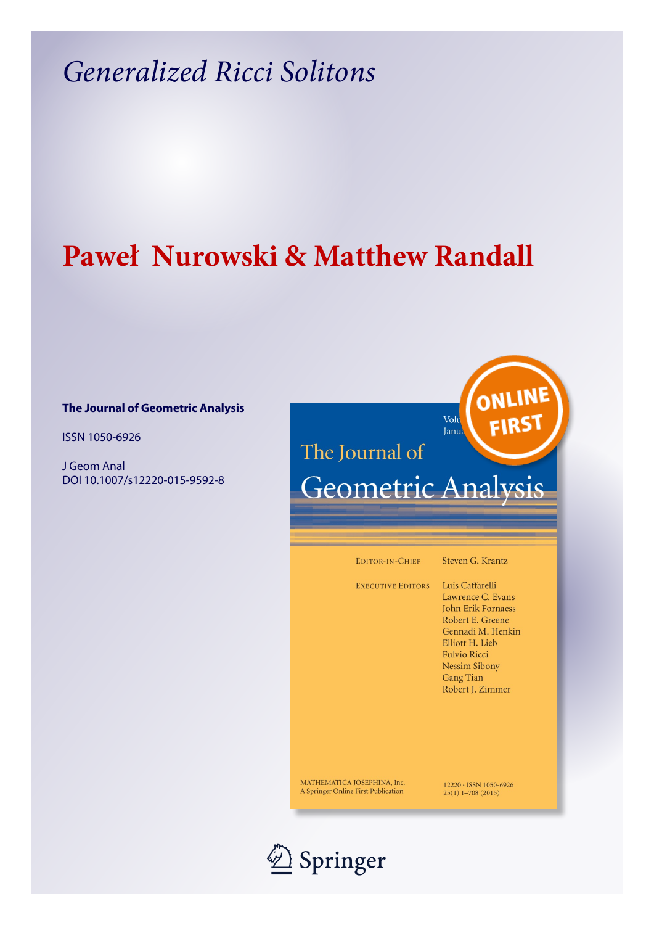## *Generalized Ricci Solitons*

## **Paweł Nurowski & Matthew Randall**

### **The Journal of Geometric Analysis**

ISSN 1050-6926

J Geom Anal DOI 10.1007/s12220-015-9592-8

# The Journal of

# Geometric Analysis

Volu

Janua

EDITOR-IN-CHIEF

Steven G. Krantz

ONLINE

**FIRS** 

EXECUTIVE EDITORS Luis Caffarelli

Lawrence C. Evans John Erik Fornaess Robert E. Greene Gennadi M. Henkin Elliott H. Lieb Fulvio Ricci **Nessim Sibony Gang Tian** Robert J. Zimmer

 $12220 \cdot$  ISSN 1050-6926<br>25(1) 1-708 (2015)

MATHEMATICA JOSEPHINA, Inc. A Springer Online First Publication

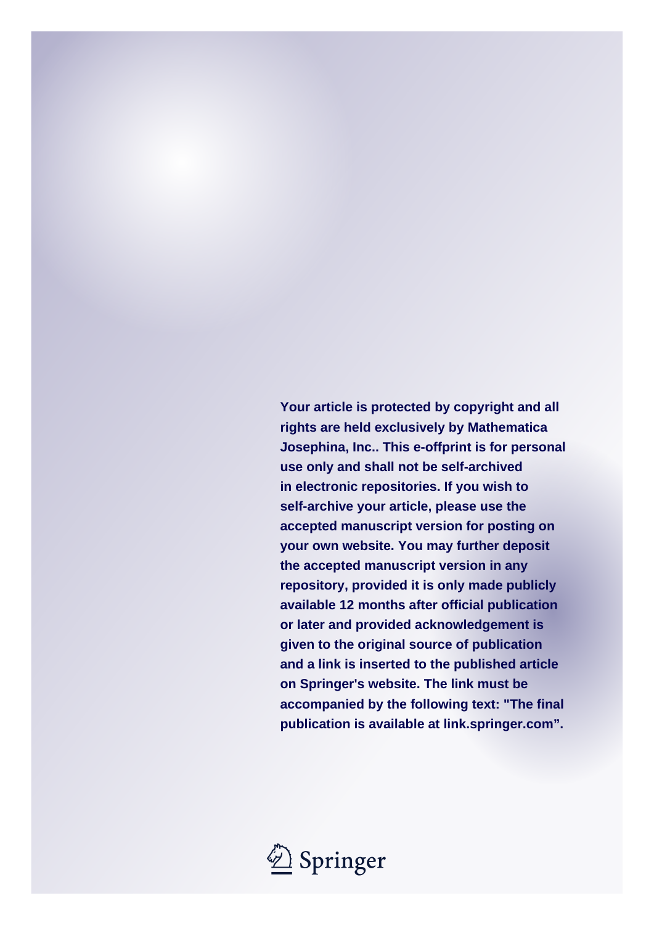**Your article is protected by copyright and all rights are held exclusively by Mathematica Josephina, Inc.. This e-offprint is for personal use only and shall not be self-archived in electronic repositories. If you wish to self-archive your article, please use the accepted manuscript version for posting on your own website. You may further deposit the accepted manuscript version in any repository, provided it is only made publicly available 12 months after official publication or later and provided acknowledgement is given to the original source of publication and a link is inserted to the published article on Springer's website. The link must be accompanied by the following text: "The final publication is available at link.springer.com".**

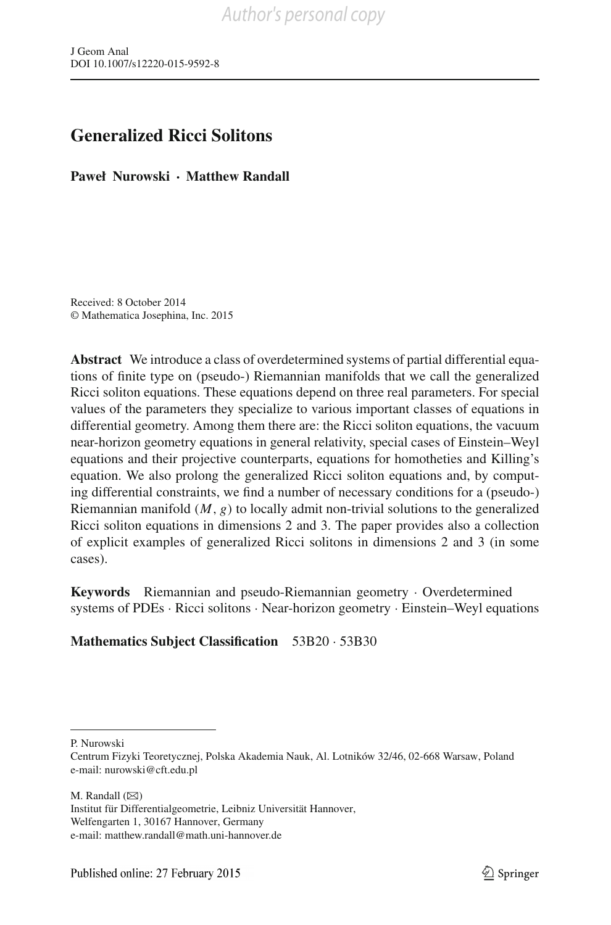## **Generalized Ricci Solitons**

**Paweł Nurowski · Matthew Randall**

Received: 8 October 2014 © Mathematica Josephina, Inc. 2015

**Abstract** We introduce a class of overdetermined systems of partial differential equations of finite type on (pseudo-) Riemannian manifolds that we call the generalized Ricci soliton equations. These equations depend on three real parameters. For special values of the parameters they specialize to various important classes of equations in differential geometry. Among them there are: the Ricci soliton equations, the vacuum near-horizon geometry equations in general relativity, special cases of Einstein–Weyl equations and their projective counterparts, equations for homotheties and Killing's equation. We also prolong the generalized Ricci soliton equations and, by computing differential constraints, we find a number of necessary conditions for a (pseudo-) Riemannian manifold (*M*, *g*) to locally admit non-trivial solutions to the generalized Ricci soliton equations in dimensions 2 and 3. The paper provides also a collection of explicit examples of generalized Ricci solitons in dimensions 2 and 3 (in some cases).

**Keywords** Riemannian and pseudo-Riemannian geometry · Overdetermined systems of PDEs · Ricci solitons · Near-horizon geometry · Einstein–Weyl equations

**Mathematics Subject Classification** 53B20 · 53B30

P. Nurowski

M. Randall  $(\boxtimes)$ 

Institut für Differentialgeometrie, Leibniz Universität Hannover, Welfengarten 1, 30167 Hannover, Germany e-mail: matthew.randall@math.uni-hannover.de

Centrum Fizyki Teoretycznej, Polska Akademia Nauk, Al. Lotników 32/46, 02-668 Warsaw, Poland e-mail: nurowski@cft.edu.pl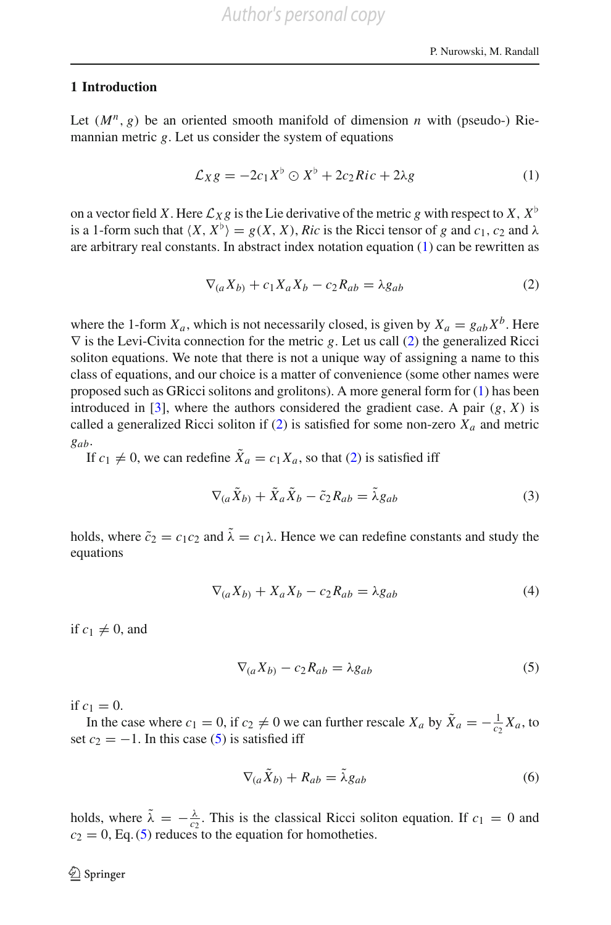#### **1 Introduction**

Let  $(M^n, g)$  be an oriented smooth manifold of dimension *n* with (pseudo-) Riemannian metric *g*. Let us consider the system of equations

$$
\mathcal{L}_X g = -2c_1 X^{\flat} \odot X^{\flat} + 2c_2 Ric + 2\lambda g \tag{1}
$$

<span id="page-3-0"></span>on a vector field *X*. Here  $\mathcal{L}_X g$  is the Lie derivative of the metric *g* with respect to *X*,  $X^{\flat}$ is a 1-form such that  $\langle X, X^{\flat} \rangle = g(X, X)$ , *Ric* is the Ricci tensor of *g* and *c*<sub>1</sub>, *c*<sub>2</sub> and  $\lambda$ are arbitrary real constants. In abstract index notation equation [\(1\)](#page-3-0) can be rewritten as

<span id="page-3-1"></span>
$$
\nabla_{(a}X_{b)} + c_1 X_a X_b - c_2 R_{ab} = \lambda g_{ab} \tag{2}
$$

where the 1-form  $X_a$ , which is not necessarily closed, is given by  $X_a = g_{ab}X^b$ . Here ∇ is the Levi-Civita connection for the metric *g*. Let us call [\(2\)](#page-3-1) the generalized Ricci soliton equations. We note that there is not a unique way of assigning a name to this class of equations, and our choice is a matter of convenience (some other names were proposed such as GRicci solitons and grolitons). A more general form for [\(1\)](#page-3-0) has been introduced in [\[3](#page-67-0)], where the authors considered the gradient case. A pair  $(g, X)$  is called a generalized Ricci soliton if  $(2)$  is satisfied for some non-zero  $X_a$  and metric *gab*.

If  $c_1 \neq 0$ , we can redefine  $\tilde{X}_a = c_1 X_a$ , so that [\(2\)](#page-3-1) is satisfied iff

$$
\nabla_{(a}\tilde{X}_{b)} + \tilde{X}_{a}\tilde{X}_{b} - \tilde{c}_{2}R_{ab} = \tilde{\lambda}g_{ab} \tag{3}
$$

holds, where  $\tilde{c}_2 = c_1 c_2$  and  $\tilde{\lambda} = c_1 \lambda$ . Hence we can redefine constants and study the equations

$$
\nabla_{(a}X_{b)} + X_a X_b - c_2 R_{ab} = \lambda g_{ab} \tag{4}
$$

if  $c_1 \neq 0$ , and

<span id="page-3-2"></span>
$$
\nabla_{(a}X_{b)} - c_2 R_{ab} = \lambda g_{ab} \tag{5}
$$

if  $c_1 = 0$ .

In the case where  $c_1 = 0$ , if  $c_2 \neq 0$  we can further rescale  $X_a$  by  $\tilde{X}_a = -\frac{1}{c_2} X_a$ , to set  $c_2 = -1$ . In this case [\(5\)](#page-3-2) is satisfied iff

$$
\nabla_{(a}\tilde{X}_{b)} + R_{ab} = \tilde{\lambda}g_{ab} \tag{6}
$$

holds, where  $\tilde{\lambda} = -\frac{\lambda}{c_2}$ . This is the classical Ricci soliton equation. If  $c_1 = 0$  and  $c_2 = 0$ , Eq. [\(5\)](#page-3-2) reduces to the equation for homotheties.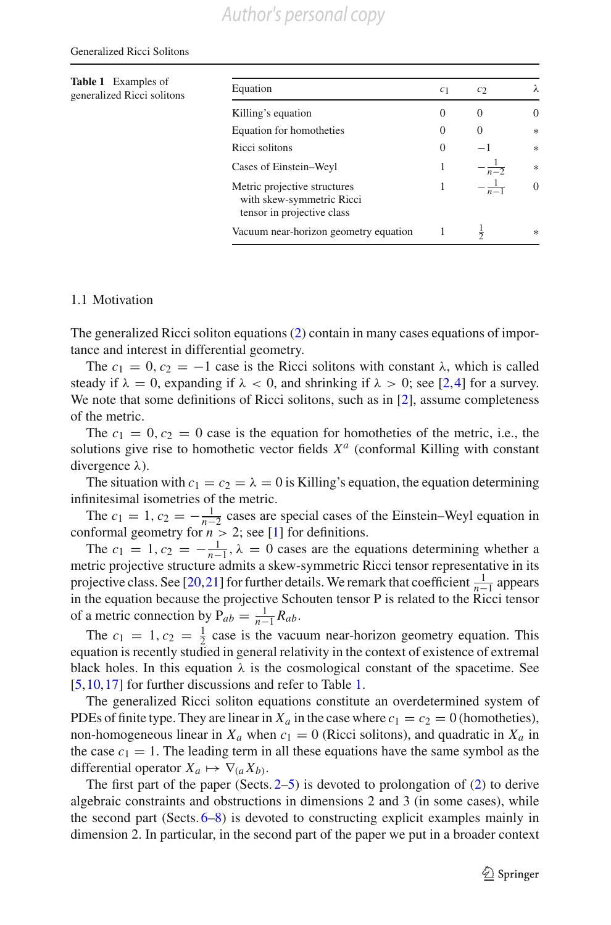#### Generalized Ricci Solitons

<span id="page-4-0"></span>**Table 1** Examples of **EXAMPLES 1 EXAMPLES OF Equation c**<sub>1</sub> *c*<sub>2</sub>  $\lambda$ Killing's equation  $0 \t 0 \t 0$ Equation for homotheties 0 0 ∗ Ricci solitons  $0 -1$  \* Cases of Einstein–Weyl 1 1  $\frac{1}{n-2}$  \* Metric projective structures with skew-symmetric Ricci tensor in projective class 1  $-\frac{1}{n-1}$  $\frac{1}{n-1}$  0 Vacuum near-horizon geometry equation  $1 \frac{1}{2}$  $\frac{1}{2}$  \*

#### 1.1 Motivation

The generalized Ricci soliton equations [\(2\)](#page-3-1) contain in many cases equations of importance and interest in differential geometry.

The  $c_1 = 0$ ,  $c_2 = -1$  case is the Ricci solitons with constant  $\lambda$ , which is called steady if  $\lambda = 0$ , expanding if  $\lambda < 0$ , and shrinking if  $\lambda > 0$ ; see [\[2,](#page-67-1)[4\]](#page-67-2) for a survey. We note that some definitions of Ricci solitons, such as in [\[2\]](#page-67-1), assume completeness of the metric.

The  $c_1 = 0$ ,  $c_2 = 0$  case is the equation for homotheties of the metric, i.e., the solutions give rise to homothetic vector fields *X<sup>a</sup>* (conformal Killing with constant divergence  $λ$ ).

The situation with  $c_1 = c_2 = \lambda = 0$  is Killing's equation, the equation determining infinitesimal isometries of the metric.

The  $c_1 = 1$ ,  $c_2 = -\frac{1}{n-2}$  cases are special cases of the Einstein–Weyl equation in conformal geometry for  $n > 2$ ; see [\[1\]](#page-67-3) for definitions.

The  $c_1 = 1, c_2 = -\frac{1}{n-1}, \lambda = 0$  cases are the equations determining whether a metric projective structure admits a skew-symmetric Ricci tensor representative in its projective class. See [\[20,](#page-67-4)[21\]](#page-67-5) for further details. We remark that coefficient  $\frac{1}{n-1}$  appears in the equation because the projective Schouten tensor P is related to the Ricci tensor of a metric connection by  $P_{ab} = \frac{1}{n-1} R_{ab}$ .

The  $c_1 = 1, c_2 = \frac{1}{2}$  case is the vacuum near-horizon geometry equation. This equation is recently studied in general relativity in the context of existence of extremal black holes. In this equation  $\lambda$  is the cosmological constant of the spacetime. See [\[5](#page-67-6)[,10](#page-67-7),[17](#page-67-8)] for further discussions and refer to Table [1.](#page-4-0)

The generalized Ricci soliton equations constitute an overdetermined system of PDEs of finite type. They are linear in  $X_a$  in the case where  $c_1 = c_2 = 0$  (homotheties), non-homogeneous linear in  $X_a$  when  $c_1 = 0$  (Ricci solitons), and quadratic in  $X_a$  in the case  $c_1 = 1$ . The leading term in all these equations have the same symbol as the differential operator  $X_a \mapsto \nabla_{(a} X_{b)}$ .

The first part of the paper (Sects.  $2-5$  $2-5$ ) is devoted to prolongation of [\(2\)](#page-3-1) to derive algebraic constraints and obstructions in dimensions 2 and 3 (in some cases), while the second part (Sects. [6–](#page-32-0)[8\)](#page-56-0) is devoted to constructing explicit examples mainly in dimension 2. In particular, in the second part of the paper we put in a broader context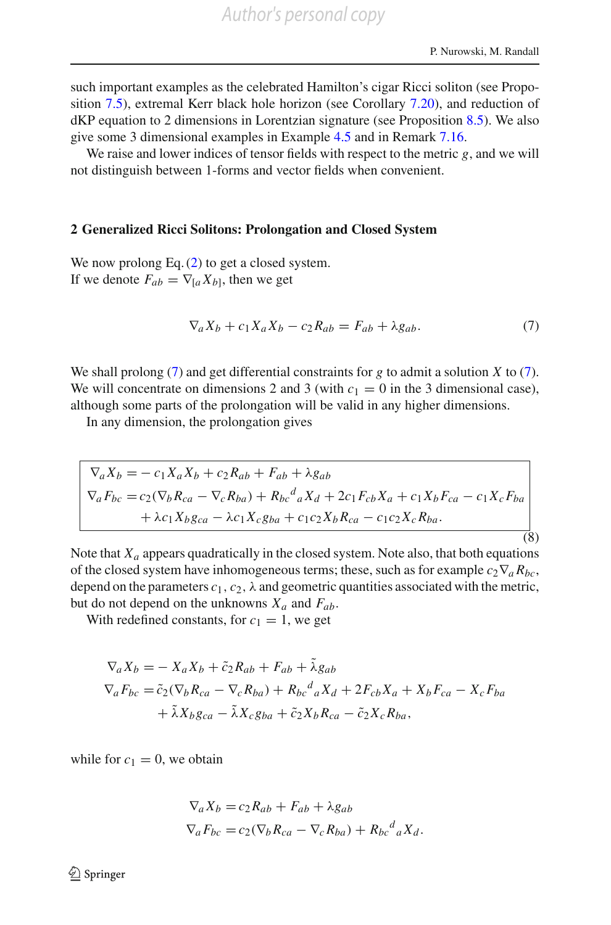such important examples as the celebrated Hamilton's cigar Ricci soliton (see Proposition [7.5\)](#page-38-0), extremal Kerr black hole horizon (see Corollary [7.20\)](#page-54-0), and reduction of dKP equation to 2 dimensions in Lorentzian signature (see Proposition [8.5\)](#page-63-0). We also give some 3 dimensional examples in Example [4.5](#page-26-0) and in Remark [7.16.](#page-49-0)

We raise and lower indices of tensor fields with respect to the metric *g*, and we will not distinguish between 1-forms and vector fields when convenient.

#### <span id="page-5-0"></span>**2 Generalized Ricci Solitons: Prolongation and Closed System**

We now prolong Eq.  $(2)$  to get a closed system. If we denote  $F_{ab} = \nabla_{[a} X_{b]}$ , then we get

$$
\nabla_a X_b + c_1 X_a X_b - c_2 R_{ab} = F_{ab} + \lambda g_{ab}.
$$
 (7)

<span id="page-5-1"></span>We shall prolong [\(7\)](#page-5-1) and get differential constraints for *g* to admit a solution *X* to [\(7\)](#page-5-1). We will concentrate on dimensions 2 and 3 (with  $c_1 = 0$  in the 3 dimensional case), although some parts of the prolongation will be valid in any higher dimensions.

In any dimension, the prolongation gives

$$
\nabla_a X_b = -c_1 X_a X_b + c_2 R_{ab} + F_{ab} + \lambda g_{ab}
$$
\n
$$
\nabla_a F_{bc} = c_2 (\nabla_b R_{ca} - \nabla_c R_{ba}) + R_{bc}{}^d{}_a X_d + 2c_1 F_{cb} X_a + c_1 X_b F_{ca} - c_1 X_c F_{ba}
$$
\n
$$
+ \lambda c_1 X_b g_{ca} - \lambda c_1 X_c g_{ba} + c_1 c_2 X_b R_{ca} - c_1 c_2 X_c R_{ba}.
$$
\n(8)

<span id="page-5-2"></span>Note that  $X_a$  appears quadratically in the closed system. Note also, that both equations of the closed system have inhomogeneous terms; these, such as for example  $c_2 \nabla_a R_{bc}$ , depend on the parameters  $c_1$ ,  $c_2$ ,  $\lambda$  and geometric quantities associated with the metric, but do not depend on the unknowns  $X_a$  and  $F_{ab}$ .

With redefined constants, for  $c_1 = 1$ , we get

$$
\nabla_a X_b = -X_a X_b + \tilde{c}_2 R_{ab} + F_{ab} + \tilde{\lambda} g_{ab}
$$
  
\n
$$
\nabla_a F_{bc} = \tilde{c}_2 (\nabla_b R_{ca} - \nabla_c R_{ba}) + R_{bc}{}^d{}_a X_d + 2F_{cb} X_a + X_b F_{ca} - X_c F_{ba}
$$
  
\n
$$
+ \tilde{\lambda} X_b g_{ca} - \tilde{\lambda} X_c g_{ba} + \tilde{c}_2 X_b R_{ca} - \tilde{c}_2 X_c R_{ba},
$$

while for  $c_1 = 0$ , we obtain

$$
\nabla_a X_b = c_2 R_{ab} + F_{ab} + \lambda g_{ab}
$$
  

$$
\nabla_a F_{bc} = c_2 (\nabla_b R_{ca} - \nabla_c R_{ba}) + R_{bc}{}^d{}_a X_d.
$$

 $\circled{2}$  Springer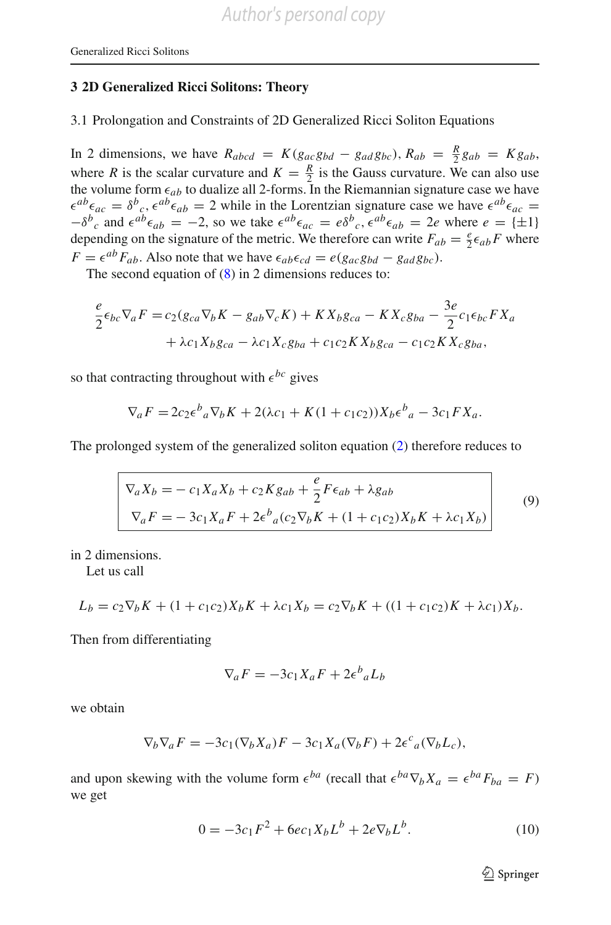#### <span id="page-6-2"></span>**3 2D Generalized Ricci Solitons: Theory**

3.1 Prolongation and Constraints of 2D Generalized Ricci Soliton Equations

In 2 dimensions, we have  $R_{abcd} = K(g_{ac}g_{bd} - g_{ad}g_{bc})$ ,  $R_{ab} = \frac{R}{2}g_{ab} = Kg_{ab}$ , where *R* is the scalar curvature and  $K = \frac{R}{2}$  is the Gauss curvature. We can also use the volume form  $\epsilon_{ab}$  to dualize all 2-forms. In the Riemannian signature case we have  $\epsilon^{ab}\epsilon_{ac} = \delta^b{}_c$ ,  $\epsilon^{ab}\epsilon_{ab} = 2$  while in the Lorentzian signature case we have  $\epsilon^{ab}\epsilon_{ac} =$  $-\delta^b{}_c$  and  $\epsilon^{ab}\epsilon_{ab} = -2$ , so we take  $\epsilon^{ab}\epsilon_{ac} = \epsilon \delta^b{}_c$ ,  $\epsilon^{ab}\epsilon_{ab} = 2e$  where  $e = \{\pm 1\}$ depending on the signature of the metric. We therefore can write  $F_{ab} = \frac{e}{2} \epsilon_{ab} F$  where  $F = \epsilon^{ab} F_{ab}$ . Also note that we have  $\epsilon_{ab} \epsilon_{cd} = e(g_{ac} g_{bd} - g_{ad} g_{bc})$ .

The second equation of [\(8\)](#page-5-2) in 2 dimensions reduces to:

$$
\frac{e}{2}\epsilon_{bc}\nabla_a F = c_2(g_{ca}\nabla_b K - g_{ab}\nabla_c K) + K X_b g_{ca} - K X_c g_{ba} - \frac{3e}{2}c_1\epsilon_{bc} F X_a
$$
  
+  $\lambda c_1 X_b g_{ca} - \lambda c_1 X_c g_{ba} + c_1 c_2 K X_b g_{ca} - c_1 c_2 K X_c g_{ba},$ 

so that contracting throughout with  $\epsilon^{bc}$  gives

$$
\nabla_a F = 2c_2 \epsilon^b{}_a \nabla_b K + 2(\lambda c_1 + K(1 + c_1 c_2)) X_b \epsilon^b{}_a - 3c_1 F X_a.
$$

<span id="page-6-1"></span>The prolonged system of the generalized soliton equation [\(2\)](#page-3-1) therefore reduces to

$$
\nabla_a X_b = -c_1 X_a X_b + c_2 K g_{ab} + \frac{e}{2} F \epsilon_{ab} + \lambda g_{ab}
$$
  
\n
$$
\nabla_a F = -3c_1 X_a F + 2\epsilon^b{}_a (c_2 \nabla_b K + (1 + c_1 c_2) X_b K + \lambda c_1 X_b)
$$
\n(9)

in 2 dimensions.

Let us call

$$
L_b = c_2 \nabla_b K + (1 + c_1 c_2) X_b K + \lambda c_1 X_b = c_2 \nabla_b K + ((1 + c_1 c_2) K + \lambda c_1) X_b.
$$

Then from differentiating

$$
\nabla_a F = -3c_1 X_a F + 2\epsilon^b{}_a L_b
$$

we obtain

$$
\nabla_b \nabla_a F = -3c_1(\nabla_b X_a)F - 3c_1 X_a(\nabla_b F) + 2\epsilon^c{}_a(\nabla_b L_c),
$$

and upon skewing with the volume form  $\epsilon^{ba}$  (recall that  $\epsilon^{ba}\nabla_bX_a = \epsilon^{ba}F_{ba} = F$ ) we get

$$
0 = -3c_1F^2 + 6ec_1X_bL^b + 2e\nabla_bL^b.
$$
 (10)

<span id="page-6-0"></span> $\mathcal{D}$  Springer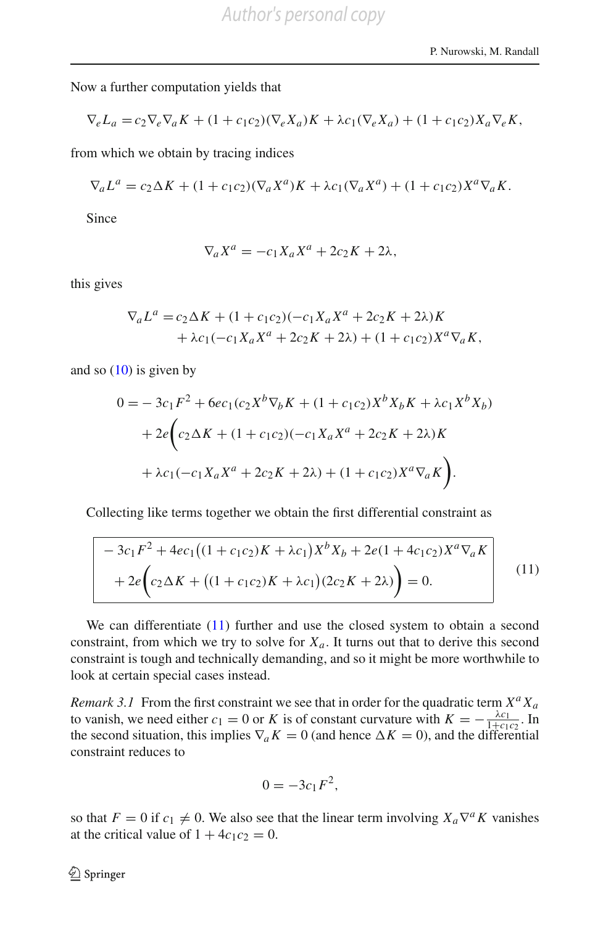Now a further computation yields that

$$
\nabla_e L_a = c_2 \nabla_e \nabla_a K + (1 + c_1 c_2) (\nabla_e X_a) K + \lambda c_1 (\nabla_e X_a) + (1 + c_1 c_2) X_a \nabla_e K,
$$

from which we obtain by tracing indices

$$
\nabla_a L^a = c_2 \Delta K + (1 + c_1 c_2) (\nabla_a X^a) K + \lambda c_1 (\nabla_a X^a) + (1 + c_1 c_2) X^a \nabla_a K.
$$

Since

$$
\nabla_a X^a = -c_1 X_a X^a + 2c_2 K + 2\lambda,
$$

this gives

$$
\nabla_a L^a = c_2 \Delta K + (1 + c_1 c_2)(-c_1 X_a X^a + 2c_2 K + 2\lambda)K + \lambda c_1 (-c_1 X_a X^a + 2c_2 K + 2\lambda) + (1 + c_1 c_2) X^a \nabla_a K,
$$

and so  $(10)$  is given by

$$
0 = -3c_1F^2 + 6ec_1(c_2X^b\nabla_b K + (1 + c_1c_2)X^b X_b K + \lambda c_1X^b X_b)
$$
  
+ 
$$
2e\left(c_2\Delta K + (1 + c_1c_2)(-c_1X_aX^a + 2c_2K + 2\lambda)K\right)
$$
  
+ 
$$
\lambda c_1(-c_1X_aX^a + 2c_2K + 2\lambda) + (1 + c_1c_2)X^a\nabla_a K\right).
$$

Collecting like terms together we obtain the first differential constraint as

$$
-3c_1F^2 + 4ec_1((1 + c_1c_2)K + \lambda c_1)X^bX_b + 2e(1 + 4c_1c_2)X^a\nabla_a K
$$
  
+ 
$$
2e\left(c_2\Delta K + ((1 + c_1c_2)K + \lambda c_1)(2c_2K + 2\lambda)\right) = 0.
$$
 (11)

<span id="page-7-0"></span>We can differentiate [\(11\)](#page-7-0) further and use the closed system to obtain a second constraint, from which we try to solve for  $X_a$ . It turns out that to derive this second constraint is tough and technically demanding, and so it might be more worthwhile to look at certain special cases instead.

*Remark 3.1* From the first constraint we see that in order for the quadratic term  $X^a X_a$ to vanish, we need either  $c_1 = 0$  or *K* is of constant curvature with  $K = -\frac{\lambda c_1}{1+c_1c_2}$ . In the second situation, this implies  $\nabla_a K = 0$  (and hence  $\Delta K = 0$ ), and the differential constraint reduces to

$$
0=-3c_1F^2,
$$

so that  $F = 0$  if  $c_1 \neq 0$ . We also see that the linear term involving  $X_a \nabla^a K$  vanishes at the critical value of  $1 + 4c_1c_2 = 0$ .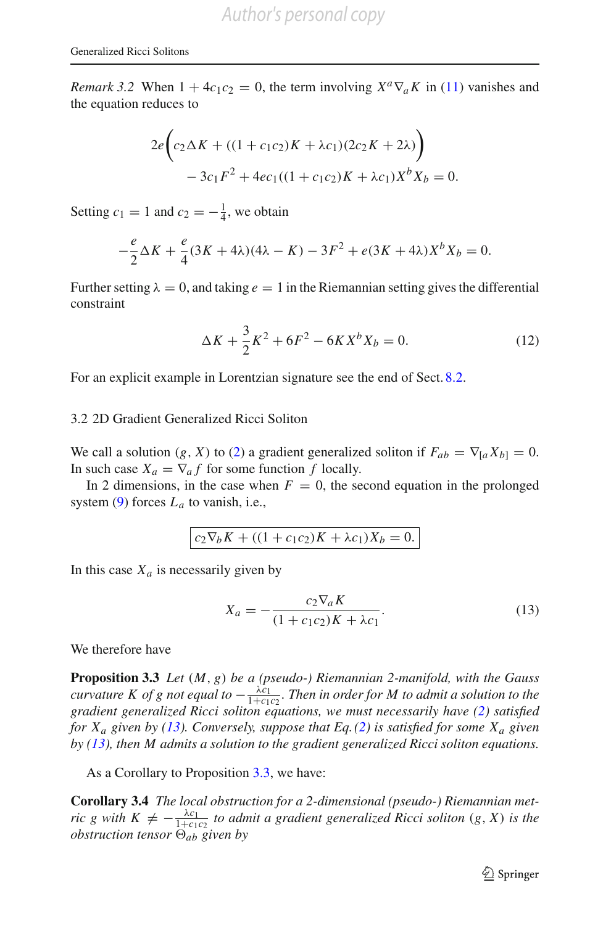*Remark 3.2* When  $1 + 4c_1c_2 = 0$ , the term involving  $X^a \nabla_a K$  in [\(11\)](#page-7-0) vanishes and the equation reduces to

$$
2e\left(c_2\Delta K + ((1 + c_1c_2)K + \lambda c_1)(2c_2K + 2\lambda)\right) - 3c_1F^2 + 4ec_1((1 + c_1c_2)K + \lambda c_1)X^bX_b = 0.
$$

Setting  $c_1 = 1$  and  $c_2 = -\frac{1}{4}$ , we obtain

$$
-\frac{e}{2}\Delta K + \frac{e}{4}(3K + 4\lambda)(4\lambda - K) - 3F^2 + e(3K + 4\lambda)X^bX_b = 0.
$$

Further setting  $\lambda = 0$ , and taking  $e = 1$  in the Riemannian setting gives the differential constraint

$$
\Delta K + \frac{3}{2}K^2 + 6F^2 - 6KX^bX_b = 0.
$$
 (12)

For an explicit example in Lorentzian signature see the end of Sect. [8.2.](#page-59-0)

#### <span id="page-8-2"></span>3.2 2D Gradient Generalized Ricci Soliton

We call a solution  $(g, X)$  to  $(2)$  a gradient generalized soliton if  $F_{ab} = \nabla_{[a} X_{b]} = 0$ . In such case  $X_a = \nabla_a f$  for some function f locally.

In 2 dimensions, in the case when  $F = 0$ , the second equation in the prolonged system  $(9)$  forces  $L_a$  to vanish, i.e.,

$$
c_2 \nabla_b K + ((1 + c_1 c_2) K + \lambda c_1) X_b = 0.
$$

In this case  $X_a$  is necessarily given by

<span id="page-8-0"></span>
$$
X_a = -\frac{c_2 \nabla_a K}{(1 + c_1 c_2) K + \lambda c_1}.
$$
\n(13)

<span id="page-8-1"></span>We therefore have

**Proposition 3.3** *Let* (*M*, *g*) *be a (pseudo-) Riemannian 2-manifold, with the Gauss curvature K of g not equal to*  $-\frac{\lambda c_1}{1+c_1c_2}$ . Then in order for M to admit a solution to the *gradient generalized Ricci soliton equations, we must necessarily have [\(2\)](#page-3-1) satisfied for Xa given by [\(13\)](#page-8-0). Conversely, suppose that Eq.[\(2\)](#page-3-1) is satisfied for some Xa given by [\(13\)](#page-8-0), then M admits a solution to the gradient generalized Ricci soliton equations.*

As a Corollary to Proposition [3.3,](#page-8-1) we have:

**Corollary 3.4** *The local obstruction for a 2-dimensional (pseudo-) Riemannian metric g with*  $K \neq -\frac{\lambda c_1}{1+c_1c_2}$  *to admit a gradient generalized Ricci soliton*  $(g, X)$  *is the obstruction tensor*  $\Theta_{ab}$  *given by*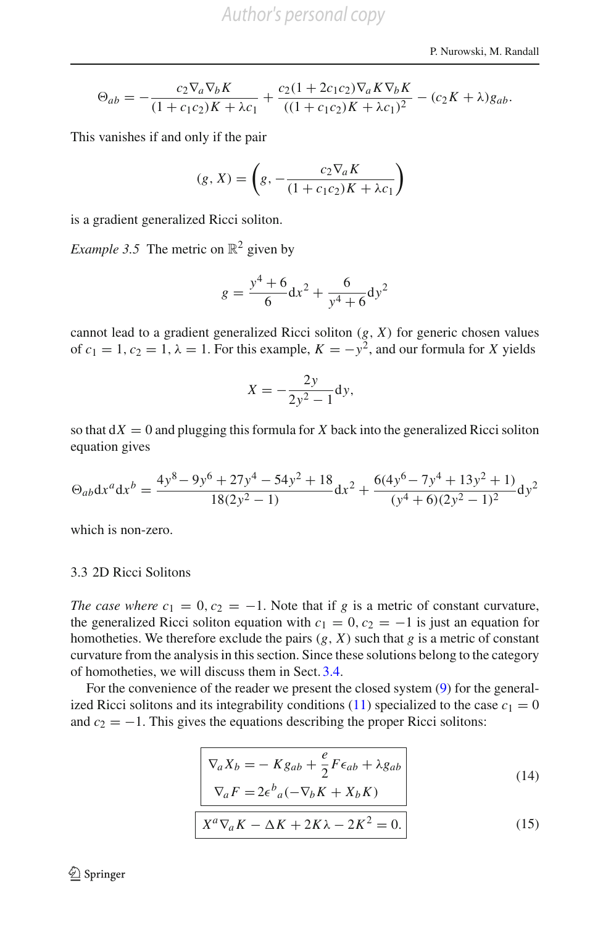$$
\Theta_{ab} = -\frac{c_2 \nabla_a \nabla_b K}{(1 + c_1 c_2) K + \lambda c_1} + \frac{c_2 (1 + 2 c_1 c_2) \nabla_a K \nabla_b K}{((1 + c_1 c_2) K + \lambda c_1)^2} - (c_2 K + \lambda) g_{ab}.
$$

This vanishes if and only if the pair

$$
(g, X) = \left( g, -\frac{c_2 \nabla_a K}{(1 + c_1 c_2) K + \lambda c_1} \right)
$$

is a gradient generalized Ricci soliton.

*Example 3.5* The metric on  $\mathbb{R}^2$  given by

$$
g = \frac{y^4 + 6}{6} dx^2 + \frac{6}{y^4 + 6} dy^2
$$

cannot lead to a gradient generalized Ricci soliton (*g*, *X*) for generic chosen values of  $c_1 = 1$ ,  $c_2 = 1$ ,  $\lambda = 1$ . For this example,  $K = -y^2$ , and our formula for *X* yields

$$
X = -\frac{2y}{2y^2 - 1} dy,
$$

so that  $dX = 0$  and plugging this formula for X back into the generalized Ricci soliton equation gives

$$
\Theta_{ab} dx^a dx^b = \frac{4y^8 - 9y^6 + 27y^4 - 54y^2 + 18}{18(2y^2 - 1)} dx^2 + \frac{6(4y^6 - 7y^4 + 13y^2 + 1)}{(y^4 + 6)(2y^2 - 1)^2} dy^2
$$

which is non-zero.

#### 3.3 2D Ricci Solitons

*The case where c*<sub>1</sub> = 0,  $c_2$  = −1. Note that if *g* is a metric of constant curvature, the generalized Ricci soliton equation with  $c_1 = 0$ ,  $c_2 = -1$  is just an equation for homotheties. We therefore exclude the pairs  $(g, X)$  such that  $g$  is a metric of constant curvature from the analysis in this section. Since these solutions belong to the category of homotheties, we will discuss them in Sect. [3.4.](#page-16-0)

<span id="page-9-0"></span>For the convenience of the reader we present the closed system [\(9\)](#page-6-1) for the general-ized Ricci solitons and its integrability conditions [\(11\)](#page-7-0) specialized to the case  $c_1 = 0$ and  $c_2 = -1$ . This gives the equations describing the proper Ricci solitons:

$$
\begin{vmatrix}\n\nabla_a X_b = -K g_{ab} + \frac{e}{2} F \epsilon_{ab} + \lambda g_{ab} \\
\nabla_a F = 2 \epsilon^b{}_a (-\nabla_b K + X_b K)\n\end{vmatrix}
$$
\n(14)

$$
X^{a}\nabla_{a}K - \Delta K + 2K\lambda - 2K^{2} = 0.
$$
 (15)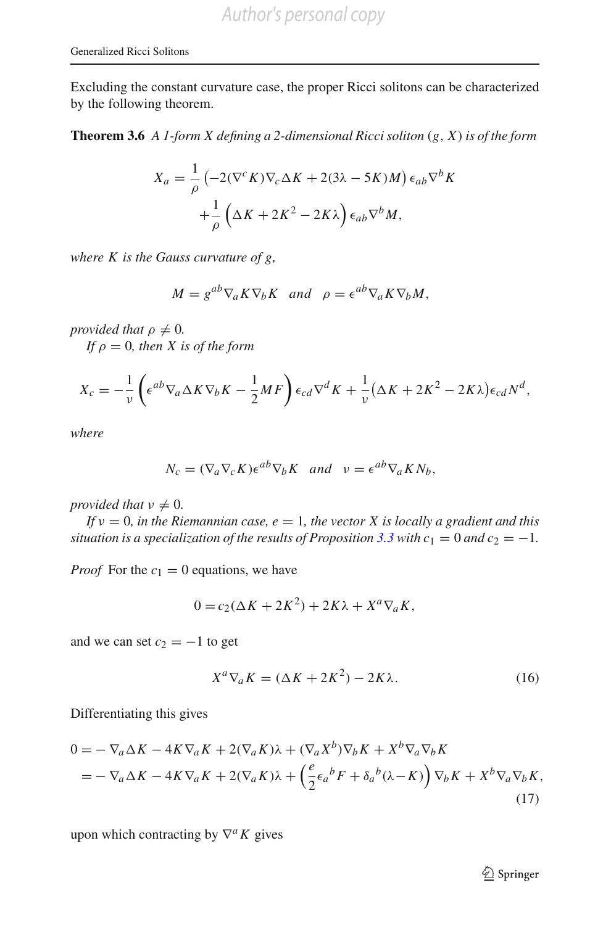<span id="page-10-2"></span>Excluding the constant curvature case, the proper Ricci solitons can be characterized by the following theorem.

**Theorem 3.6** *A 1-form X defining a 2-dimensional Ricci soliton* (*g*, *X*) *is of the form*

$$
X_a = \frac{1}{\rho} \left( -2(\nabla^c K) \nabla_c \Delta K + 2(3\lambda - 5K)M \right) \epsilon_{ab} \nabla^b K
$$

$$
+ \frac{1}{\rho} \left( \Delta K + 2K^2 - 2K\lambda \right) \epsilon_{ab} \nabla^b M,
$$

*where K is the Gauss curvature of g,*

$$
M = g^{ab} \nabla_a K \nabla_b K \quad and \quad \rho = \epsilon^{ab} \nabla_a K \nabla_b M,
$$

*provided that*  $\rho \neq 0$ *.* 

*If*  $\rho = 0$ *, then X is of the form* 

$$
X_c = -\frac{1}{\nu} \left( \epsilon^{ab} \nabla_a \Delta K \nabla_b K - \frac{1}{2} M F \right) \epsilon_{cd} \nabla^d K + \frac{1}{\nu} (\Delta K + 2K^2 - 2K\lambda) \epsilon_{cd} N^d,
$$

*where*

$$
N_c = (\nabla_a \nabla_c K) \epsilon^{ab} \nabla_b K \quad and \quad v = \epsilon^{ab} \nabla_a K N_b,
$$

*provided that*  $\nu \neq 0$ *.* 

*If*  $v = 0$ *, in the Riemannian case, e* = 1*, the vector X is locally a gradient and this situation is a specialization of the results of Proposition*  $3.3$  *with*  $c_1 = 0$  *and*  $c_2 = -1$ *.* 

*Proof* For the  $c_1 = 0$  equations, we have

$$
0 = c_2(\Delta K + 2K^2) + 2K\lambda + X^a \nabla_a K,
$$

and we can set  $c_2 = -1$  to get

<span id="page-10-0"></span>
$$
X^{a}\nabla_{a}K = (\Delta K + 2K^{2}) - 2K\lambda.
$$
 (16)

Differentiating this gives

$$
0 = -\nabla_a \Delta K - 4K \nabla_a K + 2(\nabla_a K)\lambda + (\nabla_a X^b)\nabla_b K + X^b \nabla_a \nabla_b K
$$
  
=  $-\nabla_a \Delta K - 4K \nabla_a K + 2(\nabla_a K)\lambda + \left(\frac{e}{2}\epsilon_a{}^b F + \delta_a{}^b (\lambda - K)\right) \nabla_b K + X^b \nabla_a \nabla_b K,$  (17)

upon which contracting by ∇*aK* gives

<span id="page-10-1"></span><sup>2</sup> Springer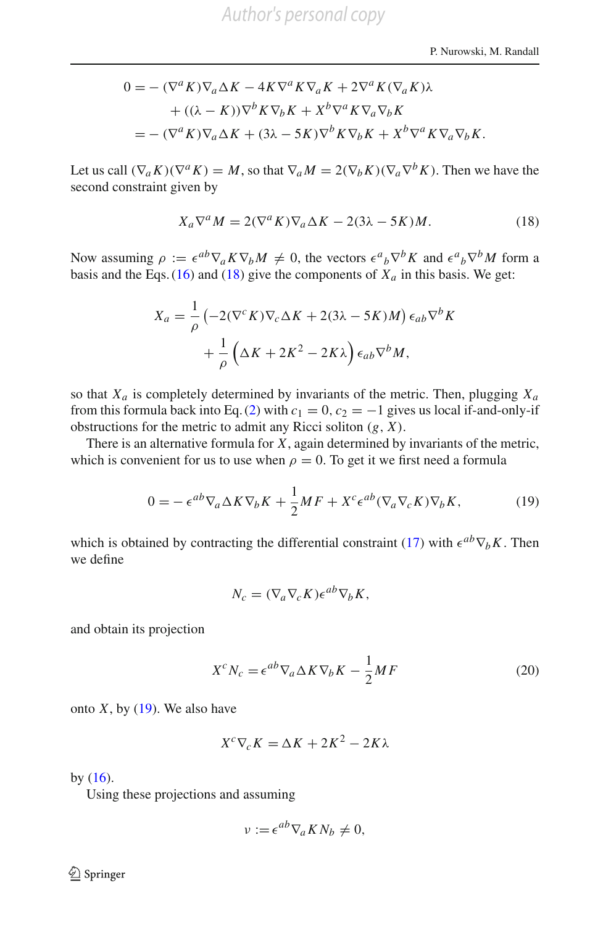$$
0 = -(\nabla^a K)\nabla_a \Delta K - 4K\nabla^a K \nabla_a K + 2\nabla^a K (\nabla_a K)\lambda
$$
  
+ ((\lambda - K))\nabla^b K \nabla\_b K + X^b \nabla^a K \nabla\_a \nabla\_b K  
= -(\nabla^a K)\nabla\_a \Delta K + (3\lambda - 5K)\nabla^b K \nabla\_b K + X^b \nabla^a K \nabla\_a \nabla\_b K.

Let us call  $(\nabla_a K)(\nabla^a K) = M$ , so that  $\nabla_a M = 2(\nabla_b K)(\nabla_a \nabla^b K)$ . Then we have the second constraint given by

<span id="page-11-0"></span>
$$
X_a \nabla^a M = 2(\nabla^a K) \nabla_a \Delta K - 2(3\lambda - 5K)M. \tag{18}
$$

Now assuming  $\rho := \epsilon^{ab} \nabla_a K \nabla_b M \neq 0$ , the vectors  $\epsilon^a{}_b \nabla^b K$  and  $\epsilon^a{}_b \nabla^b M$  form a basis and the Eqs. [\(16\)](#page-10-0) and [\(18\)](#page-11-0) give the components of  $X_a$  in this basis. We get:

$$
X_a = \frac{1}{\rho} \left( -2(\nabla^c K) \nabla_c \Delta K + 2(3\lambda - 5K)M \right) \epsilon_{ab} \nabla^b K
$$

$$
+ \frac{1}{\rho} \left( \Delta K + 2K^2 - 2K\lambda \right) \epsilon_{ab} \nabla^b M,
$$

so that  $X_a$  is completely determined by invariants of the metric. Then, plugging  $X_a$ from this formula back into Eq. [\(2\)](#page-3-1) with  $c_1 = 0$ ,  $c_2 = -1$  gives us local if-and-only-if obstructions for the metric to admit any Ricci soliton (*g*, *X*).

There is an alternative formula for *X*, again determined by invariants of the metric, which is convenient for us to use when  $\rho = 0$ . To get it we first need a formula

$$
0 = -\epsilon^{ab}\nabla_a \Delta K \nabla_b K + \frac{1}{2}M F + X^c \epsilon^{ab} (\nabla_a \nabla_c K) \nabla_b K, \qquad (19)
$$

which is obtained by contracting the differential constraint [\(17\)](#page-10-1) with  $\epsilon^{ab}\nabla_b K$ . Then we define

<span id="page-11-2"></span><span id="page-11-1"></span>
$$
N_c = (\nabla_a \nabla_c K) \epsilon^{ab} \nabla_b K,
$$

and obtain its projection

$$
X^{c}N_{c} = \epsilon^{ab}\nabla_{a}\Delta K\nabla_{b}K - \frac{1}{2}MF
$$
 (20)

onto  $X$ , by  $(19)$ . We also have

$$
X^c \nabla_c K = \Delta K + 2K^2 - 2K\lambda
$$

by  $(16)$ .

Using these projections and assuming

$$
\nu := \epsilon^{ab} \nabla_a K N_b \neq 0,
$$

 $\bigcircled{2}$  Springer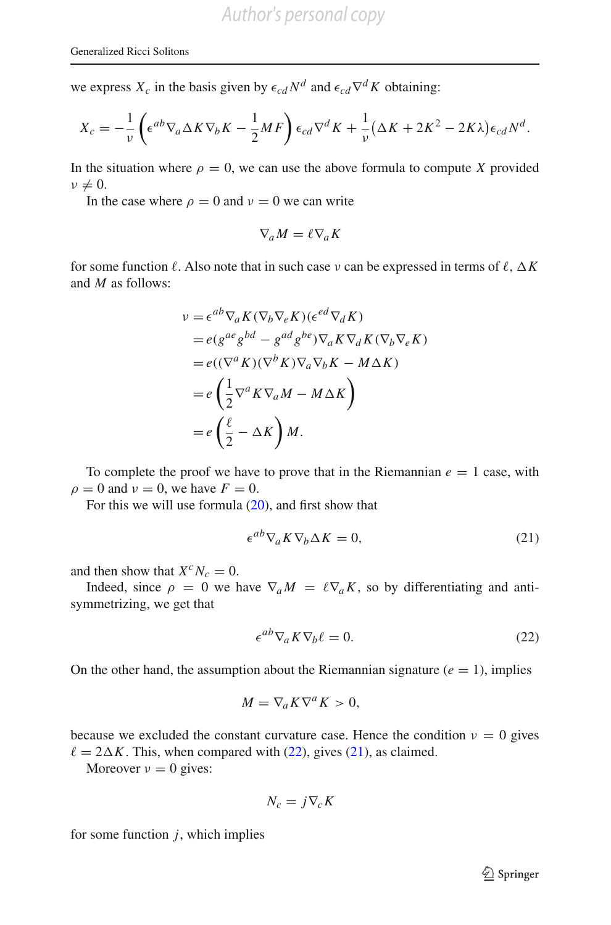we express  $X_c$  in the basis given by  $\epsilon_{cd} N^d$  and  $\epsilon_{cd} \nabla^d K$  obtaining:

$$
X_c = -\frac{1}{\nu} \left( \epsilon^{ab} \nabla_a \Delta K \nabla_b K - \frac{1}{2} M F \right) \epsilon_{cd} \nabla^d K + \frac{1}{\nu} (\Delta K + 2K^2 - 2K\lambda) \epsilon_{cd} N^d.
$$

In the situation where  $\rho = 0$ , we can use the above formula to compute *X* provided  $\nu \neq 0$ .

In the case where  $\rho = 0$  and  $\nu = 0$  we can write

$$
\nabla_a M = \ell \nabla_a K
$$

for some function  $\ell$ . Also note that in such case  $\nu$  can be expressed in terms of  $\ell$ ,  $\Delta K$ and *M* as follows:

$$
\nu = \epsilon^{ab} \nabla_a K(\nabla_b \nabla_e K)(\epsilon^{ed} \nabla_d K)
$$
  
=  $e(g^{ae} g^{bd} - g^{ad} g^{be}) \nabla_a K \nabla_d K(\nabla_b \nabla_e K)$   
=  $e((\nabla^a K)(\nabla^b K) \nabla_a \nabla_b K - M \Delta K)$   
=  $e\left(\frac{1}{2} \nabla^a K \nabla_a M - M \Delta K\right)$   
=  $e\left(\frac{\ell}{2} - \Delta K\right) M.$ 

To complete the proof we have to prove that in the Riemannian  $e = 1$  case, with  $\rho = 0$  and  $\nu = 0$ , we have  $F = 0$ .

For this we will use formula [\(20\)](#page-11-2), and first show that

<span id="page-12-1"></span>
$$
\epsilon^{ab} \nabla_a K \nabla_b \Delta K = 0,\tag{21}
$$

and then show that  $X^c N_c = 0$ .

Indeed, since  $\rho = 0$  we have  $\nabla_a M = \ell \nabla_a K$ , so by differentiating and antisymmetrizing, we get that

<span id="page-12-0"></span>
$$
\epsilon^{ab} \nabla_a K \nabla_b \ell = 0. \tag{22}
$$

On the other hand, the assumption about the Riemannian signature  $(e = 1)$ , implies

$$
M=\nabla_a K\nabla^a K>0,
$$

because we excluded the constant curvature case. Hence the condition  $v = 0$  gives  $\ell = 2\Delta K$ . This, when compared with [\(22\)](#page-12-0), gives [\(21\)](#page-12-1), as claimed.

Moreover  $v = 0$  gives:

$$
N_c = j \nabla_c K
$$

for some function  $j$ , which implies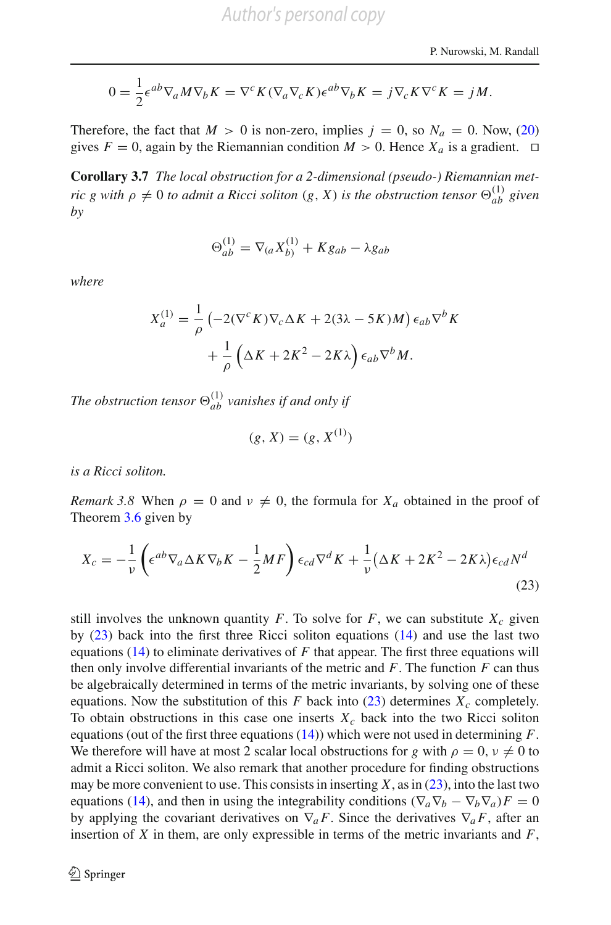$$
0 = \frac{1}{2} \epsilon^{ab} \nabla_a M \nabla_b K = \nabla^c K (\nabla_a \nabla_c K) \epsilon^{ab} \nabla_b K = j \nabla_c K \nabla^c K = j M.
$$

Therefore, the fact that  $M > 0$  is non-zero, implies  $j = 0$ , so  $N_a = 0$ . Now, [\(20\)](#page-11-2) gives  $F = 0$ , again by the Riemannian condition  $M > 0$ . Hence  $X_a$  is a gradient.  $\Box$ 

**Corollary 3.7** *The local obstruction for a 2-dimensional (pseudo-) Riemannian metric g with*  $\rho \neq 0$  *to admit a Ricci soliton* (*g, X*) *is the obstruction tensor*  $\Theta_{ab}^{(1)}$  *given by*

$$
\Theta_{ab}^{(1)} = \nabla_{(a} X_{b)}^{(1)} + K g_{ab} - \lambda g_{ab}
$$

*where*

$$
X_a^{(1)} = \frac{1}{\rho} \left( -2(\nabla^c K) \nabla_c \Delta K + 2(3\lambda - 5K)M \right) \epsilon_{ab} \nabla^b K
$$

$$
+ \frac{1}{\rho} \left( \Delta K + 2K^2 - 2K\lambda \right) \epsilon_{ab} \nabla^b M.
$$

The obstruction tensor  $\Theta_{ab}^{(1)}$  vanishes if and only if

<span id="page-13-0"></span>
$$
(g, X) = (g, X^{(1)})
$$

<span id="page-13-1"></span>*is a Ricci soliton.*

*Remark 3.8* When  $\rho = 0$  and  $\nu \neq 0$ , the formula for  $X_a$  obtained in the proof of Theorem [3.6](#page-10-2) given by

$$
X_c = -\frac{1}{\nu} \left( \epsilon^{ab} \nabla_a \Delta K \nabla_b K - \frac{1}{2} M F \right) \epsilon_{cd} \nabla^d K + \frac{1}{\nu} (\Delta K + 2K^2 - 2K\lambda) \epsilon_{cd} N^d
$$
\n(23)

still involves the unknown quantity  $F$ . To solve for  $F$ , we can substitute  $X_c$  given by [\(23\)](#page-13-0) back into the first three Ricci soliton equations [\(14\)](#page-9-0) and use the last two equations  $(14)$  to eliminate derivatives of F that appear. The first three equations will then only involve differential invariants of the metric and *F*. The function *F* can thus be algebraically determined in terms of the metric invariants, by solving one of these equations. Now the substitution of this  $F$  back into  $(23)$  determines  $X_c$  completely. To obtain obstructions in this case one inserts  $X_c$  back into the two Ricci soliton equations (out of the first three equations [\(14\)](#page-9-0)) which were not used in determining *F*. We therefore will have at most 2 scalar local obstructions for *g* with  $\rho = 0$ ,  $\nu \neq 0$  to admit a Ricci soliton. We also remark that another procedure for finding obstructions may be more convenient to use. This consists in inserting  $X$ , as in  $(23)$ , into the last two equations [\(14\)](#page-9-0), and then in using the integrability conditions  $(\nabla_a \nabla_b - \nabla_b \nabla_a)F = 0$ by applying the covariant derivatives on  $\nabla_a F$ . Since the derivatives  $\nabla_a F$ , after an insertion of *X* in them, are only expressible in terms of the metric invariants and *F*,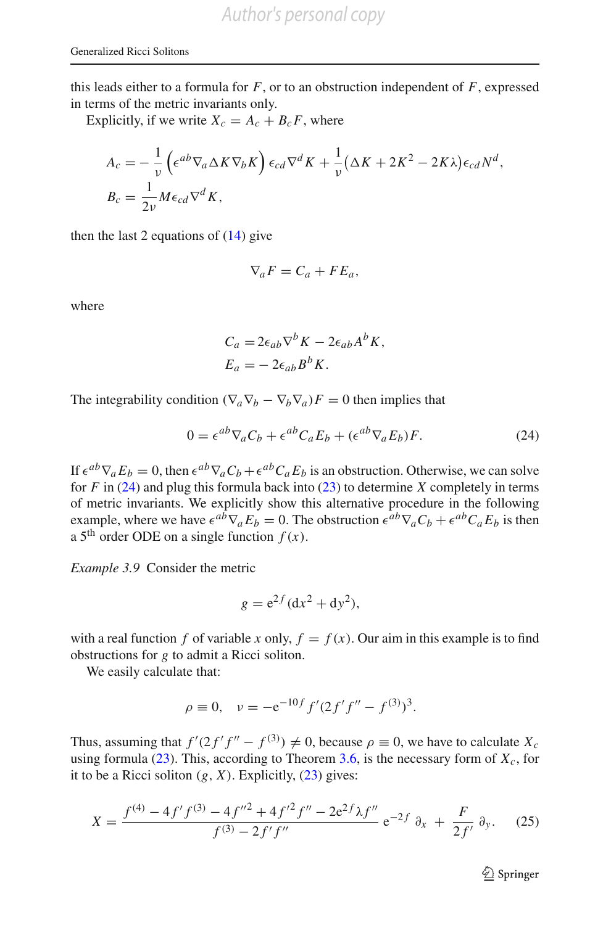this leads either to a formula for  $F$ , or to an obstruction independent of  $F$ , expressed in terms of the metric invariants only.

Explicitly, if we write  $X_c = A_c + B_c F$ , where

$$
A_c = -\frac{1}{\nu} \left( \epsilon^{ab} \nabla_a \Delta K \nabla_b K \right) \epsilon_{cd} \nabla^d K + \frac{1}{\nu} (\Delta K + 2K^2 - 2K\lambda) \epsilon_{cd} N^d,
$$
  
\n
$$
B_c = \frac{1}{2\nu} M \epsilon_{cd} \nabla^d K,
$$

then the last 2 equations of  $(14)$  give

$$
\nabla_a F = C_a + F E_a,
$$

where

$$
C_a = 2\epsilon_{ab}\nabla^b K - 2\epsilon_{ab}A^b K,
$$
  

$$
E_a = -2\epsilon_{ab}B^b K.
$$

<span id="page-14-0"></span>The integrability condition  $(\nabla_a \nabla_b - \nabla_b \nabla_a)F = 0$  then implies that

$$
0 = \epsilon^{ab} \nabla_a C_b + \epsilon^{ab} C_a E_b + (\epsilon^{ab} \nabla_a E_b) F.
$$
 (24)

If  $\epsilon^{ab}\nabla_a E_b = 0$ , then  $\epsilon^{ab}\nabla_a C_b + \epsilon^{ab}C_a E_b$  is an obstruction. Otherwise, we can solve for *F* in [\(24\)](#page-14-0) and plug this formula back into [\(23\)](#page-13-0) to determine *X* completely in terms of metric invariants. We explicitly show this alternative procedure in the following example, where we have  $\epsilon^{a\bar{b}}\nabla_a E_b = 0$ . The obstruction  $\epsilon^{a\bar{b}}\nabla_a C_b + \epsilon^{a\bar{b}}C_a E_b$  is then a 5<sup>th</sup> order ODE on a single function  $f(x)$ .

<span id="page-14-2"></span>*Example 3.9* Consider the metric

$$
g = e^{2f} (dx^2 + dy^2),
$$

with a real function *f* of variable *x* only,  $f = f(x)$ . Our aim in this example is to find obstructions for *g* to admit a Ricci soliton.

We easily calculate that:

$$
\rho \equiv 0, \quad \nu = -e^{-10f} f'(2f'f'' - f^{(3)})^3.
$$

Thus, assuming that  $f'(2f'f'' - f^{(3)}) \neq 0$ , because  $\rho \equiv 0$ , we have to calculate  $X_c$ using formula  $(23)$ . This, according to Theorem [3.6,](#page-10-2) is the necessary form of  $X_c$ , for it to be a Ricci soliton  $(g, X)$ . Explicitly,  $(23)$  gives:

<span id="page-14-1"></span>
$$
X = \frac{f^{(4)} - 4f'f^{(3)} - 4f''^2 + 4f'^2f'' - 2e^{2f}\lambda f''}{f^{(3)} - 2f'f''} e^{-2f} \partial_x + \frac{F}{2f'} \partial_y. \tag{25}
$$

 $\mathcal{D}$  Springer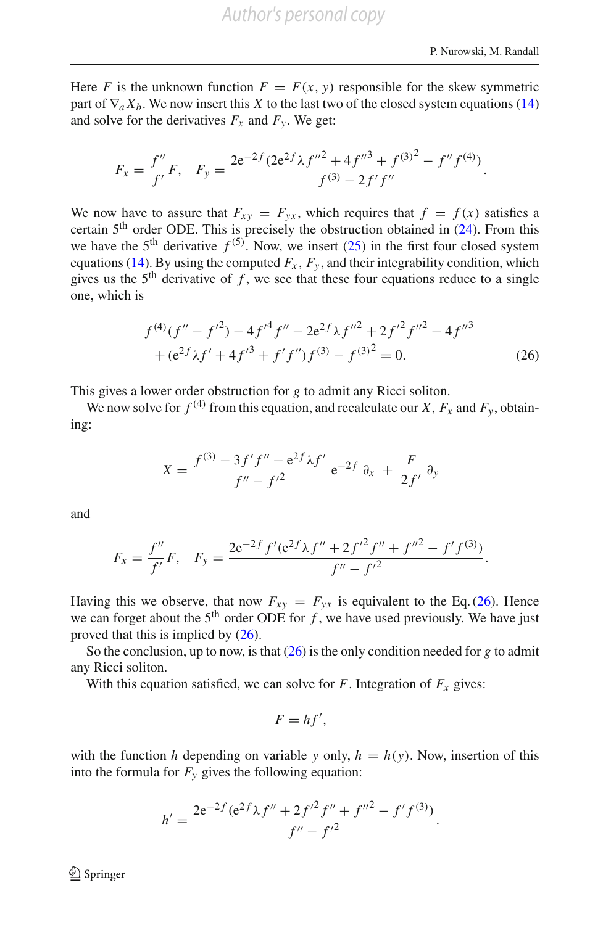Here *F* is the unknown function  $F = F(x, y)$  responsible for the skew symmetric part of  $\nabla_a X_b$ . We now insert this *X* to the last two of the closed system equations [\(14\)](#page-9-0) and solve for the derivatives  $F_x$  and  $F_y$ . We get:

$$
F_x = \frac{f''}{f'}F, \quad F_y = \frac{2e^{-2f}(2e^{2f}\lambda f''^2 + 4f''^3 + f^{(3)^2} - f''f^{(4)})}{f^{(3)} - 2f'f''}.
$$

We now have to assure that  $F_{xy} = F_{yx}$ , which requires that  $f = f(x)$  satisfies a certain 5th order ODE. This is precisely the obstruction obtained in [\(24\)](#page-14-0). From this we have the 5<sup>th</sup> derivative  $f^{(5)}$ . Now, we insert [\(25\)](#page-14-1) in the first four closed system equations [\(14\)](#page-9-0). By using the computed  $F_x$ ,  $F_y$ , and their integrability condition, which gives us the  $5<sup>th</sup>$  derivative of  $f$ , we see that these four equations reduce to a single one, which is

$$
f^{(4)}(f'' - f'^2) - 4f'^4 f'' - 2e^{2f} \lambda f''^2 + 2f'^2 f''^2 - 4f''^3
$$
  
+ 
$$
(e^{2f} \lambda f' + 4f'^3 + f'f'')f^{(3)} - f^{(3)^2} = 0.
$$
 (26)

<span id="page-15-0"></span>This gives a lower order obstruction for *g* to admit any Ricci soliton.

We now solve for  $f^{(4)}$  from this equation, and recalculate our *X*,  $F_x$  and  $F_y$ , obtaining:

$$
X = \frac{f^{(3)} - 3f'f'' - e^{2f}\lambda f'}{f'' - f'^2} e^{-2f} \partial_x + \frac{F}{2f'} \partial_y
$$

and

$$
F_x = \frac{f''}{f'}F, \quad F_y = \frac{2e^{-2f}f'(e^{2f}\lambda f'' + 2f'^2f'' + f''^2 - f'f^{(3)})}{f'' - f'^2}.
$$

Having this we observe, that now  $F_{xy} = F_{yx}$  is equivalent to the Eq. [\(26\)](#page-15-0). Hence we can forget about the  $5<sup>th</sup>$  order ODE for *f*, we have used previously. We have just proved that this is implied by [\(26\)](#page-15-0).

So the conclusion, up to now, is that [\(26\)](#page-15-0) is the only condition needed for *g* to admit any Ricci soliton.

With this equation satisfied, we can solve for  $F$ . Integration of  $F_x$  gives:

$$
F=hf',
$$

with the function *h* depending on variable *y* only,  $h = h(y)$ . Now, insertion of this into the formula for  $F_y$  gives the following equation:

$$
h' = \frac{2e^{-2f}(e^{2f}\lambda f'' + 2f'^2f'' + f''^2 - f'f^{(3)})}{f'' - f'^2}.
$$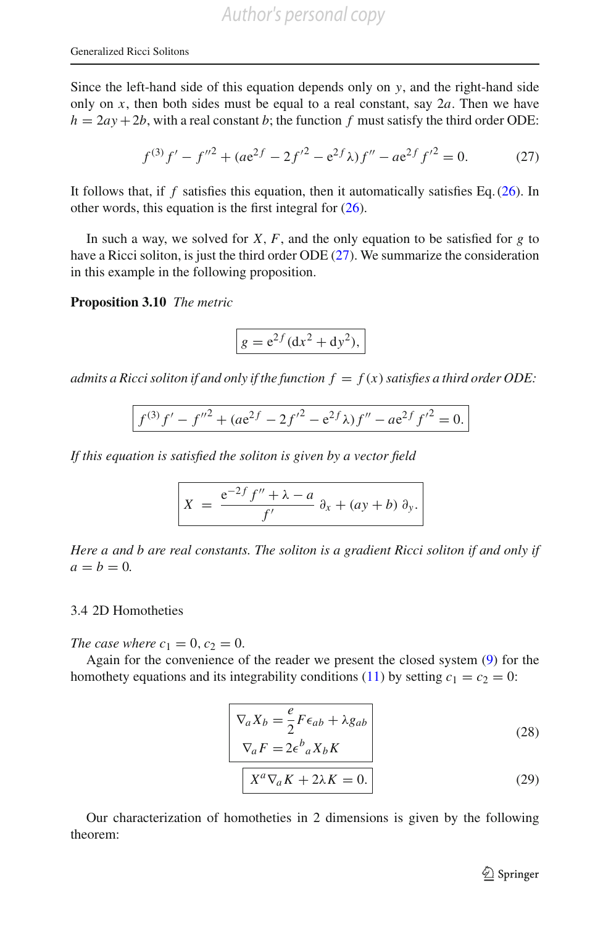Since the left-hand side of this equation depends only on *y*, and the right-hand side only on x, then both sides must be equal to a real constant, say  $2a$ . Then we have  $h = 2ay + 2b$ , with a real constant *b*; the function *f* must satisfy the third order ODE:

$$
f^{(3)}f' - f''^{2} + (ae^{2f} - 2f'^{2} - e^{2f}\lambda)f'' - ae^{2f}f'^{2} = 0.
$$
 (27)

<span id="page-16-1"></span>It follows that, if  $f$  satisfies this equation, then it automatically satisfies Eq.  $(26)$ . In other words, this equation is the first integral for [\(26\)](#page-15-0).

In such a way, we solved for  $X$ ,  $F$ , and the only equation to be satisfied for  $g$  to have a Ricci soliton, is just the third order ODE [\(27\)](#page-16-1). We summarize the consideration in this example in the following proposition.

**Proposition 3.10** *The metric*

$$
g = e^{2f} (dx^2 + dy^2),
$$

*admits a Ricci soliton if and only if the function*  $f = f(x)$  *satisfies a third order ODE:* 

$$
f^{(3)}f' - f''^{2} + (ae^{2f} - 2f'^{2} - e^{2f}\lambda)f'' - ae^{2f}f'^{2} = 0.
$$

*If this equation is satisfied the soliton is given by a vector field*

$$
X = \frac{e^{-2f} f'' + \lambda - a}{f'} \partial_x + (ay + b) \partial_y.
$$

*Here a and b are real constants. The soliton is a gradient Ricci soliton if and only if*  $a = b = 0.$ 

#### <span id="page-16-0"></span>3.4 2D Homotheties

*The case where*  $c_1 = 0, c_2 = 0$ .

<span id="page-16-3"></span>Again for the convenience of the reader we present the closed system [\(9\)](#page-6-1) for the homothety equations and its integrability conditions [\(11\)](#page-7-0) by setting  $c_1 = c_2 = 0$ :

$$
\begin{bmatrix}\n\nabla_a X_b = \frac{e}{2} F \epsilon_{ab} + \lambda g_{ab} \\
\nabla_a F = 2 \epsilon^b{}_a X_b K\n\end{bmatrix}
$$
\n(28)

$$
X^a \nabla_a K + 2\lambda K = 0.
$$
 (29)

<span id="page-16-2"></span>Our characterization of homotheties in 2 dimensions is given by the following theorem: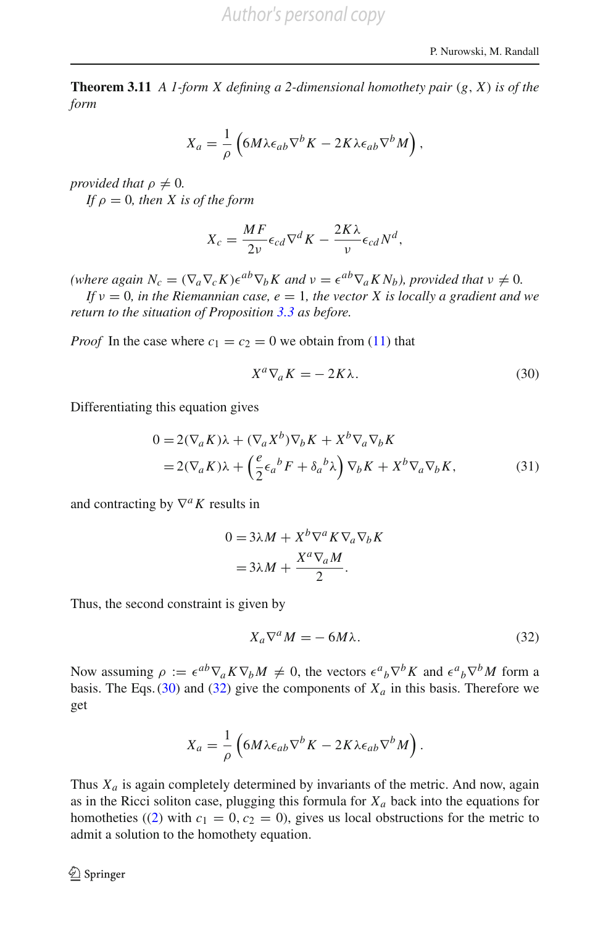**Theorem 3.11** *A 1-form X defining a 2-dimensional homothety pair* (*g*, *X*) *is of the form*

$$
X_a = \frac{1}{\rho} \left( 6M\lambda \epsilon_{ab} \nabla^b K - 2K\lambda \epsilon_{ab} \nabla^b M \right),
$$

*provided that*  $\rho \neq 0$ *. If*  $\rho = 0$ *, then X is of the form* 

$$
X_c = \frac{MF}{2\nu} \epsilon_{cd} \nabla^d K - \frac{2K\lambda}{\nu} \epsilon_{cd} N^d,
$$

*(where again*  $N_c = (\nabla_a \nabla_c K) \epsilon^{ab} \nabla_b K$  *and*  $v = \epsilon^{ab} \nabla_a K N_b$ *), provided that*  $v \neq 0$ *.* 

*If*  $v = 0$ *, in the Riemannian case, e = 1, the vector X is locally a gradient and we return to the situation of Proposition [3.3](#page-8-1) as before.*

*Proof* In the case where  $c_1 = c_2 = 0$  we obtain from [\(11\)](#page-7-0) that

<span id="page-17-2"></span><span id="page-17-0"></span>
$$
X^a \nabla_a K = -2K\lambda. \tag{30}
$$

Differentiating this equation gives

$$
0 = 2(\nabla_a K)\lambda + (\nabla_a X^b)\nabla_b K + X^b \nabla_a \nabla_b K
$$
  
= 2(\nabla\_a K)\lambda + (\frac{e}{2}\epsilon\_a{}^b F + \delta\_a{}^b \lambda) \nabla\_b K + X^b \nabla\_a \nabla\_b K, (31)

and contracting by  $\nabla^a K$  results in

$$
0 = 3\lambda M + X^{b} \nabla^{a} K \nabla_{a} \nabla_{b} K
$$

$$
= 3\lambda M + \frac{X^{a} \nabla_{a} M}{2}.
$$

Thus, the second constraint is given by

<span id="page-17-1"></span>
$$
X_a \nabla^a M = -6M\lambda. \tag{32}
$$

Now assuming  $\rho := \epsilon^{ab} \nabla_a K \nabla_b M \neq 0$ , the vectors  $\epsilon^a{}_b \nabla^b K$  and  $\epsilon^a{}_b \nabla^b M$  form a basis. The Eqs.  $(30)$  and  $(32)$  give the components of  $X_a$  in this basis. Therefore we get

$$
X_a = \frac{1}{\rho} \left( 6M\lambda \epsilon_{ab} \nabla^b K - 2K\lambda \epsilon_{ab} \nabla^b M \right).
$$

Thus  $X_a$  is again completely determined by invariants of the metric. And now, again as in the Ricci soliton case, plugging this formula for  $X_a$  back into the equations for homotheties ([\(2\)](#page-3-1) with  $c_1 = 0$ ,  $c_2 = 0$ ), gives us local obstructions for the metric to admit a solution to the homothety equation.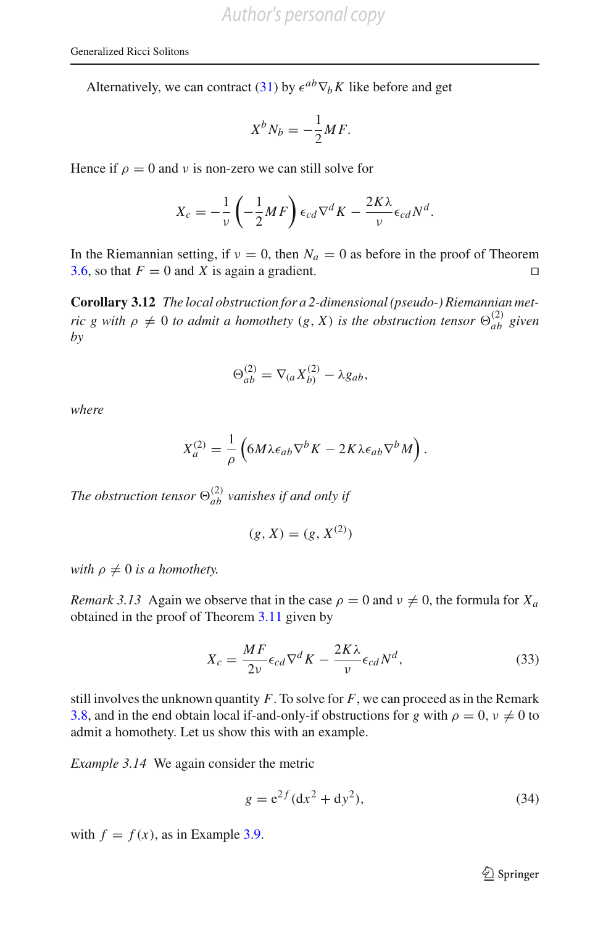Alternatively, we can contract [\(31\)](#page-17-2) by  $\epsilon^{ab} \nabla_b K$  like before and get

$$
X^b N_b = -\frac{1}{2} M F.
$$

Hence if  $\rho = 0$  and v is non-zero we can still solve for

$$
X_c = -\frac{1}{\nu} \left( -\frac{1}{2} M F \right) \epsilon_{cd} \nabla^d K - \frac{2K\lambda}{\nu} \epsilon_{cd} N^d.
$$

In the Riemannian setting, if  $v = 0$ , then  $N_a = 0$  as before in the proof of Theorem [3.6,](#page-10-2) so that  $F = 0$  and *X* is again a gradient.  $\Box$ 

**Corollary 3.12** *The local obstruction for a 2-dimensional (pseudo-) Riemannian metric g with*  $\rho \neq 0$  *to admit a homothety*  $(g, X)$  *is the obstruction tensor*  $\Theta_{ab}^{(2)}$  *given by*

$$
\Theta_{ab}^{(2)} = \nabla_{(a} X_{b)}^{(2)} - \lambda g_{ab},
$$

*where*

$$
X_a^{(2)} = \frac{1}{\rho} \left( 6M\lambda \epsilon_{ab} \nabla^b K - 2K\lambda \epsilon_{ab} \nabla^b M \right).
$$

The obstruction tensor  $\Theta_{ab}^{(2)}$  vanishes if and only if

$$
(g, X) = (g, X^{(2)})
$$

*with*  $\rho \neq 0$  *is a homothety.* 

*Remark 3.13* Again we observe that in the case  $\rho = 0$  and  $\nu \neq 0$ , the formula for  $X_a$ obtained in the proof of Theorem [3.11](#page-16-2) given by

$$
X_c = \frac{MF}{2\nu} \epsilon_{cd} \nabla^d K - \frac{2K\lambda}{\nu} \epsilon_{cd} N^d,
$$
\n(33)

<span id="page-18-0"></span>still involves the unknown quantity  $F$ . To solve for  $F$ , we can proceed as in the Remark [3.8,](#page-13-1) and in the end obtain local if-and-only-if obstructions for *g* with  $\rho = 0$ ,  $\nu \neq 0$  to admit a homothety. Let us show this with an example.

*Example 3.14* We again consider the metric

$$
g = e^{2f} (dx^2 + dy^2),
$$
 (34)

<span id="page-18-1"></span>with  $f = f(x)$ , as in Example [3.9.](#page-14-2)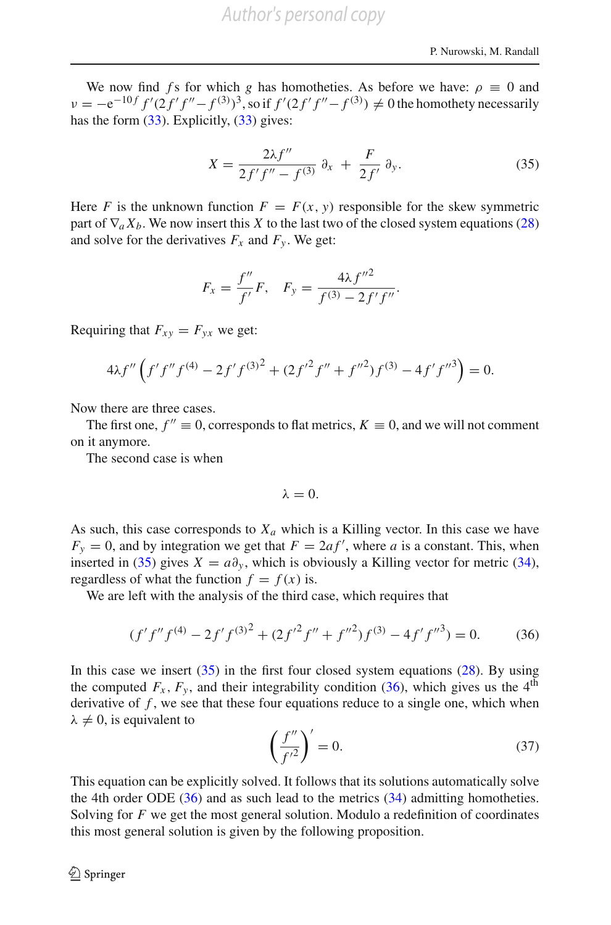We now find *f* s for which *g* has homotheties. As before we have:  $\rho \equiv 0$  and  $v = -e^{-10f} f'(2f'f'' - f^{(3)})^3$ , so if  $f'(2f'f'' - f^{(3)}) \neq 0$  the homothety necessarily has the form  $(33)$ . Explicitly,  $(33)$  gives:

$$
X = \frac{2\lambda f''}{2f'f'' - f^{(3)}} \partial_x + \frac{F}{2f'} \partial_y.
$$
 (35)

<span id="page-19-0"></span>Here *F* is the unknown function  $F = F(x, y)$  responsible for the skew symmetric part of  $\nabla_a X_b$ . We now insert this *X* to the last two of the closed system equations [\(28\)](#page-16-3) and solve for the derivatives  $F_x$  and  $F_y$ . We get:

$$
F_x = \frac{f''}{f'}F, \quad F_y = \frac{4\lambda f''^2}{f^{(3)} - 2f'f''}.
$$

Requiring that  $F_{xy} = F_{yx}$  we get:

$$
4\lambda f'' \left( f' f'' f^{(4)} - 2 f' f^{(3)^2} + (2 f'^2 f'' + f''^2) f^{(3)} - 4 f' f''^3 \right) = 0.
$$

Now there are three cases.

The first one,  $f'' \equiv 0$ , corresponds to flat metrics,  $K \equiv 0$ , and we will not comment on it anymore.

The second case is when

$$
\lambda = 0.
$$

As such, this case corresponds to  $X_a$  which is a Killing vector. In this case we have  $F_y = 0$ , and by integration we get that  $F = 2af'$ , where *a* is a constant. This, when inserted in [\(35\)](#page-19-0) gives  $X = a\partial_y$ , which is obviously a Killing vector for metric [\(34\)](#page-18-1), regardless of what the function  $f = f(x)$  is.

We are left with the analysis of the third case, which requires that

$$
(f'f''f^{(4)} - 2f'f^{(3)^2} + (2f'^2f'' + f''^2)f^{(3)} - 4f'f''^{(3)}) = 0.
$$
 (36)

<span id="page-19-1"></span>In this case we insert  $(35)$  in the first four closed system equations  $(28)$ . By using the computed  $F_x$ ,  $F_y$ , and their integrability condition [\(36\)](#page-19-1), which gives us the 4<sup>th</sup> derivative of  $f$ , we see that these four equations reduce to a single one, which when  $\lambda \neq 0$ , is equivalent to

$$
\left(\frac{f''}{f'^2}\right)' = 0.\tag{37}
$$

This equation can be explicitly solved. It follows that its solutions automatically solve the 4th order ODE  $(36)$  and as such lead to the metrics  $(34)$  admitting homotheties. Solving for *F* we get the most general solution. Modulo a redefinition of coordinates this most general solution is given by the following proposition.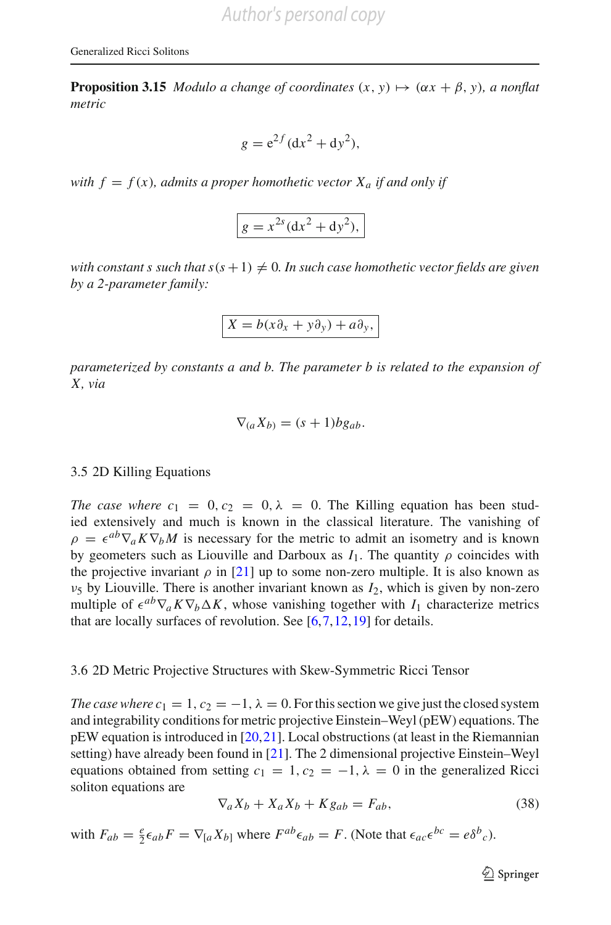**Proposition 3.15** *Modulo a change of coordinates*  $(x, y) \mapsto (\alpha x + \beta, y)$ *, a nonflat metric*

$$
g = e^{2f} (dx^2 + dy^2),
$$

*with*  $f = f(x)$ *, admits a proper homothetic vector*  $X_a$  *if and only if* 

$$
g = x^{2s} \left( \mathrm{d}x^2 + \mathrm{d}y^2 \right),
$$

*with constant s such that s*( $s + 1$ )  $\neq 0$ . In such case homothetic vector fields are given *by a 2-parameter family:*

$$
X = b(x\partial_x + y\partial_y) + a\partial_y,
$$

*parameterized by constants a and b. The parameter b is related to the expansion of X, via*

$$
\nabla_{(a}X_{b)}=(s+1)bg_{ab}.
$$

#### 3.5 2D Killing Equations

*The case where*  $c_1 = 0, c_2 = 0, \lambda = 0$ . The Killing equation has been studied extensively and much is known in the classical literature. The vanishing of  $\rho = \epsilon^{ab} \nabla_a K \nabla_b M$  is necessary for the metric to admit an isometry and is known by geometers such as Liouville and Darboux as  $I_1$ . The quantity  $\rho$  coincides with the projective invariant  $\rho$  in [\[21\]](#page-67-5) up to some non-zero multiple. It is also known as  $v_5$  by Liouville. There is another invariant known as  $I_2$ , which is given by non-zero multiple of  $\epsilon^{ab}\nabla_a K\nabla_b\Delta K$ , whose vanishing together with  $I_1$  characterize metrics that are locally surfaces of revolution. See  $[6, 7, 12, 19]$  $[6, 7, 12, 19]$  $[6, 7, 12, 19]$  for details.

#### 3.6 2D Metric Projective Structures with Skew-Symmetric Ricci Tensor

*The case where c*<sub>1</sub> = 1,  $c_2 = -1$ ,  $\lambda = 0$ . For this section we give just the closed system and integrability conditions for metric projective Einstein–Weyl (pEW) equations. The pEW equation is introduced in [\[20](#page-67-4)[,21](#page-67-5)]. Local obstructions (at least in the Riemannian setting) have already been found in [\[21\]](#page-67-5). The 2 dimensional projective Einstein–Weyl equations obtained from setting  $c_1 = 1, c_2 = -1, \lambda = 0$  in the generalized Ricci soliton equations are

$$
\nabla_a X_b + X_a X_b + K g_{ab} = F_{ab},\tag{38}
$$

with  $F_{ab} = \frac{e}{2} \epsilon_{ab} F = \nabla_{[a} X_{b]}$  where  $F^{ab} \epsilon_{ab} = F$ . (Note that  $\epsilon_{ac} \epsilon^{bc} = \epsilon \delta^b{}_c$ ).

<sup>2</sup> Springer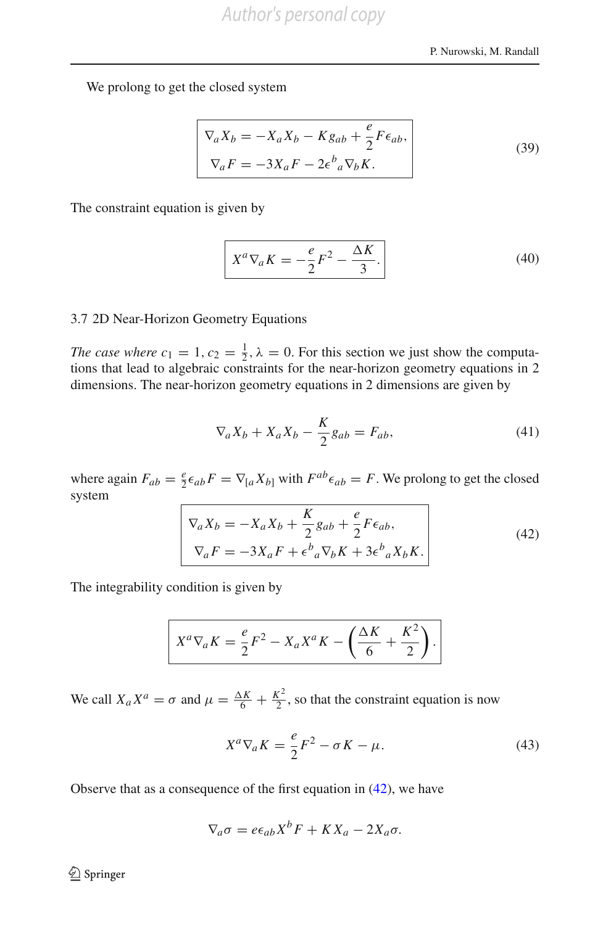We prolong to get the closed system

$$
\nabla_a X_b = -X_a X_b - K g_{ab} + \frac{e}{2} F \epsilon_{ab},
$$
  
\n
$$
\nabla_a F = -3X_a F - 2\epsilon^b{}_a \nabla_b K.
$$
\n(39)

The constraint equation is given by

$$
X^a \nabla_a K = -\frac{e}{2} F^2 - \frac{\Delta K}{3}.
$$
 (40)

#### 3.7 2D Near-Horizon Geometry Equations

*The case where*  $c_1 = 1, c_2 = \frac{1}{2}, \lambda = 0$ . For this section we just show the computations that lead to algebraic constraints for the near-horizon geometry equations in 2 dimensions. The near-horizon geometry equations in 2 dimensions are given by

$$
\nabla_a X_b + X_a X_b - \frac{K}{2} g_{ab} = F_{ab},\tag{41}
$$

where again  $F_{ab} = \frac{e}{2} \epsilon_{ab} F = \nabla_{[a} X_{b]}$  with  $F^{ab} \epsilon_{ab} = F$ . We prolong to get the closed system

$$
\nabla_a X_b = -X_a X_b + \frac{K}{2} g_{ab} + \frac{e}{2} F \epsilon_{ab},
$$
  
\n
$$
\nabla_a F = -3X_a F + \epsilon^b{}_a \nabla_b K + 3\epsilon^b{}_a X_b K.
$$
\n(42)

<span id="page-21-0"></span>The integrability condition is given by

$$
X^a \nabla_a K = \frac{e}{2} F^2 - X_a X^a K - \left(\frac{\Delta K}{6} + \frac{K^2}{2}\right).
$$

We call  $X_a X^a = \sigma$  and  $\mu = \frac{\Delta K}{6} + \frac{K^2}{2}$ , so that the constraint equation is now

$$
X^a \nabla_a K = \frac{e}{2} F^2 - \sigma K - \mu.
$$
 (43)

<span id="page-21-1"></span>Observe that as a consequence of the first equation in  $(42)$ , we have

$$
\nabla_a \sigma = e \epsilon_{ab} X^b F + K X_a - 2 X_a \sigma.
$$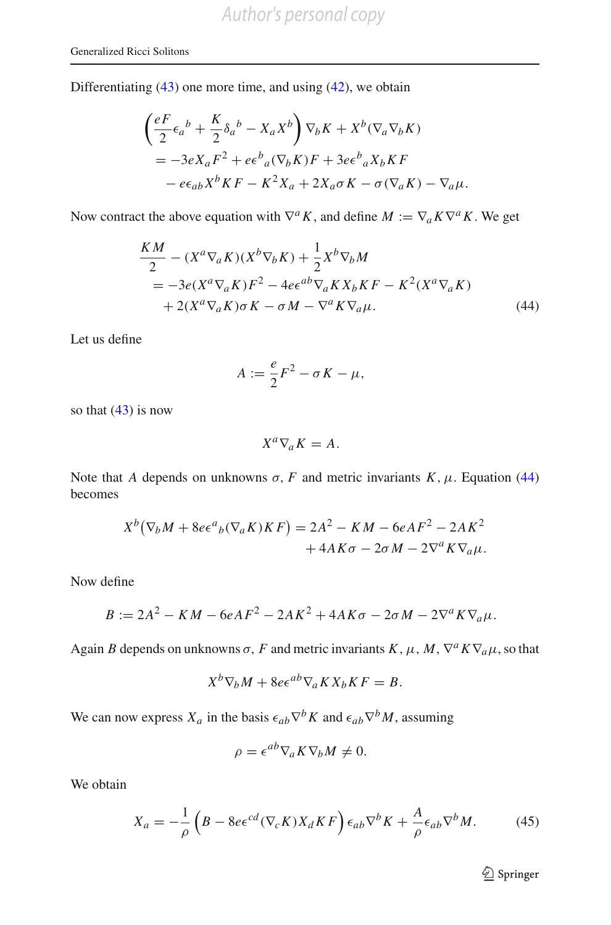Differentiating  $(43)$  one more time, and using  $(42)$ , we obtain

$$
\begin{aligned}\n\left(\frac{eF}{2}\epsilon_a{}^b + \frac{K}{2}\delta_a{}^b - X_a X^b\right)\nabla_b K + X^b (\nabla_a \nabla_b K) \\
&= -3eX_a F^2 + e\epsilon_a{}^b{}_a(\nabla_b K)F + 3e\epsilon_a{}^b{}_a X_b K F \\
&- e\epsilon_{ab}X^b K F - K^2 X_a + 2X_a \sigma K - \sigma(\nabla_a K) - \nabla_a \mu.\n\end{aligned}
$$

Now contract the above equation with  $\nabla^a K$ , and define  $M := \nabla_a K \nabla^a K$ . We get

$$
\frac{KM}{2} - (X^a \nabla_a K)(X^b \nabla_b K) + \frac{1}{2} X^b \nabla_b M
$$
  
=  $-3e(X^a \nabla_a K)F^2 - 4e\epsilon^{ab} \nabla_a K X_b K F - K^2 (X^a \nabla_a K)$   
+  $2(X^a \nabla_a K) \sigma K - \sigma M - \nabla^a K \nabla_a \mu.$  (44)

Let us define

<span id="page-22-0"></span>
$$
A := \frac{e}{2}F^2 - \sigma K - \mu,
$$

so that  $(43)$  is now

$$
X^a \nabla_a K = A.
$$

Note that *A* depends on unknowns  $\sigma$ , *F* and metric invariants *K*,  $\mu$ . Equation [\(44\)](#page-22-0) becomes

$$
X^{b}(\nabla_{b}M + 8e\epsilon^{a}{}_{b}(\nabla_{a}K)KF) = 2A^{2} - KM - 6eAF^{2} - 2AK^{2} + 4AK\sigma - 2\sigma M - 2\nabla^{a}K\nabla_{a}\mu.
$$

Now define

$$
B := 2A^2 - KM - 6eAF^2 - 2AK^2 + 4AK\sigma - 2\sigma M - 2\nabla^a K \nabla_a \mu.
$$

Again *B* depends on unknowns  $\sigma$ , *F* and metric invariants *K*,  $\mu$ , *M*,  $\nabla^a K \nabla_a \mu$ , so that

$$
X^{b}\nabla_{b}M + 8e\epsilon^{ab}\nabla_{a}K X_{b} K F = B.
$$

We can now express  $X_a$  in the basis  $\epsilon_{ab}\nabla^b K$  and  $\epsilon_{ab}\nabla^b M$ , assuming

$$
\rho = \epsilon^{ab} \nabla_a K \nabla_b M \neq 0.
$$

We obtain

$$
X_a = -\frac{1}{\rho} \left( B - 8e\epsilon^{cd} (\nabla_c K) X_d K F \right) \epsilon_{ab} \nabla^b K + \frac{A}{\rho} \epsilon_{ab} \nabla^b M. \tag{45}
$$

<span id="page-22-1"></span><sup>2</sup> Springer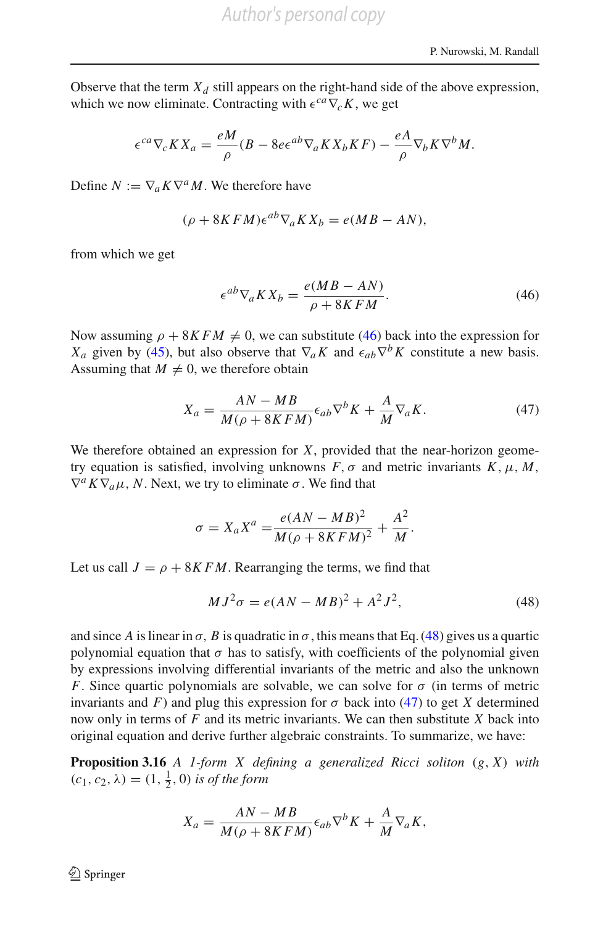Observe that the term  $X_d$  still appears on the right-hand side of the above expression, which we now eliminate. Contracting with  $\epsilon^{ca}\nabla_c K$ , we get

$$
\epsilon^{ca}\nabla_c K X_a = \frac{eM}{\rho}(B - 8e\epsilon^{ab}\nabla_a K X_b K F) - \frac{eA}{\rho}\nabla_b K \nabla^b M.
$$

Define  $N := \nabla_a K \nabla^a M$ . We therefore have

$$
(\rho + 8KFM)\epsilon^{ab}\nabla_a K X_b = e(MB - AN),
$$

from which we get

<span id="page-23-2"></span><span id="page-23-0"></span>
$$
\epsilon^{ab} \nabla_a K X_b = \frac{e(MB - AN)}{\rho + 8KFM}.
$$
\n(46)

Now assuming  $\rho + 8KFM \neq 0$ , we can substitute [\(46\)](#page-23-0) back into the expression for *X<sub>a</sub>* given by [\(45\)](#page-22-1), but also observe that  $\nabla_a K$  and  $\epsilon_{ab} \nabla^b K$  constitute a new basis. Assuming that  $M \neq 0$ , we therefore obtain

$$
X_a = \frac{AN - MB}{M(\rho + 8KFM)} \epsilon_{ab} \nabla^b K + \frac{A}{M} \nabla_a K.
$$
 (47)

We therefore obtained an expression for *X*, provided that the near-horizon geometry equation is satisfied, involving unknowns  $F$ ,  $\sigma$  and metric invariants  $K$ ,  $\mu$ ,  $M$ ,  $\nabla^a K \nabla_a \mu$ , *N*. Next, we try to eliminate  $\sigma$ . We find that

$$
\sigma = X_a X^a = \frac{e(AN - MB)^2}{M(\rho + 8KFM)^2} + \frac{A^2}{M}.
$$

<span id="page-23-1"></span>Let us call  $J = \rho + 8KFM$ . Rearranging the terms, we find that

$$
MJ^{2}\sigma = e(AN - MB)^{2} + A^{2}J^{2},
$$
\n(48)

and since *A* is linear in  $\sigma$ , *B* is quadratic in  $\sigma$ , this means that Eq. [\(48\)](#page-23-1) gives us a quartic polynomial equation that  $\sigma$  has to satisfy, with coefficients of the polynomial given by expressions involving differential invariants of the metric and also the unknown *F*. Since quartic polynomials are solvable, we can solve for  $\sigma$  (in terms of metric invariants and *F*) and plug this expression for  $\sigma$  back into [\(47\)](#page-23-2) to get *X* determined now only in terms of *F* and its metric invariants. We can then substitute *X* back into original equation and derive further algebraic constraints. To summarize, we have:

**Proposition 3.16** *A 1-form X defining a generalized Ricci soliton* (*g*, *X*) *with*  $(c_1, c_2, \lambda) = (1, \frac{1}{2}, 0)$  *is of the form* 

$$
X_a = \frac{AN - MB}{M(\rho + 8KFM)} \epsilon_{ab} \nabla^b K + \frac{A}{M} \nabla_a K,
$$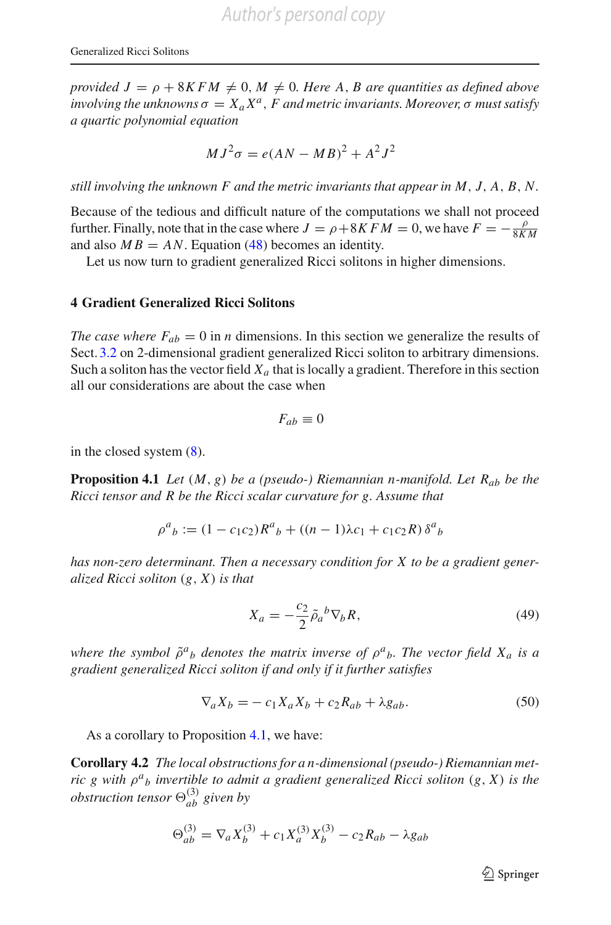*provided*  $J = \rho + 8KFM \neq 0, M \neq 0$ . Here A, B are quantities as defined above  $involving the unknowns \sigma = X_a X^a$ , *F* and metric invariants. Moreover,  $\sigma$  must satisfy *a quartic polynomial equation*

$$
MJ^2\sigma = e(AN - MB)^2 + A^2J^2
$$

*still involving the unknown F and the metric invariants that appear in M*, *J*, *A*, *B*, *N.*

Because of the tedious and difficult nature of the computations we shall not proceed further. Finally, note that in the case where  $J = \rho + 8KFM = 0$ , we have  $F = -\frac{\rho}{8KM}$ and also  $MB = AN$ . Equation [\(48\)](#page-23-1) becomes an identity.

Let us now turn to gradient generalized Ricci solitons in higher dimensions.

#### **4 Gradient Generalized Ricci Solitons**

*The case where*  $F_{ab} = 0$  in *n* dimensions. In this section we generalize the results of Sect. [3.2](#page-8-2) on 2-dimensional gradient generalized Ricci soliton to arbitrary dimensions. Such a soliton has the vector field  $X_a$  that is locally a gradient. Therefore in this section all our considerations are about the case when

$$
F_{ab}\equiv 0
$$

<span id="page-24-0"></span>in the closed system  $(8)$ .

**Proposition 4.1** *Let*  $(M, g)$  *be a (pseudo-) Riemannian n-manifold. Let*  $R_{ab}$  *be the Ricci tensor and R be the Ricci scalar curvature for g. Assume that*

$$
\rho^{a}{}_{b} := (1 - c_1 c_2) R^{a}{}_{b} + ((n - 1)\lambda c_1 + c_1 c_2 R) \delta^{a}{}_{b}
$$

*has non-zero determinant. Then a necessary condition for X to be a gradient generalized Ricci soliton* (*g*, *X*) *is that*

<span id="page-24-1"></span>
$$
X_a = -\frac{c_2}{2} \tilde{\rho}_a{}^b \nabla_b R,\tag{49}
$$

*where the symbol*  $\tilde{\rho}^a{}_b$  *denotes the matrix inverse of*  $\rho^a{}_b$ *. The vector field*  $X_a$  *is a gradient generalized Ricci soliton if and only if it further satisfies*

$$
\nabla_a X_b = -c_1 X_a X_b + c_2 R_{ab} + \lambda g_{ab}.
$$
\n(50)

As a corollary to Proposition [4.1,](#page-24-0) we have:

**Corollary 4.2** *The local obstructions for a n-dimensional (pseudo-) Riemannian metric g with* ρ*<sup>a</sup> <sup>b</sup> invertible to admit a gradient generalized Ricci soliton* (*g*, *X*) *is the obstruction tensor*  $\Theta_{ab}^{(3)}$  given by

$$
\Theta_{ab}^{(3)} = \nabla_a X_b^{(3)} + c_1 X_a^{(3)} X_b^{(3)} - c_2 R_{ab} - \lambda g_{ab}
$$

<span id="page-24-2"></span> $\mathcal{D}$  Springer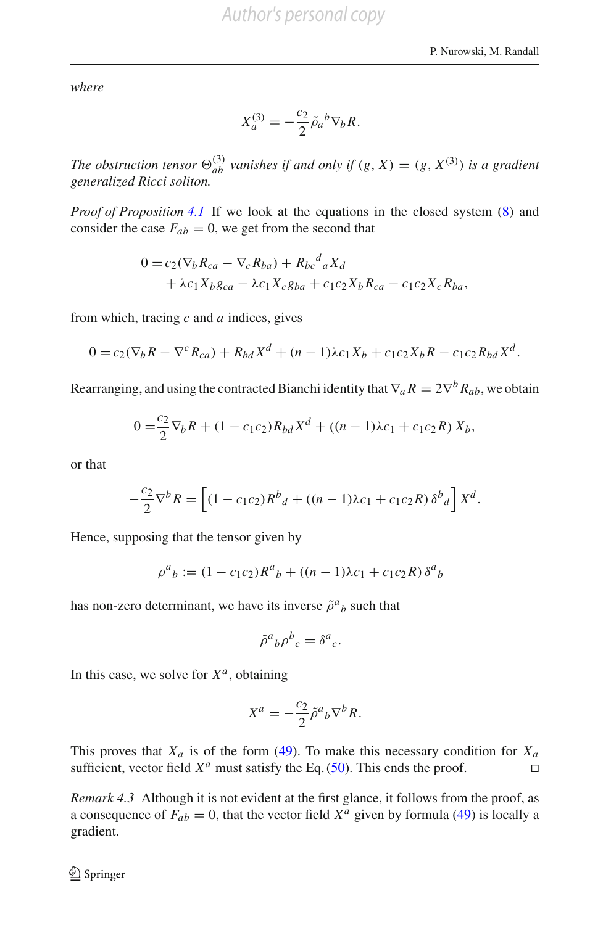*where*

$$
X_a^{(3)} = -\frac{c_2}{2} \tilde{\rho}_a{}^b \nabla_b R.
$$

*The obstruction tensor*  $\Theta_{ab}^{(3)}$  *vanishes if and only if*  $(g, X) = (g, X^{(3)})$  *is a gradient generalized Ricci soliton.*

*Proof of Proposition* [4.1](#page-24-0) If we look at the equations in the closed system  $(8)$  and consider the case  $F_{ab} = 0$ , we get from the second that

$$
0 = c_2(\nabla_b R_{ca} - \nabla_c R_{ba}) + R_{bc}{}^d{}_a X_d
$$
  
+  $\lambda c_1 X_b g_{ca} - \lambda c_1 X_c g_{ba} + c_1 c_2 X_b R_{ca} - c_1 c_2 X_c R_{ba},$ 

from which, tracing *c* and *a* indices, gives

$$
0 = c_2(\nabla_b R - \nabla^c R_{ca}) + R_{bd} X^d + (n-1)\lambda c_1 X_b + c_1 c_2 X_b R - c_1 c_2 R_{bd} X^d.
$$

Rearranging, and using the contracted Bianchi identity that  $\nabla_a R = 2\nabla^b R_{ab}$ , we obtain

$$
0 = \frac{c_2}{2} \nabla_b R + (1 - c_1 c_2) R_{bd} X^d + ((n - 1)\lambda c_1 + c_1 c_2 R) X_b,
$$

or that

$$
-\frac{c_2}{2}\nabla^b R = \left[ (1 - c_1 c_2) R^b{}_d + ((n-1)\lambda c_1 + c_1 c_2 R) \delta^b{}_d \right] X^d.
$$

Hence, supposing that the tensor given by

$$
\rho^{a}{}_{b} := (1 - c_1 c_2) R^{a}{}_{b} + ((n - 1)\lambda c_1 + c_1 c_2 R) \delta^{a}{}_{b}
$$

has non-zero determinant, we have its inverse  $\tilde{\rho}^a{}_b$  such that

$$
\tilde{\rho}^a{}_b \rho^b{}_c = \delta^a{}_c.
$$

In this case, we solve for  $X^a$ , obtaining

$$
X^a = -\frac{c_2}{2} \tilde{\rho}^a{}_b \nabla^b R.
$$

This proves that  $X_a$  is of the form [\(49\)](#page-24-1). To make this necessary condition for  $X_a$ sufficient, vector field  $X^a$  must satisfy the Eq. [\(50\)](#page-24-2). This ends the proof.  $\Box$ 

*Remark 4.3* Although it is not evident at the first glance, it follows from the proof, as a consequence of  $F_{ab} = 0$ , that the vector field  $X^a$  given by formula [\(49\)](#page-24-1) is locally a gradient.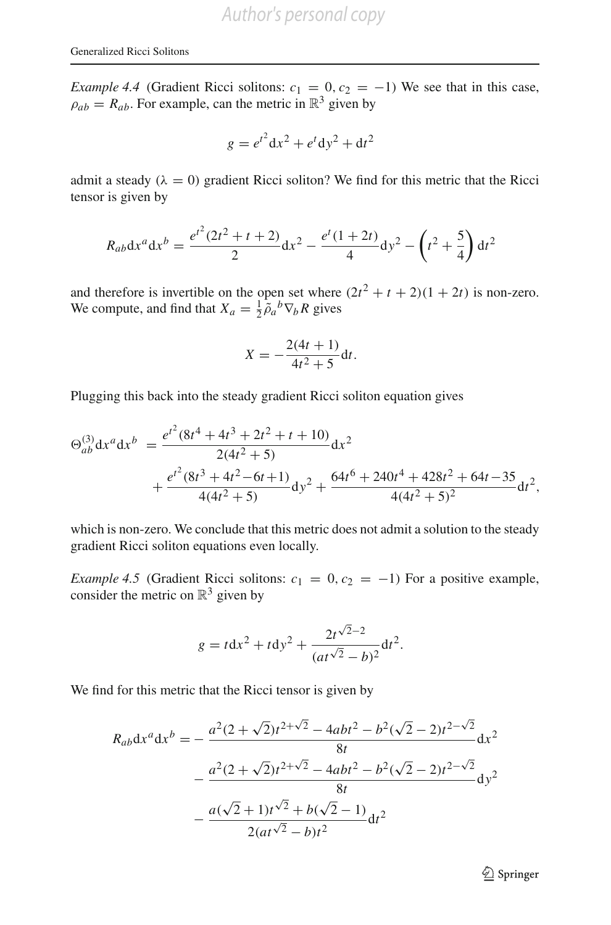*Example 4.4* (Gradient Ricci solitons:  $c_1 = 0$ ,  $c_2 = -1$ ) We see that in this case,  $\rho_{ab} = R_{ab}$ . For example, can the metric in  $\mathbb{R}^3$  given by

$$
g = e^{t^2} dx^2 + e^t dy^2 + dt^2
$$

admit a steady ( $\lambda = 0$ ) gradient Ricci soliton? We find for this metric that the Ricci tensor is given by

$$
R_{ab}dx^{a}dx^{b} = \frac{e^{t^{2}}(2t^{2} + t + 2)}{2}dx^{2} - \frac{e^{t}(1 + 2t)}{4}dy^{2} - \left(t^{2} + \frac{5}{4}\right)dt^{2}
$$

and therefore is invertible on the open set where  $(2t^2 + t + 2)(1 + 2t)$  is non-zero. We compute, and find that  $X_a = \frac{1}{2} \tilde{\rho}_a{}^b \nabla_b R$  gives

$$
X = -\frac{2(4t+1)}{4t^2+5}dt.
$$

Plugging this back into the steady gradient Ricci soliton equation gives

$$
\Theta_{ab}^{(3)} dx^a dx^b = \frac{e^{t^2} (8t^4 + 4t^3 + 2t^2 + t + 10)}{2(4t^2 + 5)} dx^2
$$
  
+ 
$$
\frac{e^{t^2} (8t^3 + 4t^2 - 6t + 1)}{4(4t^2 + 5)} dy^2 + \frac{64t^6 + 240t^4 + 428t^2 + 64t - 35}{4(4t^2 + 5)^2} dt^2,
$$

which is non-zero. We conclude that this metric does not admit a solution to the steady gradient Ricci soliton equations even locally.

<span id="page-26-0"></span>*Example 4.5* (Gradient Ricci solitons:  $c_1 = 0$ ,  $c_2 = -1$ ) For a positive example, consider the metric on  $\mathbb{R}^3$  given by

$$
g = t dx^{2} + t dy^{2} + \frac{2t^{\sqrt{2}-2}}{(at^{\sqrt{2}} - b)^{2}} dt^{2}.
$$

We find for this metric that the Ricci tensor is given by

$$
R_{ab}dx^{a}dx^{b} = -\frac{a^{2}(2+\sqrt{2})t^{2+\sqrt{2}}-4abt^{2}-b^{2}(\sqrt{2}-2)t^{2-\sqrt{2}}}{8t}dx^{2}
$$

$$
-\frac{a^{2}(2+\sqrt{2})t^{2+\sqrt{2}}-4abt^{2}-b^{2}(\sqrt{2}-2)t^{2-\sqrt{2}}}{8t}dy^{2}
$$

$$
-\frac{a(\sqrt{2}+1)t^{\sqrt{2}}+b(\sqrt{2}-1)}{2(at^{\sqrt{2}}-b)t^{2}}dt^{2}
$$

<sup>2</sup> Springer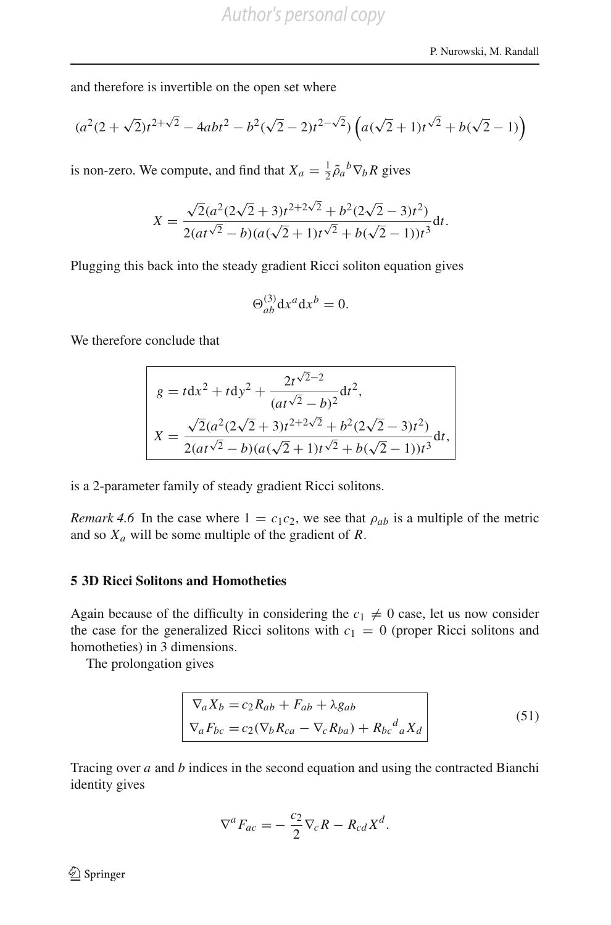and therefore is invertible on the open set where

$$
(a^2(2+\sqrt{2})t^{2+\sqrt{2}}-4abt^2-b^2(\sqrt{2}-2)t^{2-\sqrt{2}})\left(a(\sqrt{2}+1)t^{\sqrt{2}}+b(\sqrt{2}-1)\right)
$$

is non-zero. We compute, and find that  $X_a = \frac{1}{2} \tilde{\rho}_a{}^b \nabla_b R$  gives

$$
X = \frac{\sqrt{2}(a^2(2\sqrt{2}+3)t^{2+2\sqrt{2}} + b^2(2\sqrt{2}-3)t^2)}{2(at^{\sqrt{2}} - b)(a(\sqrt{2}+1)t^{\sqrt{2}} + b(\sqrt{2}-1))t^3}dt.
$$

Plugging this back into the steady gradient Ricci soliton equation gives

$$
\Theta_{ab}^{(3)} \mathrm{d}x^a \mathrm{d}x^b = 0.
$$

We therefore conclude that

$$
g = t dx^{2} + t dy^{2} + \frac{2t^{\sqrt{2}-2}}{(at^{\sqrt{2}} - b)^{2}} dt^{2},
$$
  

$$
X = \frac{\sqrt{2}(a^{2}(2\sqrt{2} + 3)t^{2+2\sqrt{2}} + b^{2}(2\sqrt{2} - 3)t^{2})}{2(at^{\sqrt{2}} - b)(a(\sqrt{2} + 1)t^{\sqrt{2}} + b(\sqrt{2} - 1))t^{3}} dt,
$$

is a 2-parameter family of steady gradient Ricci solitons.

*Remark 4.6* In the case where  $1 = c_1c_2$ , we see that  $\rho_{ab}$  is a multiple of the metric and so *Xa* will be some multiple of the gradient of *R*.

#### <span id="page-27-0"></span>**5 3D Ricci Solitons and Homotheties**

Again because of the difficulty in considering the  $c_1 \neq 0$  case, let us now consider the case for the generalized Ricci solitons with  $c_1 = 0$  (proper Ricci solitons and homotheties) in 3 dimensions.

<span id="page-27-1"></span>The prolongation gives

$$
\nabla_a X_b = c_2 R_{ab} + F_{ab} + \lambda g_{ab}
$$
  
\n
$$
\nabla_a F_{bc} = c_2 (\nabla_b R_{ca} - \nabla_c R_{ba}) + R_{bc}{}^d{}_a X_d
$$
\n(51)

Tracing over *a* and *b* indices in the second equation and using the contracted Bianchi identity gives

$$
\nabla^a F_{ac} = -\frac{c_2}{2} \nabla_c R - R_{cd} X^d.
$$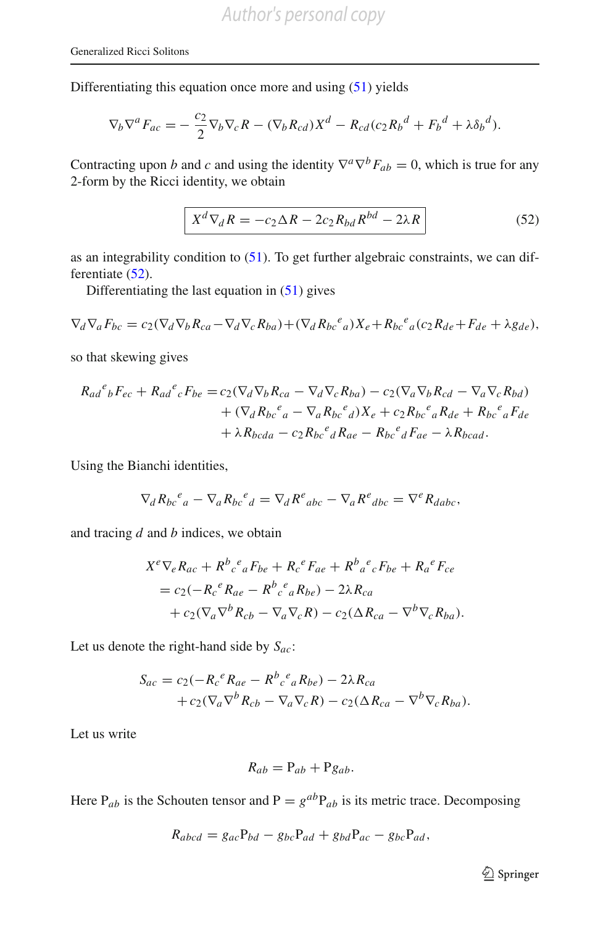Differentiating this equation once more and using [\(51\)](#page-27-1) yields

$$
\nabla_b \nabla^a F_{ac} = -\frac{c_2}{2} \nabla_b \nabla_c R - (\nabla_b R_{cd}) X^d - R_{cd} (c_2 R_b^d + F_b^d + \lambda \delta_b^d).
$$

Contracting upon *b* and *c* and using the identity  $\nabla^a \nabla^b F_{ab} = 0$ , which is true for any 2-form by the Ricci identity, we obtain

$$
X^{d} \nabla_{d} R = -c_{2} \Delta R - 2c_{2} R_{bd} R^{bd} - 2\lambda R \qquad (52)
$$

<span id="page-28-0"></span>as an integrability condition to  $(51)$ . To get further algebraic constraints, we can dif-ferentiate [\(52\)](#page-28-0).

Differentiating the last equation in [\(51\)](#page-27-1) gives

$$
\nabla_d \nabla_a F_{bc} = c_2 (\nabla_d \nabla_b R_{ca} - \nabla_d \nabla_c R_{ba}) + (\nabla_d R_{bc}{}^e{}_a) X_e + R_{bc}{}^e{}_a (c_2 R_{de} + F_{de} + \lambda g_{de}),
$$

so that skewing gives

$$
R_{ad}^e{}_b F_{ec} + R_{ad}^e{}_c F_{be} = c_2 (\nabla_d \nabla_b R_{ca} - \nabla_d \nabla_c R_{ba}) - c_2 (\nabla_a \nabla_b R_{cd} - \nabla_a \nabla_c R_{bd})
$$
  
+ 
$$
(\nabla_d R_{bc}^e{}_a - \nabla_a R_{bc}^e{}_d) X_e + c_2 R_{bc}^e{}_a R_{de} + R_{bc}^e{}_a F_{de}
$$
  
+ 
$$
\lambda R_{bcda} - c_2 R_{bc}^e{}_d R_{ae} - R_{bc}^e{}_d F_{ae} - \lambda R_{bcad}.
$$

Using the Bianchi identities,

$$
\nabla_d R_{bc}{}^e{}_a - \nabla_a R_{bc}{}^e{}_d = \nabla_d R^e{}_{abc} - \nabla_a R^e{}_{dbc} = \nabla^e R_{dabc},
$$

and tracing *d* and *b* indices, we obtain

$$
X^{e} \nabla_{e} R_{ac} + R^{b}{}_{c}{}^{e}{}_{a} F_{be} + R_{c}{}^{e} F_{ae} + R^{b}{}_{a}{}^{e}{}_{c} F_{be} + R_{a}{}^{e} F_{ce}
$$
  
=  $c_{2} (-R_{c}{}^{e} R_{ae} - R^{b}{}_{c}{}^{e}{}_{a} R_{be}) - 2\lambda R_{ca}$   
+  $c_{2} (\nabla_{a} \nabla^{b} R_{cb} - \nabla_{a} \nabla_{c} R) - c_{2} (\Delta R_{ca} - \nabla^{b} \nabla_{c} R_{ba}).$ 

Let us denote the right-hand side by *Sac*:

$$
S_{ac} = c_2(-R_c{}^e R_{ae} - R^b{}_c{}^e{}_a R_{be}) - 2\lambda R_{ca}
$$
  
+  $c_2(\nabla_a \nabla^b R_{cb} - \nabla_a \nabla_c R) - c_2(\Delta R_{ca} - \nabla^b \nabla_c R_{ba}).$ 

Let us write

$$
R_{ab} = P_{ab} + P g_{ab}.
$$

Here  $P_{ab}$  is the Schouten tensor and  $P = g^{ab}P_{ab}$  is its metric trace. Decomposing

$$
R_{abcd} = g_{ac}P_{bd} - g_{bc}P_{ad} + g_{bd}P_{ac} - g_{bc}P_{ad},
$$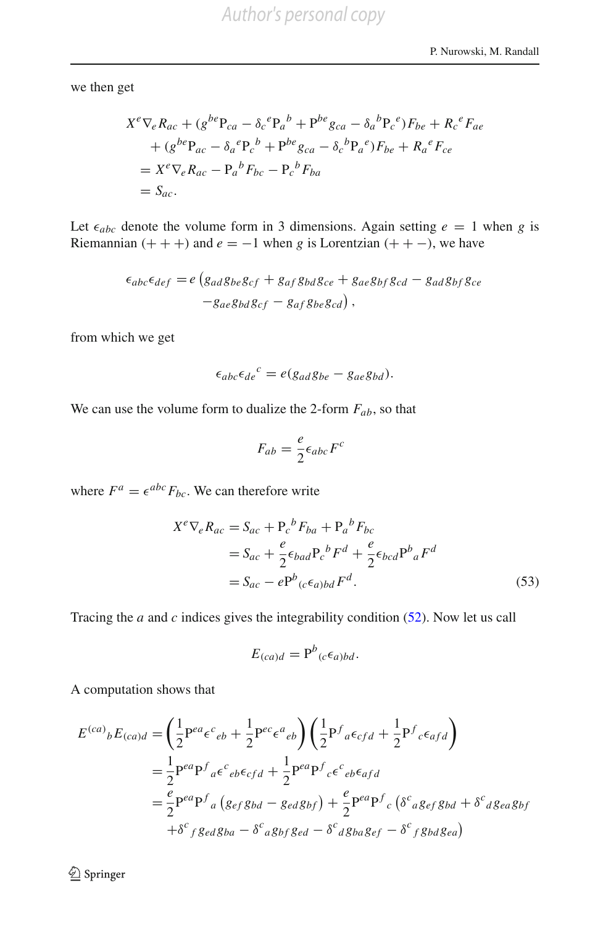we then get

$$
X^e \nabla_e R_{ac} + (g^{be} P_{ca} - \delta_c^e P_a^b + P^{be} g_{ca} - \delta_a^b P_c^e) F_{be} + R_c^e F_{ae}
$$
  
+ 
$$
(g^{be} P_{ac} - \delta_a^e P_c^b + P^{be} g_{ca} - \delta_c^b P_a^e) F_{be} + R_a^e F_{ce}
$$
  
= 
$$
X^e \nabla_e R_{ac} - P_a^b F_{bc} - P_c^b F_{ba}
$$
  
= 
$$
S_{ac}.
$$

Let  $\epsilon_{abc}$  denote the volume form in 3 dimensions. Again setting  $e = 1$  when *g* is Riemannian  $(++)$  and  $e = -1$  when *g* is Lorentzian  $(++)$ , we have

$$
\epsilon_{abc}\epsilon_{def} = e \left( g_{ad}g_{be}g_{cf} + g_{af}g_{bd}g_{ce} + g_{ae}g_{bf}g_{cd} - g_{ad}g_{bf}g_{ce} \right)
$$

$$
-g_{ae}g_{bd}g_{cf} - g_{af}g_{be}g_{cd} \right),
$$

from which we get

$$
\epsilon_{abc}\epsilon_{de}^c = e(g_{ad}g_{be} - g_{ae}g_{bd}).
$$

We can use the volume form to dualize the 2-form *Fab*, so that

$$
F_{ab} = \frac{e}{2} \epsilon_{abc} F^c
$$

where  $F^a = \epsilon^{abc} F_{bc}$ . We can therefore write

$$
X^{e} \nabla_{e} R_{ac} = S_{ac} + P_{c}{}^{b} F_{ba} + P_{a}{}^{b} F_{bc}
$$
  
=  $S_{ac} + \frac{e}{2} \epsilon_{bad} P_{c}{}^{b} F^{d} + \frac{e}{2} \epsilon_{bcd} P^{b}{}_{a} F^{d}$   
=  $S_{ac} - e P^{b}{}_{(c} \epsilon_{a)bd} F^{d}$ . (53)

Tracing the *a* and *c* indices gives the integrability condition [\(52\)](#page-28-0). Now let us call

<span id="page-29-0"></span>
$$
E_{(ca)d} = \mathrm{P}^b{}_{(c} \epsilon_{a)bd}.
$$

A computation shows that

$$
E^{(ca)}{}_{b}E_{(ca)d} = \left(\frac{1}{2}P^{ea}\epsilon^{c}{}_{eb} + \frac{1}{2}P^{ec}\epsilon^{a}{}_{eb}\right)\left(\frac{1}{2}P^{f}{}_{a}\epsilon_{cfd} + \frac{1}{2}P^{f}{}_{c}\epsilon_{afd}\right)
$$
  
\n
$$
= \frac{1}{2}P^{ea}P^{f}{}_{a}\epsilon^{c}{}_{eb}\epsilon_{cfd} + \frac{1}{2}P^{ea}P^{f}{}_{c}\epsilon^{c}{}_{eb}\epsilon_{afd}
$$
  
\n
$$
= \frac{e}{2}P^{ea}P^{f}{}_{a}\left(g_{ef}g_{bd} - g_{ed}g_{bf}\right) + \frac{e}{2}P^{ea}P^{f}{}_{c}\left(\delta^{c}{}_{a}g_{ef}g_{bd} + \delta^{c}{}_{d}g_{ea}g_{bf}\right)
$$
  
\n
$$
+ \delta^{c}{}_{f}g_{ed}g_{ba} - \delta^{c}{}_{a}g_{bf}g_{ed} - \delta^{c}{}_{d}g_{ba}g_{ef} - \delta^{c}{}_{f}g_{bd}g_{ea}\right)
$$

<sup>2</sup> Springer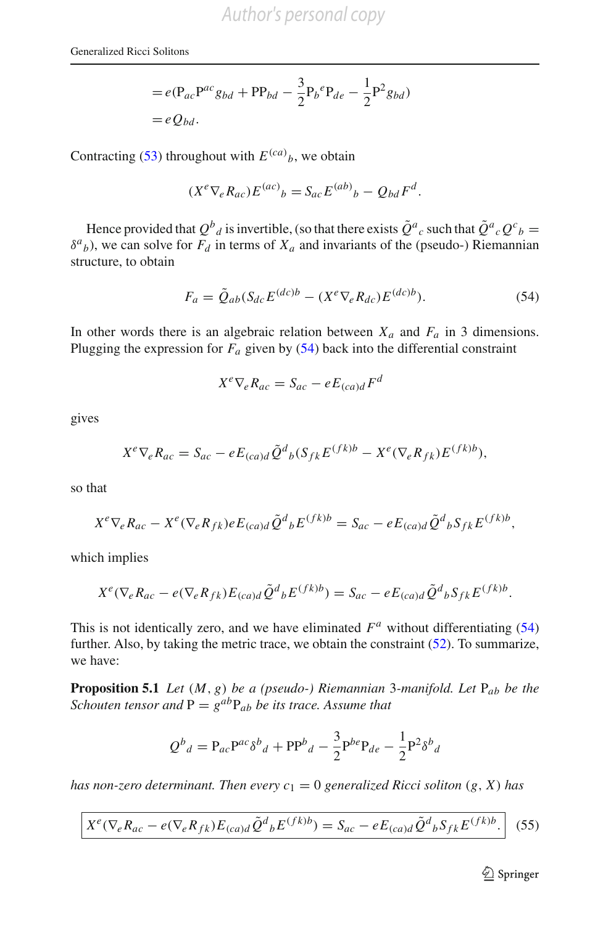$$
= e(\mathbf{P}_{ac}\mathbf{P}^{ac}g_{bd} + \mathbf{P}\mathbf{P}_{bd} - \frac{3}{2}\mathbf{P}_{b}{}^{e}\mathbf{P}_{de} - \frac{1}{2}\mathbf{P}^{2}g_{bd})
$$

$$
= eQ_{bd}.
$$

Contracting [\(53\)](#page-29-0) throughout with  $E^{(ca)}_b$ , we obtain

$$
(X^e \nabla_e R_{ac}) E^{(ac)}{}_b = S_{ac} E^{(ab)}{}_b - Q_{bd} F^d.
$$

Hence provided that  $Q^b{}_d$  is invertible, (so that there exists  $\tilde{Q}^a{}_c$  such that  $\tilde{Q}^a{}_c Q^c{}_b =$  $\delta^{a}$ <sub>*b*</sub>), we can solve for *F<sub>d</sub>* in terms of *X<sub>a</sub>* and invariants of the (pseudo-) Riemannian structure, to obtain

$$
F_a = \tilde{Q}_{ab} (S_{dc} E^{(dc)b} - (X^e \nabla_e R_{dc}) E^{(dc)b}).
$$
\n(54)

In other words there is an algebraic relation between  $X_a$  and  $F_a$  in 3 dimensions. Plugging the expression for  $F_a$  given by  $(54)$  back into the differential constraint

<span id="page-30-0"></span>
$$
X^e \nabla_e R_{ac} = S_{ac} - e E_{(ca)d} F^d
$$

gives

$$
X^e \nabla_e R_{ac} = S_{ac} - e E_{(ca)d} \tilde{Q}^d{}_b (S_{fk} E^{(fk)b} - X^e (\nabla_e R_{fk}) E^{(fk)b}),
$$

so that

$$
X^e \nabla_e R_{ac} - X^e (\nabla_e R_{fk}) e E_{(ca)d} \tilde{Q}^d{}_b E^{(fk)b} = S_{ac} - e E_{(ca)d} \tilde{Q}^d{}_b S_{fk} E^{(fk)b},
$$

which implies

$$
X^{e}(\nabla_{e}R_{ac}-e(\nabla_{e}R_{fk})E_{(ca)d}\tilde{Q}^{d}{}_{b}E^{(fk)b})=S_{ac}-eE_{(ca)d}\tilde{Q}^{d}{}_{b}S_{fk}E^{(fk)b}.
$$

This is not identically zero, and we have eliminated  $F^a$  without differentiating  $(54)$ further. Also, by taking the metric trace, we obtain the constraint  $(52)$ . To summarize, we have:

**Proposition 5.1** *Let* (*M*, *g*) *be a (pseudo-) Riemannian* 3*-manifold. Let* P*ab be the Schouten tensor and*  $P = g^{ab}P_{ab}$  *be its trace. Assume that* 

$$
Q^{b}{}_{d} = P_{ac}P^{ac}\delta^{b}{}_{d} + PP^{b}{}_{d} - \frac{3}{2}P^{be}P_{de} - \frac{1}{2}P^{2}\delta^{b}{}_{d}
$$

<span id="page-30-1"></span>*has non-zero determinant. Then every*  $c_1 = 0$  *generalized Ricci soliton*  $(g, X)$  *has* 

$$
X^{e}(\nabla_{e}R_{ac}-e(\nabla_{e}R_{fk})E_{(ca)d}\tilde{Q}^{d}{}_{b}E^{(fk)b})=S_{ac}-eE_{(ca)d}\tilde{Q}^{d}{}_{b}S_{fk}E^{(fk)b}.\tag{55}
$$

 $\mathcal{D}$  Springer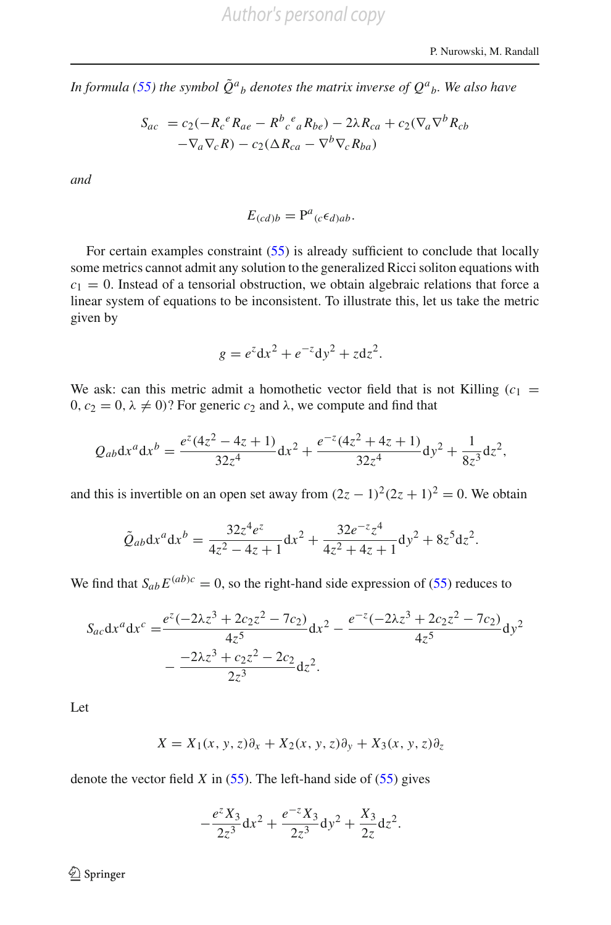In formula [\(55\)](#page-30-1) the symbol  $\tilde{Q}^{a}{}_{b}$  denotes the matrix inverse of  $Q^{a}{}_{b}$ . We also have

$$
S_{ac} = c_2(-R_c{}^e R_{ae} - R^b{}_c{}^e{}_a R_{be}) - 2\lambda R_{ca} + c_2(\nabla_a \nabla^b R_{cb} - \nabla_a \nabla_c R) - c_2(\Delta R_{ca} - \nabla^b \nabla_c R_{ba})
$$

*and*

$$
E_{(cd)b} = \mathbf{P}^a{}_{(c} \epsilon_{d)ab}.
$$

For certain examples constraint [\(55\)](#page-30-1) is already sufficient to conclude that locally some metrics cannot admit any solution to the generalized Ricci soliton equations with  $c_1 = 0$ . Instead of a tensorial obstruction, we obtain algebraic relations that force a linear system of equations to be inconsistent. To illustrate this, let us take the metric given by

$$
g = e^z dx^2 + e^{-z} dy^2 + z dz^2.
$$

We ask: can this metric admit a homothetic vector field that is not Killing  $(c_1 =$  $0, c_2 = 0, \lambda \neq 0$ ? For generic  $c_2$  and  $\lambda$ , we compute and find that

$$
Q_{ab}dx^{a}dx^{b} = \frac{e^{z}(4z^{2} - 4z + 1)}{32z^{4}}dx^{2} + \frac{e^{-z}(4z^{2} + 4z + 1)}{32z^{4}}dy^{2} + \frac{1}{8z^{3}}dz^{2},
$$

and this is invertible on an open set away from  $(2z - 1)^2(2z + 1)^2 = 0$ . We obtain

$$
\tilde{Q}_{ab}dx^{a}dx^{b} = \frac{32z^{4}e^{z}}{4z^{2} - 4z + 1}dx^{2} + \frac{32e^{-z}z^{4}}{4z^{2} + 4z + 1}dy^{2} + 8z^{5}dz^{2}.
$$

We find that  $S_{ab}E^{(ab)c} = 0$ , so the right-hand side expression of [\(55\)](#page-30-1) reduces to

$$
S_{ac}dx^{a}dx^{c} = \frac{e^{z}(-2\lambda z^{3} + 2c_{2}z^{2} - 7c_{2})}{4z^{5}}dx^{2} - \frac{e^{-z}(-2\lambda z^{3} + 2c_{2}z^{2} - 7c_{2})}{4z^{5}}dy^{2} - \frac{-2\lambda z^{3} + c_{2}z^{2} - 2c_{2}}{2z^{3}}dz^{2}.
$$

Let

$$
X = X_1(x, y, z)\partial_x + X_2(x, y, z)\partial_y + X_3(x, y, z)\partial_z
$$

denote the vector field  $X$  in  $(55)$ . The left-hand side of  $(55)$  gives

$$
-\frac{e^z X_3}{2z^3} \mathrm{d} x^2 + \frac{e^{-z} X_3}{2z^3} \mathrm{d} y^2 + \frac{X_3}{2z} \mathrm{d} z^2.
$$

<sup>2</sup> Springer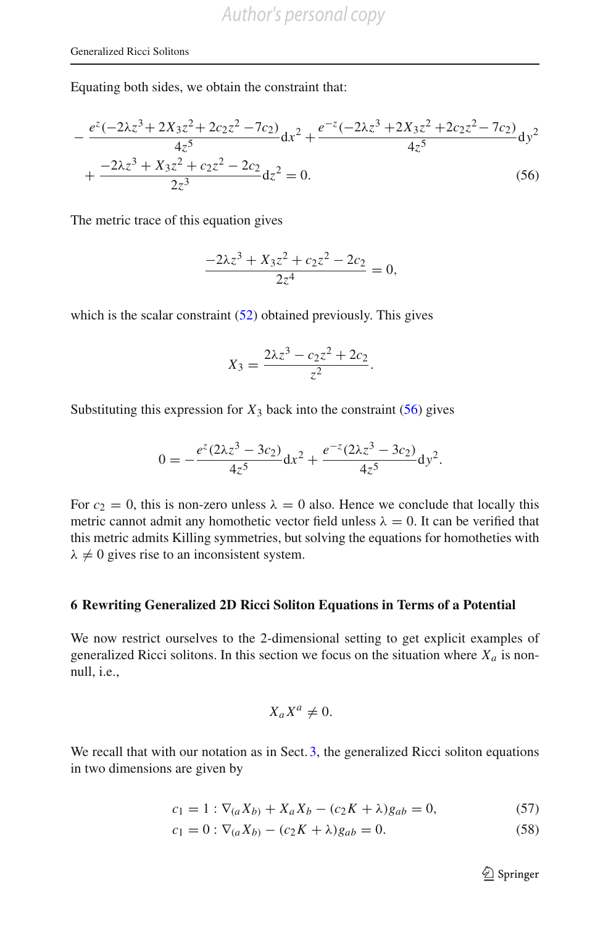Equating both sides, we obtain the constraint that:

$$
-\frac{e^{z}(-2\lambda z^{3} + 2X_{3}z^{2} + 2c_{2}z^{2} - 7c_{2})}{4z^{5}}dx^{2} + \frac{e^{-z}(-2\lambda z^{3} + 2X_{3}z^{2} + 2c_{2}z^{2} - 7c_{2})}{4z^{5}}dy^{2} + \frac{-2\lambda z^{3} + X_{3}z^{2} + c_{2}z^{2} - 2c_{2}}{2z^{3}}dz^{2} = 0.
$$
\n(56)

The metric trace of this equation gives

<span id="page-32-1"></span>
$$
\frac{-2\lambda z^3 + X_3 z^2 + c_2 z^2 - 2c_2}{2z^4} = 0,
$$

which is the scalar constraint  $(52)$  obtained previously. This gives

$$
X_3 = \frac{2\lambda z^3 - c_2 z^2 + 2c_2}{z^2}.
$$

Substituting this expression for  $X_3$  back into the constraint  $(56)$  gives

$$
0 = -\frac{e^{z}(2\lambda z^{3} - 3c_{2})}{4z^{5}}dx^{2} + \frac{e^{-z}(2\lambda z^{3} - 3c_{2})}{4z^{5}}dy^{2}.
$$

For  $c_2 = 0$ , this is non-zero unless  $\lambda = 0$  also. Hence we conclude that locally this metric cannot admit any homothetic vector field unless  $\lambda = 0$ . It can be verified that this metric admits Killing symmetries, but solving the equations for homotheties with  $\lambda \neq 0$  gives rise to an inconsistent system.

#### <span id="page-32-0"></span>**6 Rewriting Generalized 2D Ricci Soliton Equations in Terms of a Potential**

We now restrict ourselves to the 2-dimensional setting to get explicit examples of generalized Ricci solitons. In this section we focus on the situation where  $X_a$  is nonnull, i.e.,

$$
X_a X^a \neq 0.
$$

We recall that with our notation as in Sect. [3,](#page-6-2) the generalized Ricci soliton equations in two dimensions are given by

$$
c_1 = 1 : \nabla_{(a} X_{b)} + X_a X_b - (c_2 K + \lambda) g_{ab} = 0,
$$
\n(57)

$$
c_1 = 0 : \nabla_{(a} X_{b)} - (c_2 K + \lambda) g_{ab} = 0.
$$
 (58)

<sup>2</sup> Springer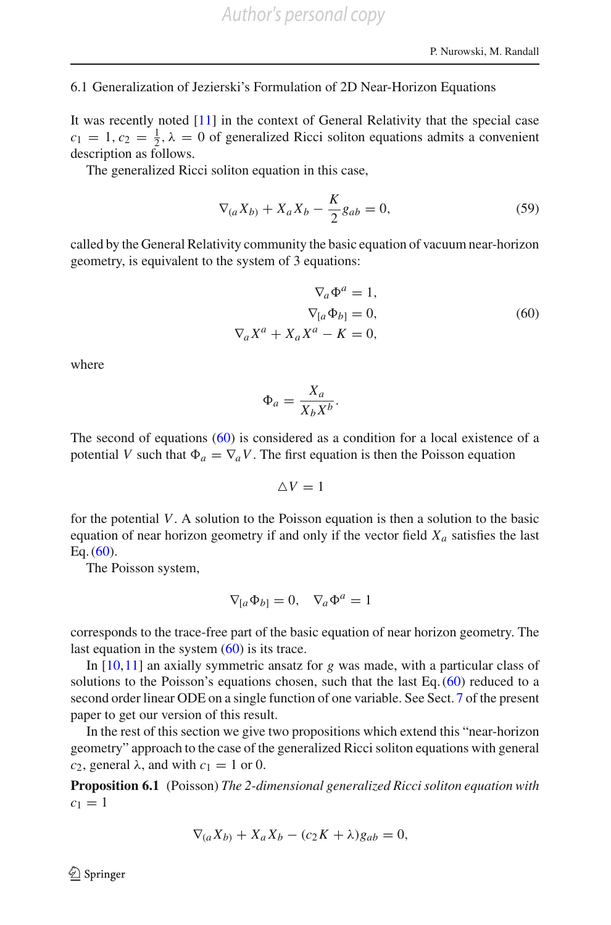#### 6.1 Generalization of Jezierski's Formulation of 2D Near-Horizon Equations

It was recently noted [\[11\]](#page-67-13) in the context of General Relativity that the special case  $c_1 = 1, c_2 = \frac{1}{2}, \lambda = 0$  of generalized Ricci soliton equations admits a convenient description as follows.

The generalized Ricci soliton equation in this case,

$$
\nabla_{(a}X_{b)} + X_{a}X_{b} - \frac{K}{2}g_{ab} = 0, \tag{59}
$$

called by the General Relativity community the basic equation of vacuum near-horizon geometry, is equivalent to the system of 3 equations:

$$
\nabla_a \Phi^a = 1,
$$
  
\n
$$
\nabla_{[a} \Phi_{b]} = 0,
$$
  
\n
$$
\nabla_a X^a + X_a X^a - K = 0,
$$
\n(60)

<span id="page-33-0"></span>where

$$
\Phi_a = \frac{X_a}{X_b X^b}.
$$

The second of equations [\(60\)](#page-33-0) is considered as a condition for a local existence of a potential *V* such that  $\Phi_a = \nabla_a V$ . The first equation is then the Poisson equation

 $\triangle V=1$ 

for the potential *V*. A solution to the Poisson equation is then a solution to the basic equation of near horizon geometry if and only if the vector field  $X_a$  satisfies the last Eq.  $(60)$ .

The Poisson system,

$$
\nabla_{[a}\Phi_{b]} = 0, \quad \nabla_a \Phi^a = 1
$$

corresponds to the trace-free part of the basic equation of near horizon geometry. The last equation in the system  $(60)$  is its trace.

In [\[10](#page-67-7),[11\]](#page-67-13) an axially symmetric ansatz for *g* was made, with a particular class of solutions to the Poisson's equations chosen, such that the last Eq.  $(60)$  reduced to a second order linear ODE on a single function of one variable. See Sect. [7](#page-34-0) of the present paper to get our version of this result.

In the rest of this section we give two propositions which extend this "near-horizon geometry" approach to the case of the generalized Ricci soliton equations with general *c*<sub>2</sub>, general  $\lambda$ , and with  $c_1 = 1$  or 0.

**Proposition 6.1** (Poisson) *The 2-dimensional generalized Ricci soliton equation with*  $c_1 = 1$ 

<span id="page-33-1"></span>
$$
\nabla_{(a}X_{b)} + X_a X_b - (c_2 K + \lambda)g_{ab} = 0,
$$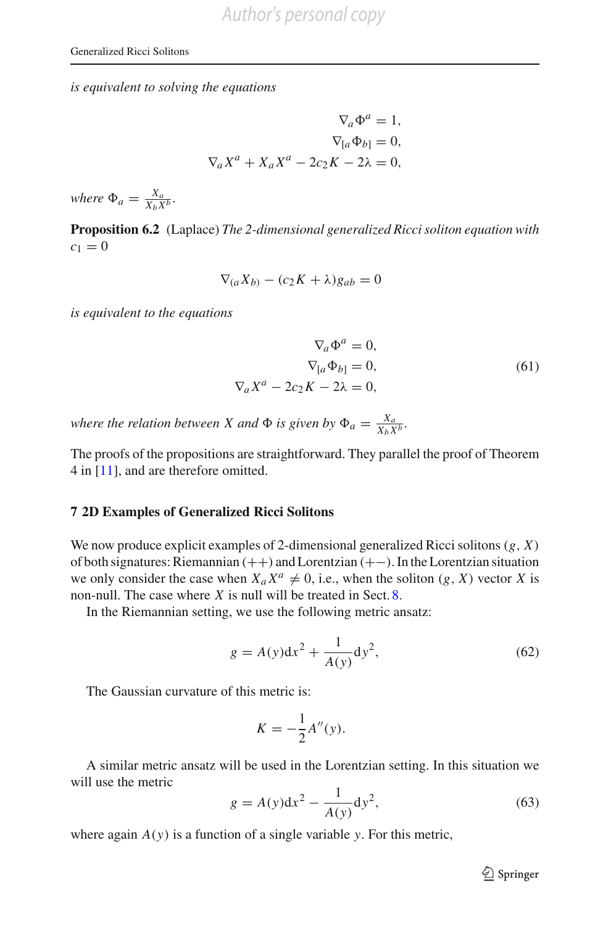*is equivalent to solving the equations*

$$
\nabla_a \Phi^a = 1,
$$
  
\n
$$
\nabla_{[a} \Phi_{b]} = 0,
$$
  
\n
$$
\nabla_a X^a + X_a X^a - 2c_2 K - 2\lambda = 0,
$$

*where*  $\Phi_a = \frac{X_a}{X_b X^b}$ .

<span id="page-34-3"></span>**Proposition 6.2** (Laplace) *The 2-dimensional generalized Ricci soliton equation with*  $c_1 = 0$ 

$$
\nabla_{(a}X_{b)} - (c_2K + \lambda)g_{ab} = 0
$$

<span id="page-34-4"></span>*is equivalent to the equations*

$$
\nabla_a \Phi^a = 0,
$$
  
\n
$$
\nabla_{[a} \Phi_{b]} = 0,
$$
  
\n
$$
\nabla_a X^a - 2c_2 K - 2\lambda = 0,
$$
\n(61)

*where the relation between X and*  $\Phi$  *is given by*  $\Phi_a = \frac{X_a}{X_b X^b}$ .

The proofs of the propositions are straightforward. They parallel the proof of Theorem 4 in [\[11\]](#page-67-13), and are therefore omitted.

#### <span id="page-34-0"></span>**7 2D Examples of Generalized Ricci Solitons**

We now produce explicit examples of 2-dimensional generalized Ricci solitons(*g*, *X*) of both signatures: Riemannian (++) and Lorentzian (+−). In the Lorentzian situation we only consider the case when  $X_a X^a \neq 0$ , i.e., when the soliton  $(g, X)$  vector *X* is non-null. The case where *X* is null will be treated in Sect. [8.](#page-56-0)

<span id="page-34-1"></span>In the Riemannian setting, we use the following metric ansatz:

$$
g = A(y)dx^{2} + \frac{1}{A(y)}dy^{2},
$$
\n(62)

The Gaussian curvature of this metric is:

$$
K = -\frac{1}{2}A''(y).
$$

A similar metric ansatz will be used in the Lorentzian setting. In this situation we will use the metric

$$
g = A(y)dx^{2} - \frac{1}{A(y)}dy^{2},
$$
\n(63)

<span id="page-34-2"></span>where again  $A(y)$  is a function of a single variable *y*. For this metric,

<sup>2</sup> Springer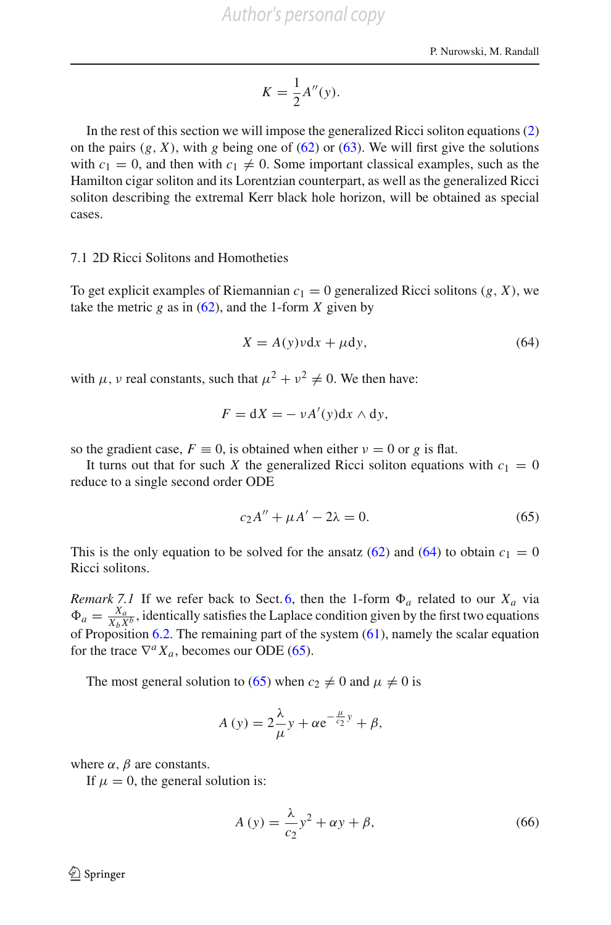$$
K = \frac{1}{2}A''(y).
$$

In the rest of this section we will impose the generalized Ricci soliton equations [\(2\)](#page-3-1) on the pairs  $(g, X)$ , with *g* being one of  $(62)$  or  $(63)$ . We will first give the solutions with  $c_1 = 0$ , and then with  $c_1 \neq 0$ . Some important classical examples, such as the Hamilton cigar soliton and its Lorentzian counterpart, as well as the generalized Ricci soliton describing the extremal Kerr black hole horizon, will be obtained as special cases.

#### 7.1 2D Ricci Solitons and Homotheties

To get explicit examples of Riemannian  $c_1 = 0$  generalized Ricci solitons  $(g, X)$ , we take the metric  $g$  as in  $(62)$ , and the 1-form  $X$  given by

<span id="page-35-0"></span>
$$
X = A(y)vdx + \mu dy,
$$
\n(64)

with  $\mu$ ,  $\nu$  real constants, such that  $\mu^2 + \nu^2 \neq 0$ . We then have:

$$
F = dX = -\nu A'(y)dx \wedge dy,
$$

so the gradient case,  $F \equiv 0$ , is obtained when either  $v = 0$  or g is flat.

It turns out that for such X the generalized Ricci soliton equations with  $c_1 = 0$ reduce to a single second order ODE

<span id="page-35-1"></span>
$$
c_2A'' + \mu A' - 2\lambda = 0. \tag{65}
$$

This is the only equation to be solved for the ansatz  $(62)$  and  $(64)$  to obtain  $c_1 = 0$ Ricci solitons.

*Remark 7.1* If we refer back to Sect. [6,](#page-32-0) then the 1-form  $\Phi_a$  related to our  $X_a$  via  $\Phi_a = \frac{X_a}{X_b X^b}$ , identically satisfies the Laplace condition given by the first two equations of Proposition  $6.2$ . The remaining part of the system  $(61)$ , namely the scalar equation for the trace  $\nabla^a X_a$ , becomes our ODE [\(65\)](#page-35-1).

The most general solution to [\(65\)](#page-35-1) when  $c_2 \neq 0$  and  $\mu \neq 0$  is

$$
A(y) = 2\frac{\lambda}{\mu}y + \alpha e^{-\frac{\mu}{c_2}y} + \beta,
$$

where  $\alpha$ ,  $\beta$  are constants.

If  $\mu = 0$ , the general solution is:

$$
A(y) = \frac{\lambda}{c_2}y^2 + \alpha y + \beta,\tag{66}
$$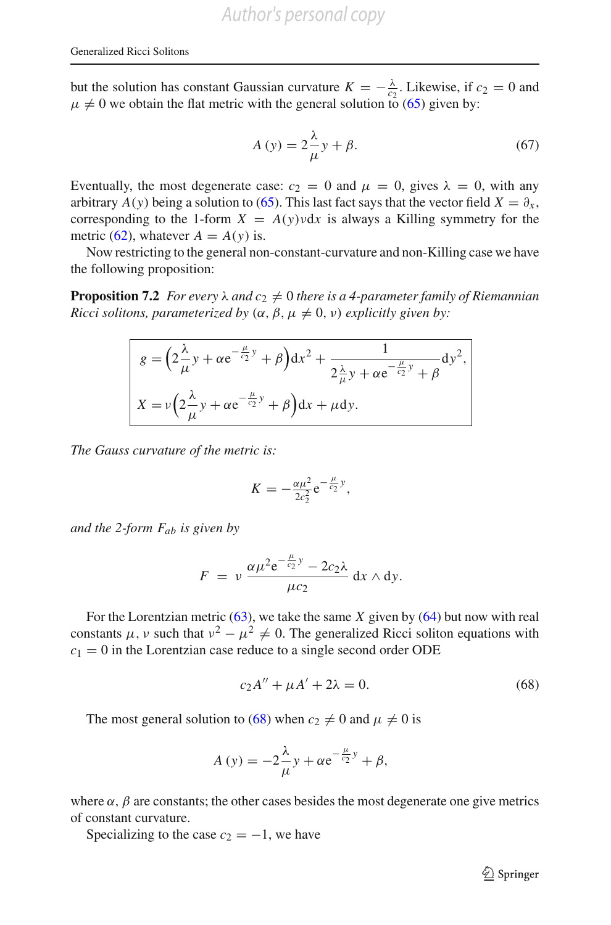but the solution has constant Gaussian curvature  $K = -\frac{\lambda}{c_2}$ . Likewise, if  $c_2 = 0$  and  $\mu \neq 0$  we obtain the flat metric with the general solution to [\(65\)](#page-35-1) given by:

$$
A(y) = 2\frac{\lambda}{\mu}y + \beta. \tag{67}
$$

Eventually, the most degenerate case:  $c_2 = 0$  and  $\mu = 0$ , gives  $\lambda = 0$ , with any arbitrary *A*(*y*) being a solution to [\(65\)](#page-35-1). This last fact says that the vector field  $X = \partial_x$ , corresponding to the 1-form  $X = A(y)vdx$  is always a Killing symmetry for the metric [\(62\)](#page-34-1), whatever  $A = A(y)$  is.

<span id="page-36-1"></span>Now restricting to the general non-constant-curvature and non-Killing case we have the following proposition:

**Proposition 7.2** *For every*  $\lambda$  *and*  $c_2 \neq 0$  *there is a 4-parameter family of Riemannian Ricci solitons, parameterized by*  $(\alpha, \beta, \mu \neq 0, \nu)$  *explicitly given by:* 

$$
g = \left(2\frac{\lambda}{\mu}y + \alpha e^{-\frac{\mu}{c_2}y} + \beta\right)dx^2 + \frac{1}{2\frac{\lambda}{\mu}y + \alpha e^{-\frac{\mu}{c_2}y} + \beta}dy^2,
$$
  

$$
X = \nu\left(2\frac{\lambda}{\mu}y + \alpha e^{-\frac{\mu}{c_2}y} + \beta\right)dx + \mu dy.
$$

*The Gauss curvature of the metric is:*

$$
K = -\frac{\alpha \mu^2}{2c_2^2} e^{-\frac{\mu}{c_2}y},
$$

*and the 2-form Fab is given by*

$$
F = v \frac{\alpha \mu^2 e^{-\frac{\mu}{c_2}y} - 2c_2 \lambda}{\mu c_2} dx \wedge dy.
$$

For the Lorentzian metric  $(63)$ , we take the same *X* given by  $(64)$  but now with real constants  $\mu$ , v such that  $v^2 - \mu^2 \neq 0$ . The generalized Ricci soliton equations with  $c_1 = 0$  in the Lorentzian case reduce to a single second order ODE

<span id="page-36-0"></span>
$$
c_2 A'' + \mu A' + 2\lambda = 0.
$$
 (68)

The most general solution to [\(68\)](#page-36-0) when  $c_2 \neq 0$  and  $\mu \neq 0$  is

$$
A(y) = -2\frac{\lambda}{\mu}y + \alpha e^{-\frac{\mu}{c_2}y} + \beta,
$$

where  $\alpha$ ,  $\beta$  are constants; the other cases besides the most degenerate one give metrics of constant curvature.

Specializing to the case  $c_2 = -1$ , we have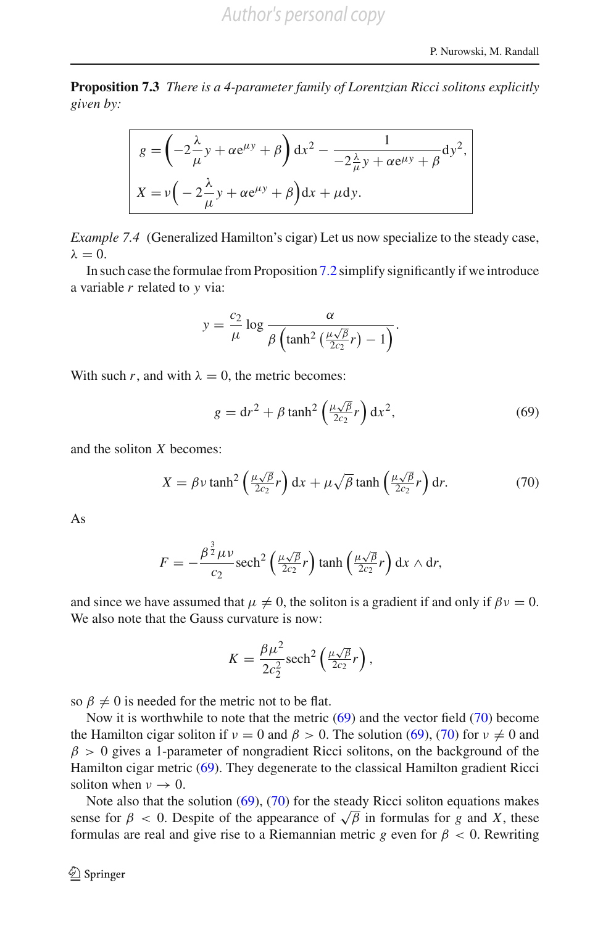**Proposition 7.3** *There is a 4-parameter family of Lorentzian Ricci solitons explicitly given by:*

$$
g = \left(-2\frac{\lambda}{\mu}y + \alpha e^{\mu y} + \beta\right)dx^{2} - \frac{1}{-2\frac{\lambda}{\mu}y + \alpha e^{\mu y} + \beta}dy^{2},
$$
  

$$
X = v\left(-2\frac{\lambda}{\mu}y + \alpha e^{\mu y} + \beta\right)dx + \mu dy.
$$

*Example 7.4* (Generalized Hamilton's cigar) Let us now specialize to the steady case,  $λ = 0$ .

In such case the formulae from Proposition [7.2](#page-36-1) simplify significantly if we introduce a variable *r* related to *y* via:

$$
y = \frac{c_2}{\mu} \log \frac{\alpha}{\beta \left(\tanh^2\left(\frac{\mu\sqrt{\beta}}{2c_2}r\right) - 1\right)}.
$$

<span id="page-37-0"></span>With such *r*, and with  $\lambda = 0$ , the metric becomes:

$$
g = dr2 + \beta \tanh2 \left(\frac{\mu\sqrt{\beta}}{2c_2}r\right) dx2,
$$
 (69)

<span id="page-37-1"></span>and the soliton *X* becomes:

$$
X = \beta v \tanh^2\left(\frac{\mu\sqrt{\beta}}{2c_2}r\right) dx + \mu\sqrt{\beta} \tanh\left(\frac{\mu\sqrt{\beta}}{2c_2}r\right) dr.
$$
 (70)

As

$$
F = -\frac{\beta^{\frac{3}{2}}\mu\nu}{c_2} \operatorname{sech}^2\left(\frac{\mu\sqrt{\beta}}{2c_2}r\right) \tanh\left(\frac{\mu\sqrt{\beta}}{2c_2}r\right) dx \wedge dr,
$$

and since we have assumed that  $\mu \neq 0$ , the soliton is a gradient if and only if  $\beta v = 0$ . We also note that the Gauss curvature is now:

$$
K = \frac{\beta \mu^2}{2c_2^2} \operatorname{sech}^2\left(\frac{\mu \sqrt{\beta}}{2c_2} r\right),
$$

so  $\beta \neq 0$  is needed for the metric not to be flat.

Now it is worthwhile to note that the metric [\(69\)](#page-37-0) and the vector field [\(70\)](#page-37-1) become the Hamilton cigar soliton if  $v = 0$  and  $\beta > 0$ . The solution [\(69\)](#page-37-0), [\(70\)](#page-37-1) for  $v \neq 0$  and  $\beta > 0$  gives a 1-parameter of nongradient Ricci solitons, on the background of the Hamilton cigar metric [\(69\)](#page-37-0). They degenerate to the classical Hamilton gradient Ricci soliton when  $\nu \rightarrow 0$ .

Note also that the solution  $(69)$ ,  $(70)$  for the steady Ricci soliton equations makes sense for  $\beta$  < 0. Despite of the appearance of  $\sqrt{\beta}$  in formulas for *g* and *X*, these formulas are real and give rise to a Riemannian metric *g* even for  $\beta < 0$ . Rewriting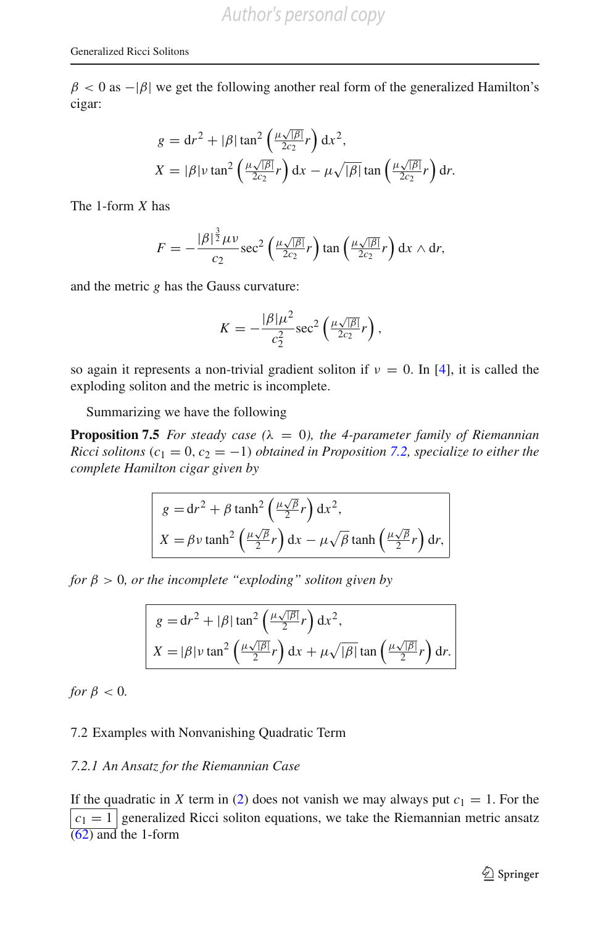$\beta$  < 0 as - $|\beta|$  we get the following another real form of the generalized Hamilton's cigar:

$$
g = dr2 + |\beta| \tan2 \left(\frac{\mu \sqrt{|\beta|}}{2c_2} r\right) dx2,
$$
  

$$
X = |\beta| \nu \tan2 \left(\frac{\mu \sqrt{|\beta|}}{2c_2} r\right) dx - \mu \sqrt{|\beta|} \tan \left(\frac{\mu \sqrt{|\beta|}}{2c_2} r\right) dr.
$$

The 1-form *X* has

$$
F = -\frac{|\beta|^{\frac{3}{2}}\mu\nu}{c_2} \sec^2\left(\frac{\mu\sqrt{|\beta|}}{2c_2}r\right) \tan\left(\frac{\mu\sqrt{|\beta|}}{2c_2}r\right) dx \wedge dr,
$$

and the metric *g* has the Gauss curvature:

$$
K=-\frac{|\beta|\mu^2}{c_2^2}\sec^2\left(\frac{\mu\sqrt{|\beta|}}{2c_2}r\right),\,
$$

so again it represents a non-trivial gradient soliton if  $\nu = 0$ . In [\[4\]](#page-67-2), it is called the exploding soliton and the metric is incomplete.

Summarizing we have the following

**Proposition 7.5** *For steady case* ( $\lambda = 0$ ), *the 4-parameter family of Riemannian Ricci solitons* ( $c_1 = 0$ ,  $c_2 = -1$ ) *obtained in Proposition* [7.2,](#page-36-1) *specialize to either the complete Hamilton cigar given by*

<span id="page-38-0"></span>
$$
g = dr^{2} + \beta \tanh^{2}\left(\frac{\mu\sqrt{\beta}}{2}r\right) dx^{2},
$$
  

$$
X = \beta v \tanh^{2}\left(\frac{\mu\sqrt{\beta}}{2}r\right) dx - \mu\sqrt{\beta} \tanh\left(\frac{\mu\sqrt{\beta}}{2}r\right) dr,
$$

*for*  $\beta > 0$ *, or the incomplete "exploding" soliton given by* 

$$
g = dr^2 + |\beta| \tan^2 \left(\frac{\mu \sqrt{|\beta|}}{2} r\right) dx^2,
$$
  

$$
X = |\beta| \nu \tan^2 \left(\frac{\mu \sqrt{|\beta|}}{2} r\right) dx + \mu \sqrt{|\beta|} \tan \left(\frac{\mu \sqrt{|\beta|}}{2} r\right) dr.
$$

*for*  $\beta$  < 0*.* 

#### 7.2 Examples with Nonvanishing Quadratic Term

#### *7.2.1 An Ansatz for the Riemannian Case*

If the quadratic in *X* term in [\(2\)](#page-3-1) does not vanish we may always put  $c_1 = 1$ . For the  $|c_1| = 1$  generalized Ricci soliton equations, we take the Riemannian metric ansatz  $\sqrt{(62)}$  $\sqrt{(62)}$  $\sqrt{(62)}$  and the 1-form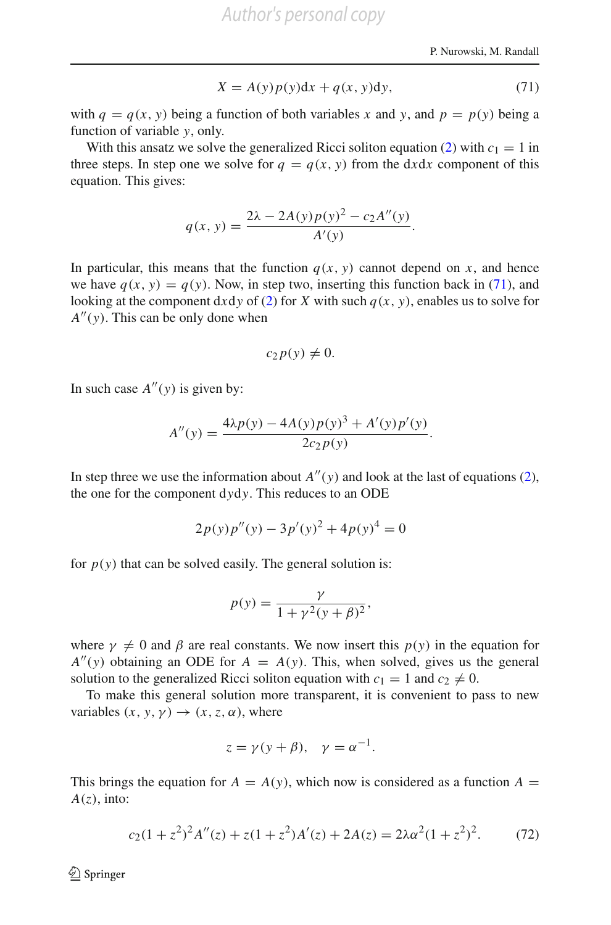$$
X = A(y)p(y)dx + q(x, y)dy,
$$
\n(71)

<span id="page-39-0"></span>with  $q = q(x, y)$  being a function of both variables x and y, and  $p = p(y)$  being a function of variable *y*, only.

With this ansatz we solve the generalized Ricci soliton equation [\(2\)](#page-3-1) with  $c_1 = 1$  in three steps. In step one we solve for  $q = q(x, y)$  from the dxdx component of this equation. This gives:

$$
q(x, y) = \frac{2\lambda - 2A(y)p(y)^{2} - c_{2}A''(y)}{A'(y)}.
$$

In particular, this means that the function  $q(x, y)$  cannot depend on *x*, and hence we have  $q(x, y) = q(y)$ . Now, in step two, inserting this function back in [\(71\)](#page-39-0), and looking at the component dxdy of [\(2\)](#page-3-1) for *X* with such  $q(x, y)$ , enables us to solve for  $A''(y)$ . This can be only done when

$$
c_2p(y)\neq 0.
$$

In such case  $A''(y)$  is given by:

$$
A''(y) = \frac{4\lambda p(y) - 4A(y)p(y)^3 + A'(y)p'(y)}{2c_2p(y)}.
$$

In step three we use the information about  $A''(y)$  and look at the last of equations [\(2\)](#page-3-1), the one for the component d*y*d*y*. This reduces to an ODE

$$
2p(y)p''(y) - 3p'(y)^{2} + 4p(y)^{4} = 0
$$

for  $p(y)$  that can be solved easily. The general solution is:

$$
p(y) = \frac{\gamma}{1 + \gamma^2 (y + \beta)^2},
$$

where  $\gamma \neq 0$  and  $\beta$  are real constants. We now insert this  $p(y)$  in the equation for  $A''(y)$  obtaining an ODE for  $A = A(y)$ . This, when solved, gives us the general solution to the generalized Ricci soliton equation with  $c_1 = 1$  and  $c_2 \neq 0$ .

To make this general solution more transparent, it is convenient to pass to new variables  $(x, y, y) \rightarrow (x, z, \alpha)$ , where

$$
z = \gamma(y + \beta), \quad \gamma = \alpha^{-1}.
$$

<span id="page-39-1"></span>This brings the equation for  $A = A(y)$ , which now is considered as a function  $A =$  $A(z)$ , into:

$$
c_2(1+z^2)^2 A''(z) + z(1+z^2)A'(z) + 2A(z) = 2\lambda \alpha^2 (1+z^2)^2. \tag{72}
$$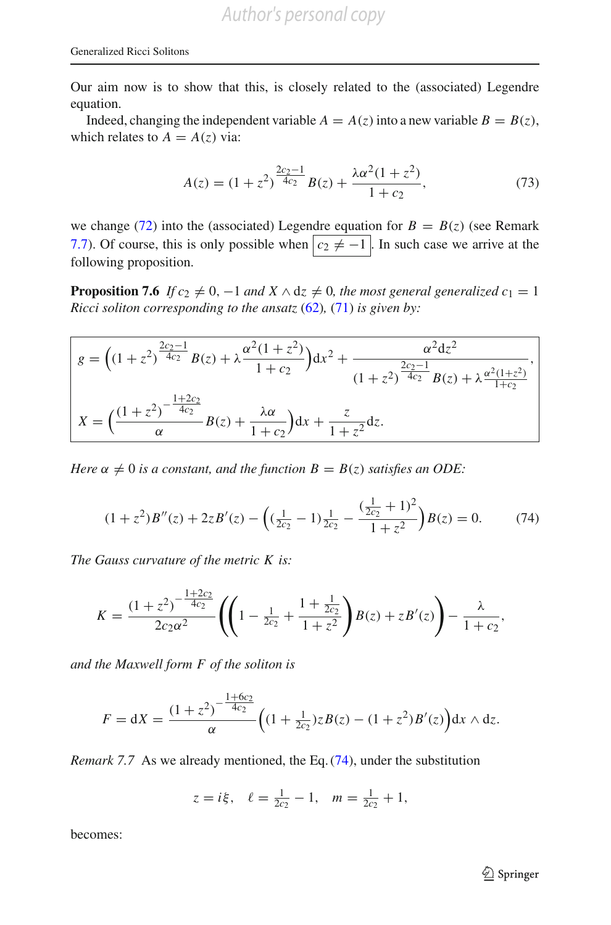Our aim now is to show that this, is closely related to the (associated) Legendre equation.

Indeed, changing the independent variable  $A = A(z)$  into a new variable  $B = B(z)$ , which relates to  $A = A(z)$  via:

$$
A(z) = (1 + z2)^{\frac{2c_2 - 1}{4c_2}} B(z) + \frac{\lambda \alpha^2 (1 + z^2)}{1 + c_2},
$$
\n(73)

<span id="page-40-3"></span>we change [\(72\)](#page-39-1) into the (associated) Legendre equation for  $B = B(z)$  (see Remark [7.7\)](#page-40-0). Of course, this is only possible when  $c_2 \neq -1$ . In such case we arrive at the following proposition.

<span id="page-40-2"></span>**Proposition 7.6** *If*  $c_2 \neq 0$ ,  $-1$  *and*  $X \wedge dz \neq 0$ *, the most general generalized*  $c_1 = 1$ *Ricci soliton corresponding to the ansatz* [\(62\)](#page-34-1)*,* [\(71\)](#page-39-0) *is given by:*

$$
g = \left( (1+z^2)^{\frac{2c_2-1}{4c_2}} B(z) + \lambda \frac{\alpha^2 (1+z^2)}{1+c_2} \right) dx^2 + \frac{\alpha^2 dz^2}{(1+z^2)^{\frac{2c_2-1}{4c_2}} B(z) + \lambda \frac{\alpha^2 (1+z^2)}{1+c_2}},
$$
  

$$
X = \left( \frac{(1+z^2)^{-\frac{1+2c_2}{4c_2}}}{\alpha} B(z) + \frac{\lambda \alpha}{1+c_2} \right) dx + \frac{z}{1+z^2} dz.
$$

*Here*  $\alpha \neq 0$  *is a constant, and the function*  $B = B(z)$  *satisfies an ODE*:

$$
(1+z^2)B''(z) + 2zB'(z) - \left( (\frac{1}{2c_2} - 1) \frac{1}{2c_2} - \frac{(\frac{1}{2c_2} + 1)^2}{1 + z^2} \right) B(z) = 0.
$$
 (74)

<span id="page-40-1"></span>*The Gauss curvature of the metric K is:*

$$
K = \frac{(1+z^2)^{-\frac{1+2c_2}{4c_2}}}{2c_2\alpha^2} \left( \left(1 - \frac{1}{2c_2} + \frac{1+\frac{1}{2c_2}}{1+z^2} \right) B(z) + zB'(z) \right) - \frac{\lambda}{1+c_2},
$$

*and the Maxwell form F of the soliton is*

$$
F = dX = \frac{(1+z^2)^{-\frac{1+6c_2}{4c_2}}}{\alpha} \Big( (1+\tfrac{1}{2c_2})zB(z) - (1+z^2)B'(z) \Big) dx \wedge dz.
$$

<span id="page-40-0"></span>*Remark 7.7* As we already mentioned, the Eq. [\(74\)](#page-40-1), under the substitution

$$
z = i\xi
$$
,  $\ell = \frac{1}{2c_2} - 1$ ,  $m = \frac{1}{2c_2} + 1$ ,

becomes: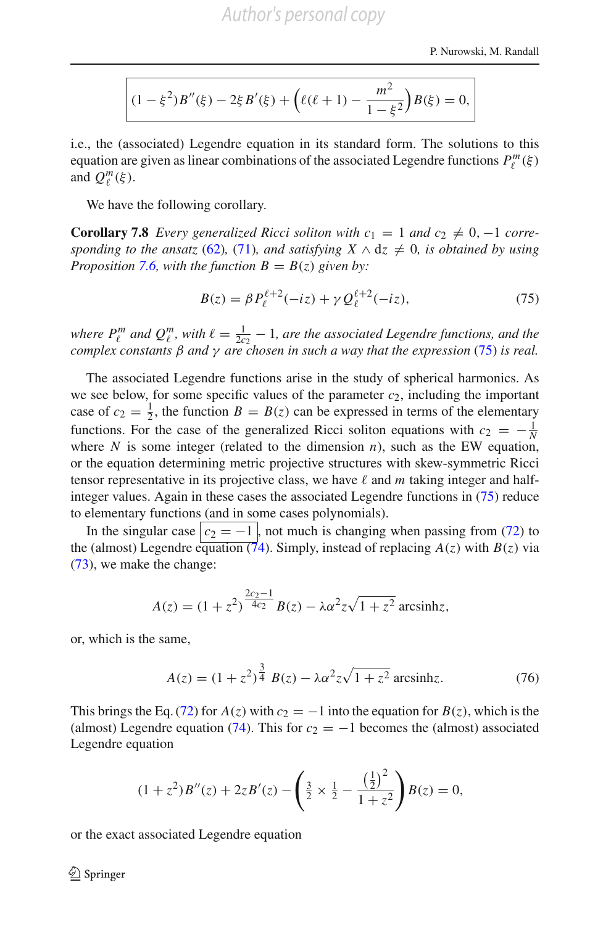$$
(1 - \xi^2)B''(\xi) - 2\xi B'(\xi) + \left(\ell(\ell+1) - \frac{m^2}{1 - \xi^2}\right)B(\xi) = 0,
$$

i.e., the (associated) Legendre equation in its standard form. The solutions to this equation are given as linear combinations of the associated Legendre functions  $P_\ell^m(\xi)$ and  $Q_{\ell}^m(\xi)$ .

We have the following corollary.

**Corollary 7.8** *Every generalized Ricci soliton with*  $c_1 = 1$  *and*  $c_2 \neq 0, -1$  *corresponding to the ansatz* [\(62\)](#page-34-1)*,* [\(71\)](#page-39-0)*, and satisfying*  $X \wedge dz \neq 0$ *, is obtained by using Proposition* [7.6,](#page-40-2) with the function  $B = B(z)$  given by:

$$
B(z) = \beta P_{\ell}^{\ell+2}(-iz) + \gamma Q_{\ell}^{\ell+2}(-iz),
$$
\n(75)

<span id="page-41-0"></span>*where*  $P_{\ell}^{m}$  and  $Q_{\ell}^{m}$ , with  $\ell = \frac{1}{2c_2} - 1$ , are the associated Legendre functions, and the *complex constants* β *and* γ *are chosen in such a way that the expression* [\(75\)](#page-41-0) *is real.*

The associated Legendre functions arise in the study of spherical harmonics. As we see below, for some specific values of the parameter  $c_2$ , including the important case of  $c_2 = \frac{1}{2}$ , the function  $B = B(z)$  can be expressed in terms of the elementary functions. For the case of the generalized Ricci soliton equations with  $c_2 = -\frac{1}{N}$ where  $N$  is some integer (related to the dimension  $n$ ), such as the EW equation, or the equation determining metric projective structures with skew-symmetric Ricci tensor representative in its projective class, we have  $\ell$  and  $m$  taking integer and halfinteger values. Again in these cases the associated Legendre functions in [\(75\)](#page-41-0) reduce to elementary functions (and in some cases polynomials).

In the singular case  $\boxed{c_2 = -1}$ , not much is changing when passing from [\(72\)](#page-39-1) to the (almost) Legendre equation  $(\vec{74})$ . Simply, instead of replacing  $A(z)$  with  $B(z)$  via [\(73\)](#page-40-3), we make the change:

$$
A(z) = (1 + z2)^{\frac{2c_2 - 1}{4c_2}} B(z) - \lambda \alpha^{2} z \sqrt{1 + z^{2}} \text{ arcsinh } z,
$$

or, which is the same,

$$
A(z) = (1 + z2)^{\frac{3}{4}} B(z) - \lambda \alpha^{2} z \sqrt{1 + z^{2}} \operatorname{arcsinh} z.
$$
 (76)

<span id="page-41-1"></span>This brings the Eq. [\(72\)](#page-39-1) for  $A(z)$  with  $c_2 = -1$  into the equation for  $B(z)$ , which is the (almost) Legendre equation [\(74\)](#page-40-1). This for  $c_2 = -1$  becomes the (almost) associated Legendre equation

$$
(1+z^2)B''(z) + 2zB'(z) - \left(\frac{3}{2} \times \frac{1}{2} - \frac{\left(\frac{1}{2}\right)^2}{1+z^2}\right)B(z) = 0,
$$

or the exact associated Legendre equation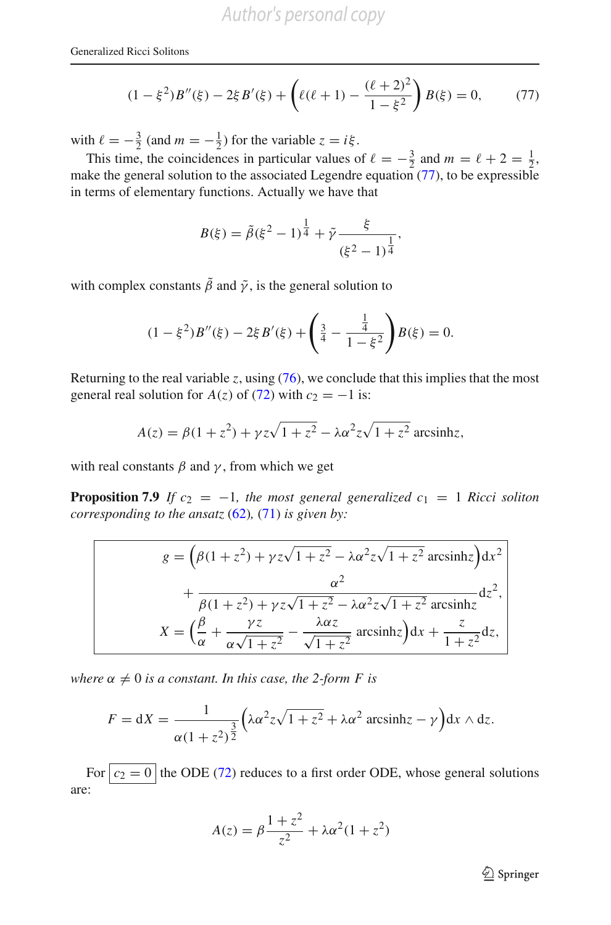$$
(1 - \xi^2)B''(\xi) - 2\xi B'(\xi) + \left(\ell(\ell+1) - \frac{(\ell+2)^2}{1 - \xi^2}\right)B(\xi) = 0,\tag{77}
$$

<span id="page-42-0"></span>with  $\ell = -\frac{3}{2}$  (and  $m = -\frac{1}{2}$ ) for the variable  $z = i\xi$ .

This time, the coincidences in particular values of  $\ell = -\frac{3}{2}$  and  $m = \ell + 2 = \frac{1}{2}$ , make the general solution to the associated Legendre equation [\(77\)](#page-42-0), to be expressible in terms of elementary functions. Actually we have that

$$
B(\xi) = \tilde{\beta}(\xi^2 - 1)^{\frac{1}{4}} + \tilde{\gamma} \frac{\xi}{(\xi^2 - 1)^{\frac{1}{4}}},
$$

with complex constants  $\tilde{\beta}$  and  $\tilde{\gamma}$ , is the general solution to

$$
(1 - \xi^2)B''(\xi) - 2\xi B'(\xi) + \left(\frac{3}{4} - \frac{\frac{1}{4}}{1 - \xi^2}\right)B(\xi) = 0.
$$

Returning to the real variable *z*, using [\(76\)](#page-41-1), we conclude that this implies that the most general real solution for *A*(*z*) of [\(72\)](#page-39-1) with  $c_2 = -1$  is:

$$
A(z) = \beta(1+z^2) + \gamma z \sqrt{1+z^2} - \lambda \alpha^2 z \sqrt{1+z^2}
$$
 arcsinhz,

<span id="page-42-1"></span>with real constants  $\beta$  and  $\gamma$ , from which we get

**Proposition 7.9** *If*  $c_2 = -1$ *, the most general generalized*  $c_1 = 1$  *Ricci soliton corresponding to the ansatz* [\(62\)](#page-34-1)*,* [\(71\)](#page-39-0) *is given by:*

$$
g = \left(\beta(1+z^2) + \gamma z\sqrt{1+z^2} - \lambda\alpha^2 z\sqrt{1+z^2} \operatorname{arcsinh}z\right) dx^2
$$

$$
+ \frac{\alpha^2}{\beta(1+z^2) + \gamma z\sqrt{1+z^2} - \lambda\alpha^2 z\sqrt{1+z^2} \operatorname{arcsinh}z} dz^2,
$$

$$
X = \left(\frac{\beta}{\alpha} + \frac{\gamma z}{\alpha\sqrt{1+z^2}} - \frac{\lambda\alpha z}{\sqrt{1+z^2}} \operatorname{arcsinh}z\right) dx + \frac{z}{1+z^2} dz,
$$

*where*  $\alpha \neq 0$  *is a constant. In this case, the 2-form F is* 

$$
F = dX = \frac{1}{\alpha(1+z^2)^{\frac{3}{2}}} \left( \lambda \alpha^2 z \sqrt{1+z^2} + \lambda \alpha^2 \operatorname{arcsinh} z - \gamma \right) dx \wedge dz.
$$

For  $c_2 = 0$  the ODE [\(72\)](#page-39-1) reduces to a first order ODE, whose general solutions are:

$$
A(z) = \beta \frac{1+z^2}{z^2} + \lambda \alpha^2 (1+z^2)
$$

 $\mathcal{D}$  Springer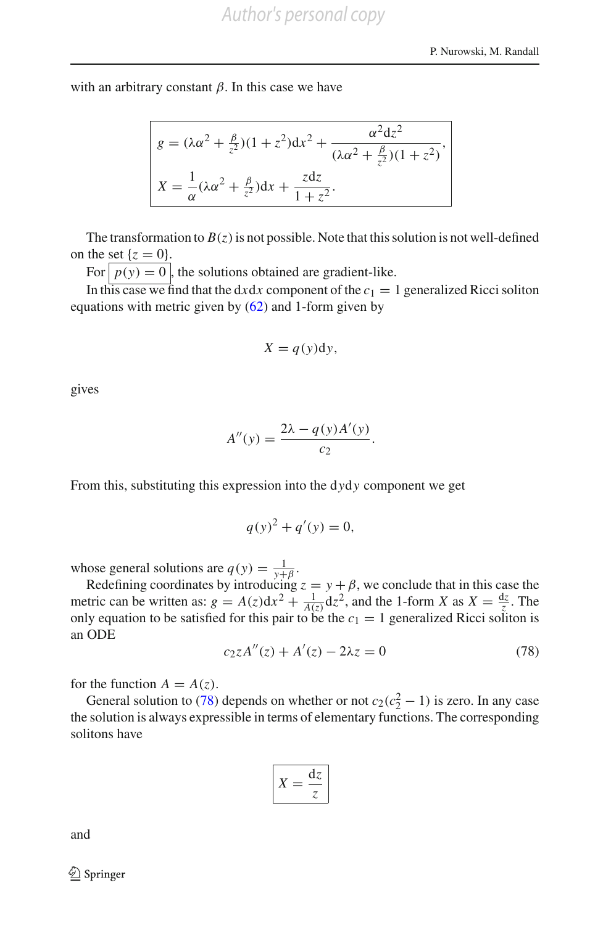with an arbitrary constant  $\beta$ . In this case we have

$$
g = (\lambda \alpha^2 + \frac{\beta}{z^2})(1 + z^2)dx^2 + \frac{\alpha^2 dz^2}{(\lambda \alpha^2 + \frac{\beta}{z^2})(1 + z^2)},
$$
  

$$
X = \frac{1}{\alpha}(\lambda \alpha^2 + \frac{\beta}{z^2})dx + \frac{zdz}{1 + z^2}.
$$

The transformation to  $B(z)$  is not possible. Note that this solution is not well-defined on the set  $\{z = 0\}$ .

For  $p(y) = 0$ , the solutions obtained are gradient-like.

In this case we find that the  $dx dx$  component of the  $c_1 = 1$  generalized Ricci soliton equations with metric given by  $(62)$  and 1-form given by

$$
X = q(y)dy,
$$

gives

$$
A''(y) = \frac{2\lambda - q(y)A'(y)}{c_2}.
$$

From this, substituting this expression into the d*y*d*y* component we get

$$
q(y)^2 + q'(y) = 0,
$$

whose general solutions are  $q(y) = \frac{1}{y+\beta}$ .

Redefining coordinates by introducing  $z = y + \beta$ , we conclude that in this case the metric can be written as:  $g = A(z)dx^2 + \frac{1}{A(z)}dz^2$ , and the 1-form *X* as  $X = \frac{dz}{z}$ . The only equation to be satisfied for this pair to be the  $c_1 = 1$  generalized Ricci soliton is an ODE

$$
c_2 z A''(z) + A'(z) - 2\lambda z = 0 \tag{78}
$$

<span id="page-43-0"></span>for the function  $A = A(z)$ .

General solution to [\(78\)](#page-43-0) depends on whether or not  $c_2(c_2^2 - 1)$  is zero. In any case the solution is always expressible in terms of elementary functions. The corresponding solitons have

$$
X = \frac{\mathrm{d}z}{z}
$$

and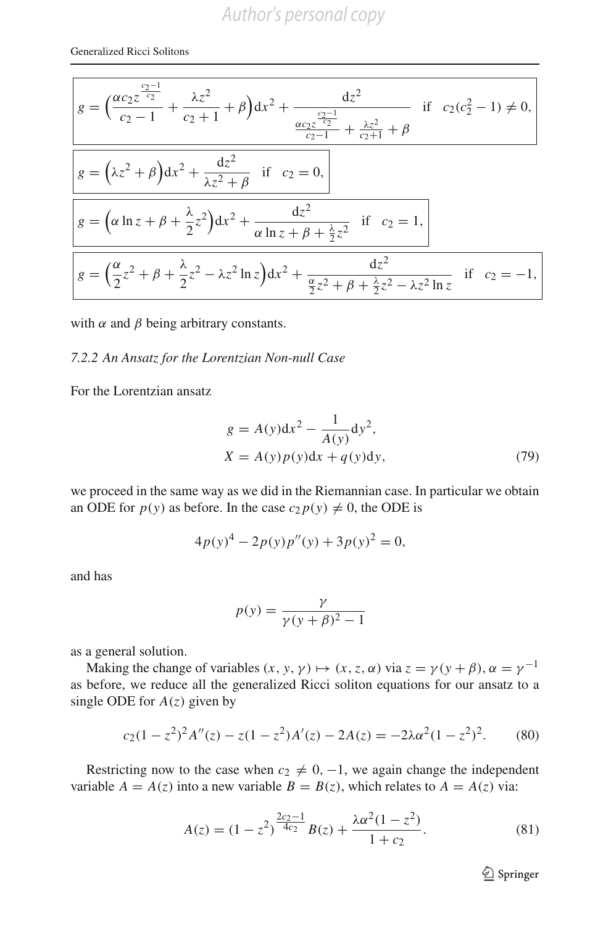$$
g = \left(\frac{\alpha c_2 z^{\frac{c_2-1}{c_2}}}{c_2-1} + \frac{\lambda z^2}{c_2+1} + \beta\right) dx^2 + \frac{dz^2}{\frac{\alpha c_2 z^{\frac{c_2-1}{c_2}}}{c_2-1} + \frac{\lambda z^2}{c_2+1} + \beta}
$$
 if  $c_2(c_2^2 - 1) \neq 0$ ,  

$$
g = \left(\lambda z^2 + \beta\right) dx^2 + \frac{dz^2}{\lambda z^2 + \beta}
$$
 if  $c_2 = 0$ ,  

$$
g = \left(\alpha \ln z + \beta + \frac{\lambda}{2} z^2\right) dx^2 + \frac{dz^2}{\alpha \ln z + \beta + \frac{\lambda}{2} z^2}
$$
 if  $c_2 = 1$ ,  

$$
g = \left(\frac{\alpha}{2} z^2 + \beta + \frac{\lambda}{2} z^2 - \lambda z^2 \ln z\right) dx^2 + \frac{dz^2}{\frac{\alpha}{2} z^2 + \beta + \frac{\lambda}{2} z^2 - \lambda z^2 \ln z}
$$
 if  $c_2 = -1$ ,

with  $\alpha$  and  $\beta$  being arbitrary constants.

#### *7.2.2 An Ansatz for the Lorentzian Non-null Case*

<span id="page-44-1"></span>For the Lorentzian ansatz

$$
g = A(y)dx2 - \frac{1}{A(y)}dy2,
$$
  

$$
X = A(y)p(y)dx + q(y)dy,
$$
 (79)

we proceed in the same way as we did in the Riemannian case. In particular we obtain an ODE for  $p(y)$  as before. In the case  $c_2 p(y) \neq 0$ , the ODE is

$$
4p(y)^{4} - 2p(y)p''(y) + 3p(y)^{2} = 0,
$$

and has

$$
p(y) = \frac{\gamma}{\gamma (y + \beta)^2 - 1}
$$

as a general solution.

Making the change of variables  $(x, y, \gamma) \mapsto (x, z, \alpha)$  via  $z = \gamma(y + \beta), \alpha = \gamma^{-1}$ as before, we reduce all the generalized Ricci soliton equations for our ansatz to a single ODE for  $A(z)$  given by

$$
c_2(1-z^2)^2 A''(z) - z(1-z^2)A'(z) - 2A(z) = -2\lambda \alpha^2 (1-z^2)^2. \tag{80}
$$

<span id="page-44-0"></span>Restricting now to the case when  $c_2 \neq 0, -1$ , we again change the independent variable  $A = A(z)$  into a new variable  $B = B(z)$ , which relates to  $A = A(z)$  via:

$$
A(z) = (1 - z2)^{\frac{2c_2 - 1}{4c_2}} B(z) + \frac{\lambda \alpha^{2} (1 - z^{2})}{1 + c_2}.
$$
 (81)

<sup>2</sup> Springer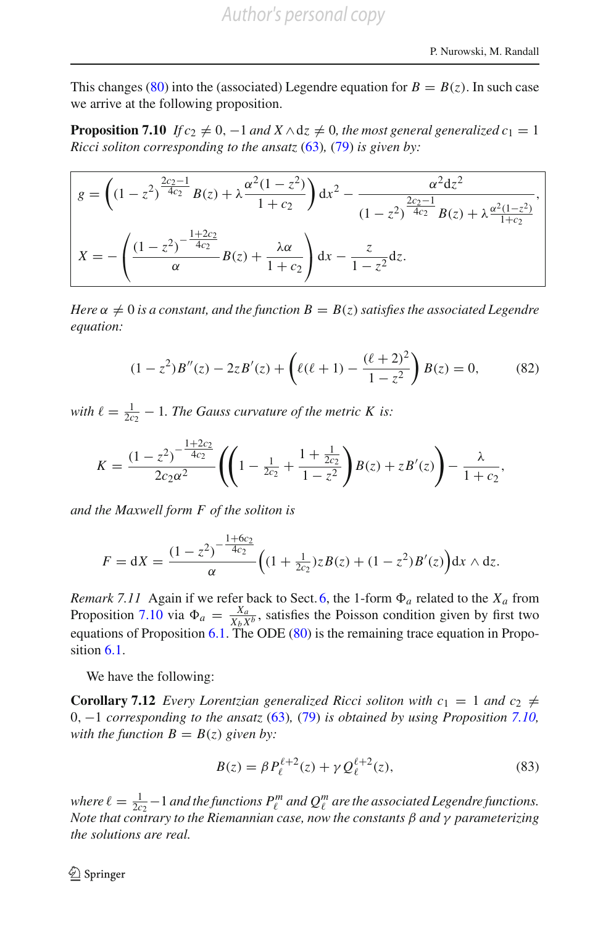<span id="page-45-0"></span>This changes [\(80\)](#page-44-0) into the (associated) Legendre equation for  $B = B(z)$ . In such case we arrive at the following proposition.

**Proposition 7.10** *If*  $c_2 \neq 0$ ,  $-1$  *and*  $X \wedge dz \neq 0$ *, the most general generalized*  $c_1 = 1$ *Ricci soliton corresponding to the ansatz* [\(63\)](#page-34-2)*,* [\(79\)](#page-44-1) *is given by:*

$$
g = \left( (1 - z^2)^{\frac{2c_2 - 1}{4c_2}} B(z) + \lambda \frac{\alpha^2 (1 - z^2)}{1 + c_2} \right) dx^2 - \frac{\alpha^2 dz^2}{(1 - z^2)^{\frac{2c_2 - 1}{4c_2}} B(z) + \lambda \frac{\alpha^2 (1 - z^2)}{1 + c_2}},
$$

$$
X = -\left( \frac{(1 - z^2)^{-\frac{1 + 2c_2}{4c_2}}}{\alpha} B(z) + \frac{\lambda \alpha}{1 + c_2} \right) dx - \frac{z}{1 - z^2} dz.
$$

*Here*  $\alpha \neq 0$  *is a constant, and the function*  $B = B(z)$  *satisfies the associated Legendre equation:*

$$
(1 - z2)B''(z) - 2zB'(z) + \left(\ell(\ell+1) - \frac{(\ell+2)^2}{1 - z^2}\right)B(z) = 0,\tag{82}
$$

<span id="page-45-1"></span>*with*  $\ell = \frac{1}{2c_2} - 1$ *. The Gauss curvature of the metric K is:* 

$$
K = \frac{(1-z^2)^{-\frac{1+2c_2}{4c_2}}}{2c_2\alpha^2} \left( \left(1 - \frac{1}{2c_2} + \frac{1+\frac{1}{2c_2}}{1-z^2} \right) B(z) + zB'(z) \right) - \frac{\lambda}{1+c_2},
$$

*and the Maxwell form F of the soliton is*

$$
F = dX = \frac{(1-z^2)^{-\frac{1+6c_2}{4c_2}}}{\alpha} \Big( (1+\tfrac{1}{2c_2})zB(z) + (1-z^2)B'(z) \Big) dx \wedge dz.
$$

*Remark 7.11* Again if we refer back to Sect. [6,](#page-32-0) the 1-form  $\Phi_a$  related to the  $X_a$  from Proposition [7.10](#page-45-0) via  $\Phi_a = \frac{X_a}{X_b X^b}$ , satisfies the Poisson condition given by first two equations of Proposition  $6.1$ . The ODE  $(80)$  is the remaining trace equation in Propo-sition [6.1.](#page-33-1)

We have the following:

**Corollary 7.12** *Every Lorentzian generalized Ricci soliton with*  $c_1 = 1$  *and*  $c_2 \neq$ 0, −1 *corresponding to the ansatz* [\(63\)](#page-34-2)*,* [\(79\)](#page-44-1) *is obtained by using Proposition [7.10,](#page-45-0) with the function*  $B = B(z)$  *given by:* 

$$
B(z) = \beta P_{\ell}^{\ell+2}(z) + \gamma Q_{\ell}^{\ell+2}(z),
$$
\n(83)

*where*  $\ell = \frac{1}{2c_2} - 1$  *and the functions*  $P_\ell^m$  *and*  $Q_\ell^m$  *are the associated Legendre functions. Note that contrary to the Riemannian case, now the constants* β *and* γ *parameterizing the solutions are real.*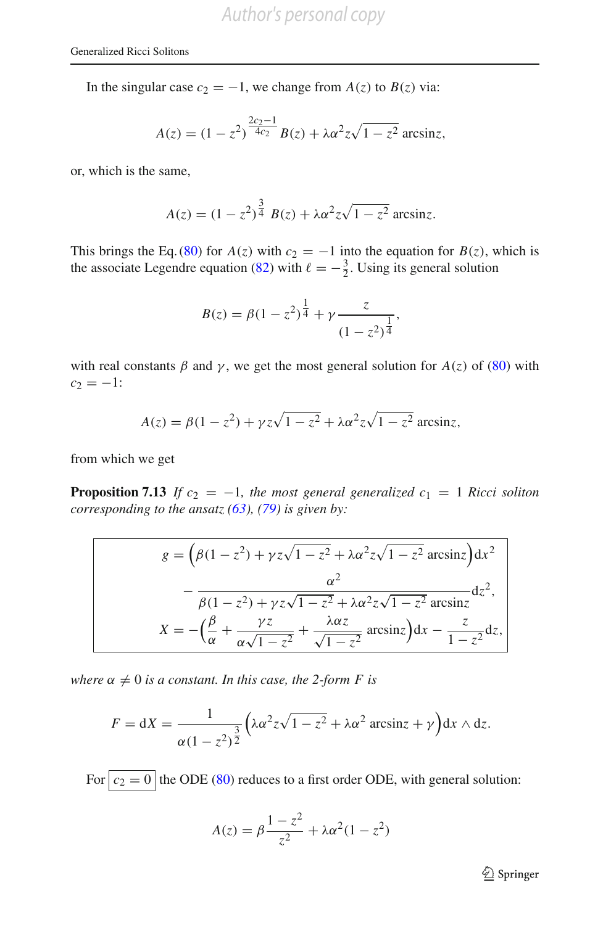In the singular case  $c_2 = -1$ , we change from  $A(z)$  to  $B(z)$  via:

$$
A(z) = (1 - z^2)^{\frac{2c_2 - 1}{4c_2}} B(z) + \lambda \alpha^2 z \sqrt{1 - z^2} \arcsin z,
$$

or, which is the same,

$$
A(z) = (1 - z^2)^{\frac{3}{4}} B(z) + \lambda \alpha^2 z \sqrt{1 - z^2} \arcsin z.
$$

This brings the Eq. [\(80\)](#page-44-0) for  $A(z)$  with  $c_2 = -1$  into the equation for  $B(z)$ , which is the associate Legendre equation [\(82\)](#page-45-1) with  $\ell = -\frac{3}{2}$ . Using its general solution

$$
B(z) = \beta(1 - z^2)^{\frac{1}{4}} + \gamma \frac{z}{(1 - z^2)^{\frac{1}{4}}},
$$

with real constants  $\beta$  and  $\gamma$ , we get the most general solution for  $A(z)$  of [\(80\)](#page-44-0) with  $c_2 = -1$ :

$$
A(z) = \beta(1 - z^2) + \gamma z \sqrt{1 - z^2} + \lambda \alpha^2 z \sqrt{1 - z^2}
$$
arcsinz,

<span id="page-46-0"></span>from which we get

**Proposition 7.13** *If*  $c_2 = -1$ *, the most general generalized*  $c_1 = 1$  *Ricci soliton corresponding to the ansatz [\(63\)](#page-34-2), [\(79\)](#page-44-1) is given by:*

$$
g = \left(\beta(1-z^2) + \gamma z\sqrt{1-z^2} + \lambda\alpha^2 z\sqrt{1-z^2} \arcsin z\right) dx^2
$$

$$
- \frac{\alpha^2}{\beta(1-z^2) + \gamma z\sqrt{1-z^2} + \lambda\alpha^2 z\sqrt{1-z^2} \arcsin z} dz^2,
$$

$$
X = -\left(\frac{\beta}{\alpha} + \frac{\gamma z}{\alpha\sqrt{1-z^2}} + \frac{\lambda\alpha z}{\sqrt{1-z^2}} \arcsin z\right) dx - \frac{z}{1-z^2} dz,
$$

*where*  $\alpha \neq 0$  *is a constant. In this case, the 2-form F is* 

$$
F = dX = \frac{1}{\alpha(1-z^2)^{\frac{3}{2}}} \left( \lambda \alpha^2 z \sqrt{1-z^2} + \lambda \alpha^2 \arcsin z + \gamma \right) dx \wedge dz.
$$

For  $\boxed{c_2 = 0}$  the ODE [\(80\)](#page-44-0) reduces to a first order ODE, with general solution:

$$
A(z) = \beta \frac{1 - z^2}{z^2} + \lambda \alpha^2 (1 - z^2)
$$

<sup>2</sup> Springer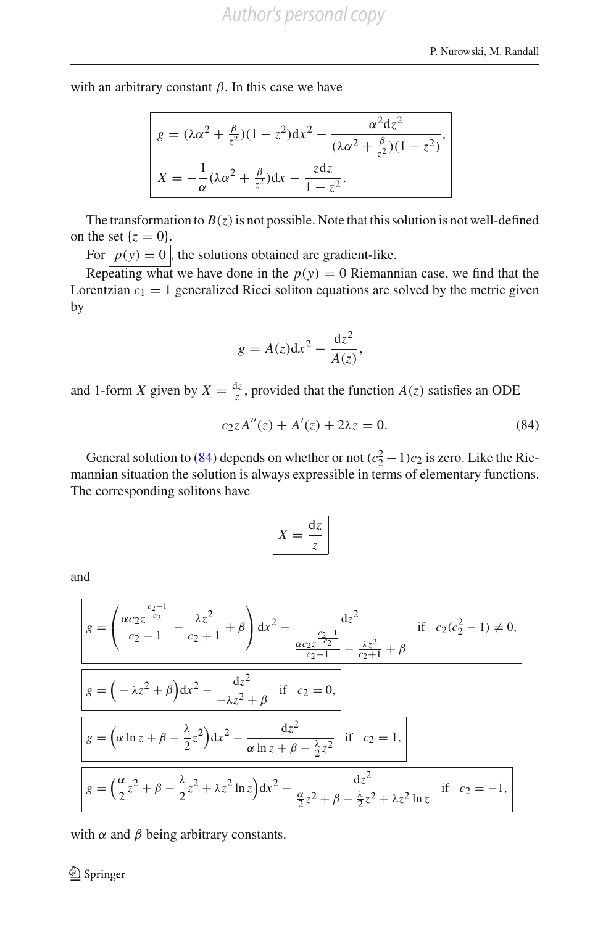with an arbitrary constant  $\beta$ . In this case we have

$$
g = (\lambda \alpha^2 + \frac{\beta}{z^2})(1 - z^2)dx^2 - \frac{\alpha^2 dz^2}{(\lambda \alpha^2 + \frac{\beta}{z^2})(1 - z^2)},
$$
  

$$
X = -\frac{1}{\alpha}(\lambda \alpha^2 + \frac{\beta}{z^2})dx - \frac{zdz}{1 - z^2}.
$$

The transformation to  $B(z)$  is not possible. Note that this solution is not well-defined on the set  ${z = 0}$ .

For  $p(y) = 0$ , the solutions obtained are gradient-like.

Repeating what we have done in the  $p(y) = 0$  Riemannian case, we find that the Lorentzian  $c_1 = 1$  generalized Ricci soliton equations are solved by the metric given by

$$
g = A(z)dx^2 - \frac{dz^2}{A(z)},
$$

and 1-form *X* given by  $X = \frac{dz}{z}$ , provided that the function  $A(z)$  satisfies an ODE

$$
c_2 z A''(z) + A'(z) + 2\lambda z = 0.
$$
 (84)

<span id="page-47-0"></span>General solution to [\(84\)](#page-47-0) depends on whether or not  $(c_2^2 - 1)c_2$  is zero. Like the Riemannian situation the solution is always expressible in terms of elementary functions. The corresponding solitons have

$$
X = \frac{\mathrm{d}z}{z}
$$

and

$$
g = \left(\frac{\alpha c_2 z^{\frac{c_2-1}{c_2}}}{c_2-1} - \frac{\lambda z^2}{c_2+1} + \beta\right) dx^2 - \frac{dz^2}{\frac{\alpha c_2 z^{\frac{c_2-1}{c_2}}}{c_2-1} - \frac{\lambda z^2}{c_2+1} + \beta}
$$
if  $c_2(c_2^2 - 1) \neq 0$ ,  

$$
g = \left(-\lambda z^2 + \beta\right) dx^2 - \frac{dz^2}{-\lambda z^2 + \beta}
$$
if  $c_2 = 0$ ,  

$$
g = \left(\alpha \ln z + \beta - \frac{\lambda}{2} z^2\right) dx^2 - \frac{dz^2}{\alpha \ln z + \beta - \frac{\lambda}{2} z^2}
$$
if  $c_2 = 1$ ,  

$$
g = \left(\frac{\alpha}{2} z^2 + \beta - \frac{\lambda}{2} z^2 + \lambda z^2 \ln z\right) dx^2 - \frac{dz^2}{\frac{\alpha}{2} z^2 + \beta - \frac{\lambda}{2} z^2 + \lambda z^2 \ln z}
$$
if  $c_2 = -1$ ,

with  $\alpha$  and  $\beta$  being arbitrary constants.

 $\bigcircled{2}$  Springer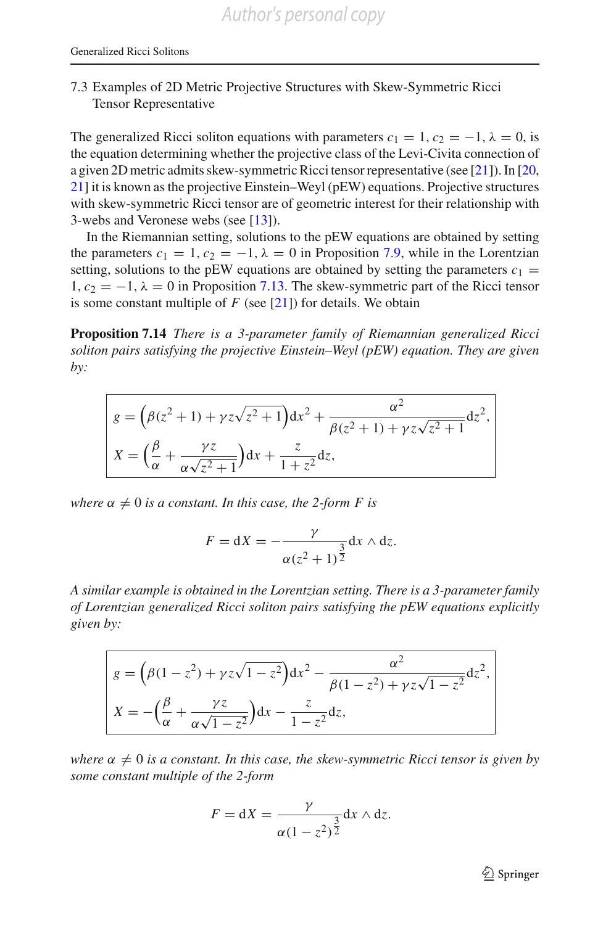#### 7.3 Examples of 2D Metric Projective Structures with Skew-Symmetric Ricci Tensor Representative

The generalized Ricci soliton equations with parameters  $c_1 = 1$ ,  $c_2 = -1$ ,  $\lambda = 0$ , is the equation determining whether the projective class of the Levi-Civita connection of a given 2D metric admits skew-symmetric Ricci tensor representative (see [\[21\]](#page-67-5)). In [\[20,](#page-67-4) [21\]](#page-67-5) it is known as the projective Einstein–Weyl (pEW) equations. Projective structures with skew-symmetric Ricci tensor are of geometric interest for their relationship with 3-webs and Veronese webs (see [\[13\]](#page-67-14)).

In the Riemannian setting, solutions to the pEW equations are obtained by setting the parameters  $c_1 = 1$ ,  $c_2 = -1$ ,  $\lambda = 0$  in Proposition [7.9,](#page-42-1) while in the Lorentzian setting, solutions to the pEW equations are obtained by setting the parameters  $c_1 =$ 1,  $c_2 = -1$ ,  $\lambda = 0$  in Proposition [7.13.](#page-46-0) The skew-symmetric part of the Ricci tensor is some constant multiple of  $F$  (see [\[21\]](#page-67-5)) for details. We obtain

<span id="page-48-0"></span>**Proposition 7.14** *There is a 3-parameter family of Riemannian generalized Ricci soliton pairs satisfying the projective Einstein–Weyl (pEW) equation. They are given by:*

$$
g = (\beta(z^2 + 1) + \gamma z \sqrt{z^2 + 1}) dx^2 + \frac{\alpha^2}{\beta(z^2 + 1) + \gamma z \sqrt{z^2 + 1}} dz^2,
$$
  

$$
X = (\frac{\beta}{\alpha} + \frac{\gamma z}{\alpha \sqrt{z^2 + 1}}) dx + \frac{z}{1 + z^2} dz,
$$

*where*  $\alpha \neq 0$  *is a constant. In this case, the 2-form F is* 

$$
F = dX = -\frac{\gamma}{\alpha(z^2 + 1)^{\frac{3}{2}}} dx \wedge dz.
$$

*A similar example is obtained in the Lorentzian setting. There is a 3-parameter family of Lorentzian generalized Ricci soliton pairs satisfying the pEW equations explicitly given by:*

$$
g = \left(\beta(1-z^2) + \gamma z\sqrt{1-z^2}\right)dx^2 - \frac{\alpha^2}{\beta(1-z^2) + \gamma z\sqrt{1-z^2}}dz^2,
$$

$$
X = -\left(\frac{\beta}{\alpha} + \frac{\gamma z}{\alpha\sqrt{1-z^2}}\right)dx - \frac{z}{1-z^2}dz,
$$

*where*  $\alpha \neq 0$  *is a constant. In this case, the skew-symmetric Ricci tensor is given by some constant multiple of the 2-form*

$$
F = dX = \frac{\gamma}{\alpha(1-z^2)^{\frac{3}{2}}}dx \wedge dz.
$$

 $\mathcal{D}$  Springer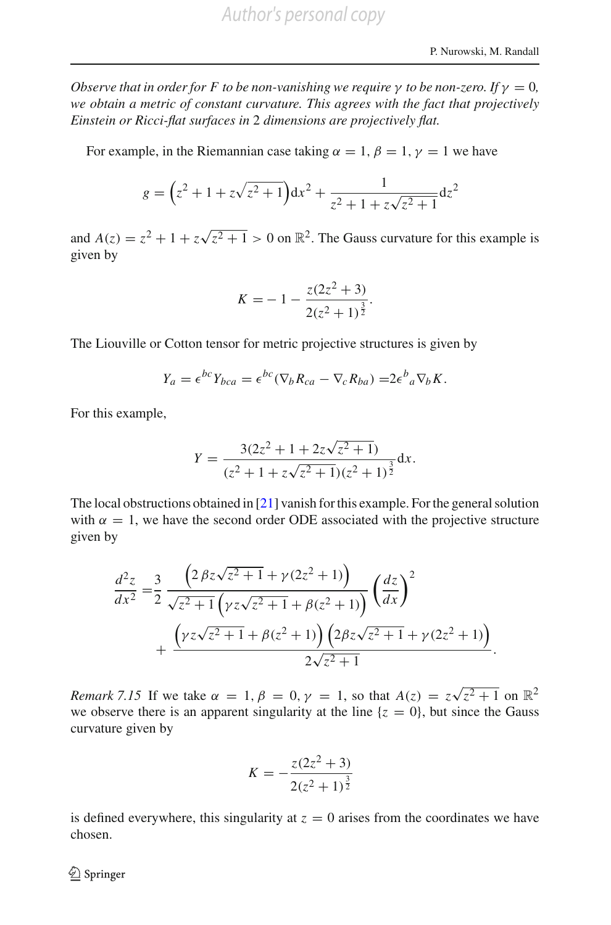*Observe that in order for F to be non-vanishing we require*  $\gamma$  *to be non-zero. If*  $\gamma = 0$ , *we obtain a metric of constant curvature. This agrees with the fact that projectively Einstein or Ricci-flat surfaces in* 2 *dimensions are projectively flat.*

For example, in the Riemannian case taking  $\alpha = 1$ ,  $\beta = 1$ ,  $\gamma = 1$  we have

$$
g = \left(z^2 + 1 + z\sqrt{z^2 + 1}\right)dx^2 + \frac{1}{z^2 + 1 + z\sqrt{z^2 + 1}}dz^2
$$

and  $A(z) = z^2 + 1 + z\sqrt{z^2 + 1} > 0$  on  $\mathbb{R}^2$ . The Gauss curvature for this example is given by

$$
K = -1 - \frac{z(2z^2 + 3)}{2(z^2 + 1)^{\frac{3}{2}}}.
$$

The Liouville or Cotton tensor for metric projective structures is given by

$$
Y_a = \epsilon^{bc} Y_{bca} = \epsilon^{bc} (\nabla_b R_{ca} - \nabla_c R_{ba}) = 2\epsilon^b{}_a \nabla_b K.
$$

For this example,

$$
Y = \frac{3(2z^2 + 1 + 2z\sqrt{z^2 + 1})}{(z^2 + 1 + z\sqrt{z^2 + 1})(z^2 + 1)^{\frac{3}{2}}} dx.
$$

The local obstructions obtained in [\[21](#page-67-5)] vanish for this example. For the general solution with  $\alpha = 1$ , we have the second order ODE associated with the projective structure given by

$$
\frac{d^2z}{dx^2} = \frac{3}{2} \frac{\left(2 \beta z \sqrt{z^2 + 1} + \gamma (2z^2 + 1)\right)}{\sqrt{z^2 + 1} \left(\gamma z \sqrt{z^2 + 1} + \beta (z^2 + 1)\right)} \left(\frac{dz}{dx}\right)^2 + \frac{\left(\gamma z \sqrt{z^2 + 1} + \beta (z^2 + 1)\right) \left(2 \beta z \sqrt{z^2 + 1} + \gamma (2z^2 + 1)\right)}{2 \sqrt{z^2 + 1}}.
$$

*Remark 7.15* If we take  $\alpha = 1$ ,  $\beta = 0$ ,  $\gamma = 1$ , so that  $A(z) = z\sqrt{z^2 + 1}$  on  $\mathbb{R}^2$ we observe there is an apparent singularity at the line  $\{z = 0\}$ , but since the Gauss curvature given by

$$
K = -\frac{z(2z^2 + 3)}{2(z^2 + 1)^{\frac{3}{2}}}
$$

<span id="page-49-0"></span>is defined everywhere, this singularity at  $z = 0$  arises from the coordinates we have chosen.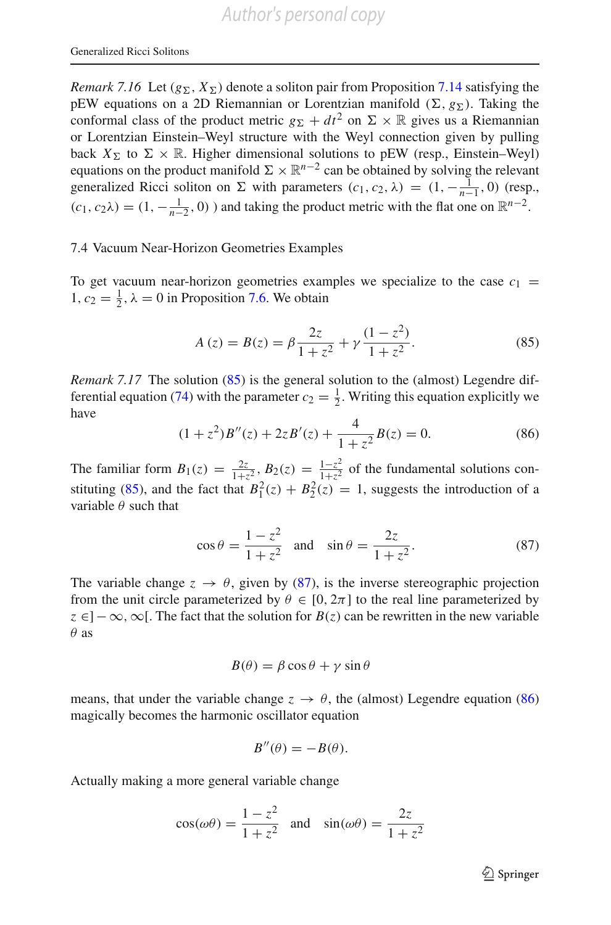*Remark 7.16* Let  $(g_{\Sigma}, X_{\Sigma})$  denote a soliton pair from Proposition [7.14](#page-48-0) satisfying the pEW equations on a 2D Riemannian or Lorentzian manifold  $(\Sigma, g_{\Sigma})$ . Taking the conformal class of the product metric  $g_{\Sigma} + dt^2$  on  $\Sigma \times \mathbb{R}$  gives us a Riemannian or Lorentzian Einstein–Weyl structure with the Weyl connection given by pulling back  $X_{\Sigma}$  to  $\Sigma \times \mathbb{R}$ . Higher dimensional solutions to pEW (resp., Einstein–Weyl) equations on the product manifold  $\Sigma \times \mathbb{R}^{n-2}$  can be obtained by solving the relevant generalized Ricci soliton on  $\Sigma$  with parameters  $(c_1, c_2, \lambda) = (1, -\frac{1}{n-1}, 0)$  (resp.,  $(c_1, c_2\lambda) = (1, -\frac{1}{n-2}, 0)$  ) and taking the product metric with the flat one on  $\mathbb{R}^{n-2}$ .

#### 7.4 Vacuum Near-Horizon Geometries Examples

To get vacuum near-horizon geometries examples we specialize to the case  $c_1$  = 1,  $c_2 = \frac{1}{2}$ ,  $\lambda = 0$  in Proposition [7.6.](#page-40-2) We obtain

$$
A(z) = B(z) = \beta \frac{2z}{1 + z^2} + \gamma \frac{(1 - z^2)}{1 + z^2}.
$$
 (85)

<span id="page-50-0"></span>*Remark 7.17* The solution [\(85\)](#page-50-0) is the general solution to the (almost) Legendre dif-ferential equation [\(74\)](#page-40-1) with the parameter  $c_2 = \frac{1}{2}$ . Writing this equation explicitly we have

$$
(1+z^2)B''(z) + 2zB'(z) + \frac{4}{1+z^2}B(z) = 0.
$$
 (86)

<span id="page-50-2"></span>The familiar form  $B_1(z) = \frac{2z}{1+z^2}$ ,  $B_2(z) = \frac{1-z^2}{1+z^2}$  of the fundamental solutions con-stituting [\(85\)](#page-50-0), and the fact that  $B_1^2(z) + B_2^2(z) = 1$ , suggests the introduction of a variable  $\theta$  such that

$$
\cos \theta = \frac{1 - z^2}{1 + z^2} \quad \text{and} \quad \sin \theta = \frac{2z}{1 + z^2}.
$$
 (87)

<span id="page-50-1"></span>The variable change  $z \to \theta$ , given by [\(87\)](#page-50-1), is the inverse stereographic projection from the unit circle parameterized by  $\theta \in [0, 2\pi]$  to the real line parameterized by  $z \in ]-\infty, \infty[$ . The fact that the solution for  $B(z)$  can be rewritten in the new variable  $\theta$  as

$$
B(\theta) = \beta \cos \theta + \gamma \sin \theta
$$

means, that under the variable change  $z \to \theta$ , the (almost) Legendre equation [\(86\)](#page-50-2) magically becomes the harmonic oscillator equation

$$
B''(\theta) = -B(\theta).
$$

Actually making a more general variable change

$$
\cos(\omega\theta) = \frac{1-z^2}{1+z^2} \quad \text{and} \quad \sin(\omega\theta) = \frac{2z}{1+z^2}
$$

 $\mathcal{D}$  Springer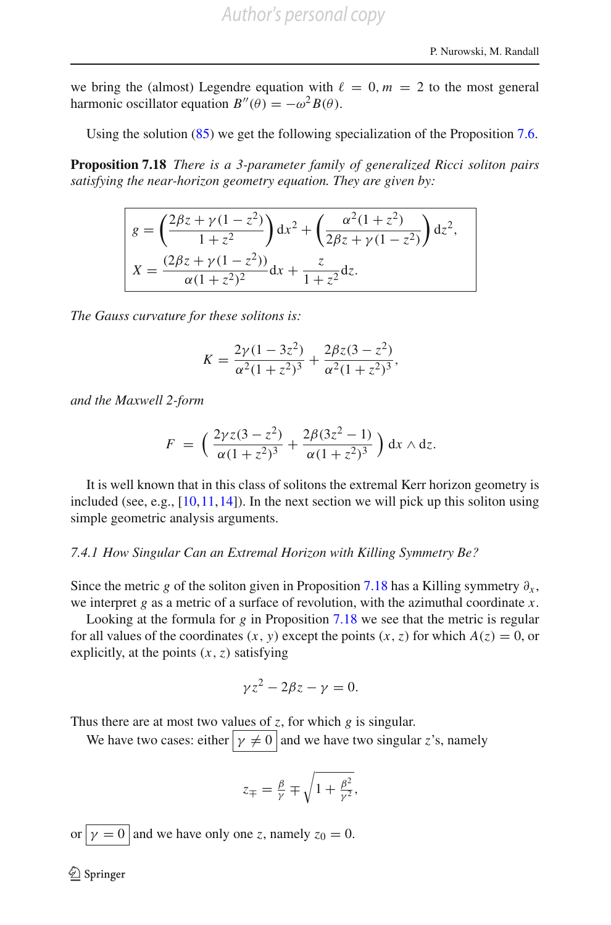we bring the (almost) Legendre equation with  $\ell = 0, m = 2$  to the most general harmonic oscillator equation  $B''(\theta) = -\omega^2 B(\theta)$ .

Using the solution [\(85\)](#page-50-0) we get the following specialization of the Proposition [7.6.](#page-40-2)

<span id="page-51-0"></span>**Proposition 7.18** *There is a 3-parameter family of generalized Ricci soliton pairs satisfying the near-horizon geometry equation. They are given by:*

$$
g = \left(\frac{2\beta z + \gamma(1 - z^2)}{1 + z^2}\right) dx^2 + \left(\frac{\alpha^2(1 + z^2)}{2\beta z + \gamma(1 - z^2)}\right) dz^2,
$$
  

$$
X = \frac{(2\beta z + \gamma(1 - z^2))}{\alpha(1 + z^2)^2} dx + \frac{z}{1 + z^2} dz.
$$

*The Gauss curvature for these solitons is:*

$$
K = \frac{2\gamma(1 - 3z^2)}{\alpha^2(1 + z^2)^3} + \frac{2\beta z(3 - z^2)}{\alpha^2(1 + z^2)^3},
$$

*and the Maxwell 2-form*

$$
F = \left(\frac{2\gamma z(3-z^2)}{\alpha(1+z^2)^3} + \frac{2\beta(3z^2-1)}{\alpha(1+z^2)^3}\right) dx \wedge dz.
$$

It is well known that in this class of solitons the extremal Kerr horizon geometry is included (see, e.g.,  $[10, 11, 14]$  $[10, 11, 14]$  $[10, 11, 14]$  $[10, 11, 14]$  $[10, 11, 14]$ ). In the next section we will pick up this soliton using simple geometric analysis arguments.

#### <span id="page-51-1"></span>*7.4.1 How Singular Can an Extremal Horizon with Killing Symmetry Be?*

Since the metric *g* of the soliton given in Proposition [7.18](#page-51-0) has a Killing symmetry  $\partial_x$ , we interpret *g* as a metric of a surface of revolution, with the azimuthal coordinate *x*.

Looking at the formula for *g* in Proposition [7.18](#page-51-0) we see that the metric is regular for all values of the coordinates  $(x, y)$  except the points  $(x, z)$  for which  $A(z) = 0$ , or explicitly, at the points  $(x, z)$  satisfying

$$
\gamma z^2 - 2\beta z - \gamma = 0.
$$

Thus there are at most two values of *z*, for which *g* is singular.

We have two cases: either  $y \neq 0$  and we have two singular *z*'s, namely

$$
z_{\mp} = \frac{\beta}{\gamma} \mp \sqrt{1 + \frac{\beta^2}{\gamma^2}},
$$

or  $y = 0$  and we have only one *z*, namely  $z_0 = 0$ .

 $\bigcircled{2}$  Springer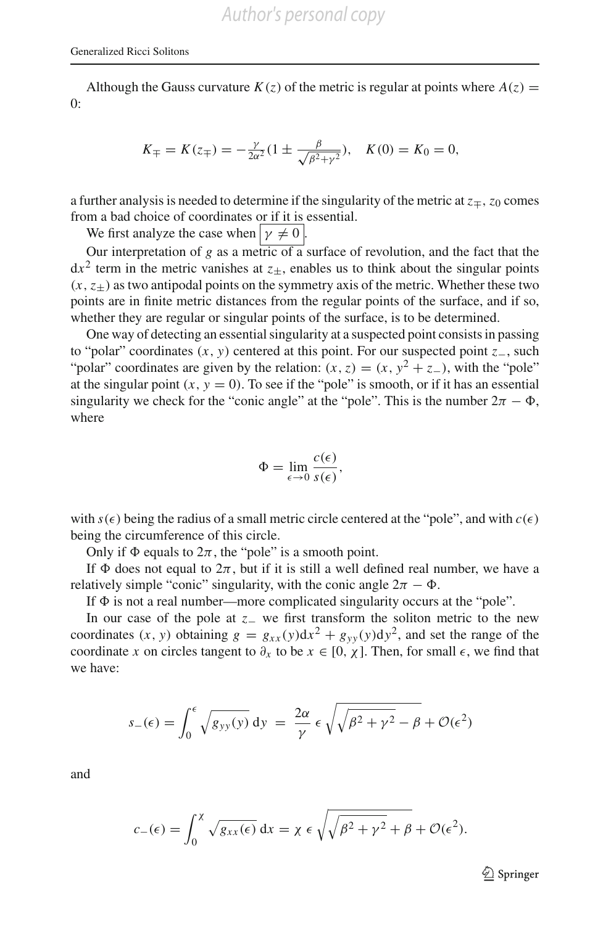Although the Gauss curvature  $K(z)$  of the metric is regular at points where  $A(z) =$  $0:$ 

$$
K_{\mp} = K(z_{\mp}) = -\frac{\gamma}{2\alpha^2} (1 \pm \frac{\beta}{\sqrt{\beta^2 + \gamma^2}}), \quad K(0) = K_0 = 0,
$$

a further analysis is needed to determine if the singularity of the metric at  $z_{\pm}$ ,  $z_0$  comes from a bad choice of coordinates or if it is essential.

We first analyze the case when  $y \neq 0$ .

Our interpretation of  $g$  as a metric of  $\overline{a}$  surface of revolution, and the fact that the  $dx^2$  term in the metric vanishes at  $z_+$ , enables us to think about the singular points  $(x, z<sub>+</sub>)$  as two antipodal points on the symmetry axis of the metric. Whether these two points are in finite metric distances from the regular points of the surface, and if so, whether they are regular or singular points of the surface, is to be determined.

One way of detecting an essential singularity at a suspected point consists in passing to "polar" coordinates (*x*, *y*) centered at this point. For our suspected point *z*−, such "polar" coordinates are given by the relation:  $(x, z) = (x, y^2 + z^-)$ , with the "pole" at the singular point  $(x, y = 0)$ . To see if the "pole" is smooth, or if it has an essential singularity we check for the "conic angle" at the "pole". This is the number  $2\pi - \Phi$ , where

$$
\Phi = \lim_{\epsilon \to 0} \frac{c(\epsilon)}{s(\epsilon)},
$$

with  $s(\epsilon)$  being the radius of a small metric circle centered at the "pole", and with  $c(\epsilon)$ being the circumference of this circle.

Only if  $\Phi$  equals to  $2\pi$ , the "pole" is a smooth point.

If  $\Phi$  does not equal to  $2\pi$ , but if it is still a well defined real number, we have a relatively simple "conic" singularity, with the conic angle  $2\pi - \Phi$ .

If  $\Phi$  is not a real number—more complicated singularity occurs at the "pole".

In our case of the pole at *z*− we first transform the soliton metric to the new coordinates  $(x, y)$  obtaining  $g = g_{xx}(y)dx^2 + g_{yy}(y)dy^2$ , and set the range of the coordinate *x* on circles tangent to  $\partial_x$  to be  $x \in [0, \chi]$ . Then, for small  $\epsilon$ , we find that we have:

$$
s_{-}(\epsilon) = \int_0^{\epsilon} \sqrt{g_{yy}(y)} \, dy = \frac{2\alpha}{\gamma} \epsilon \sqrt{\sqrt{\beta^2 + \gamma^2} - \beta} + \mathcal{O}(\epsilon^2)
$$

and

$$
c_{-}(\epsilon) = \int_0^{\chi} \sqrt{g_{xx}(\epsilon)} dx = \chi \epsilon \sqrt{\sqrt{\beta^2 + \gamma^2} + \beta} + \mathcal{O}(\epsilon^2).
$$

 $\mathcal{D}$  Springer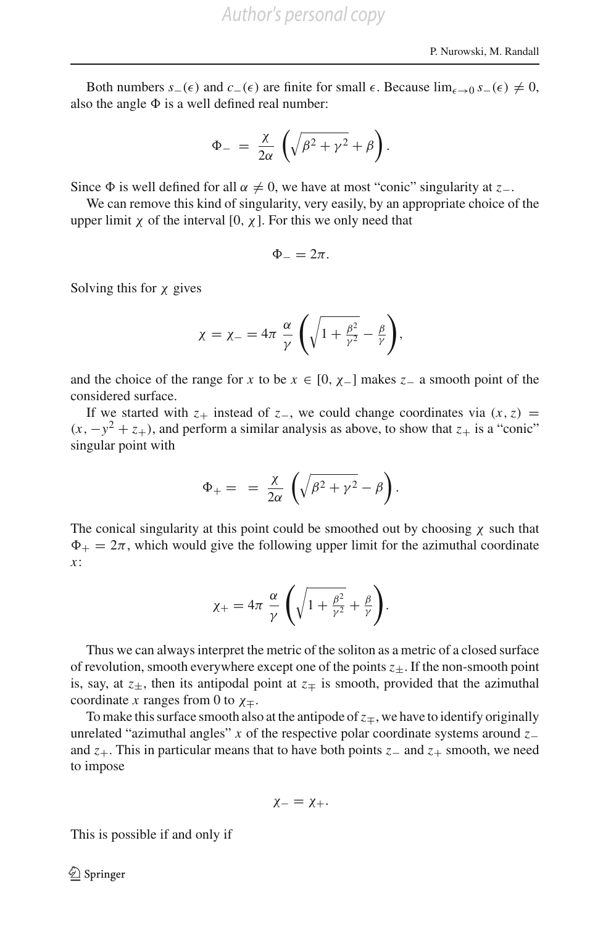Both numbers  $s_-(\epsilon)$  and  $c_-(\epsilon)$  are finite for small  $\epsilon$ . Because  $\lim_{\epsilon \to 0} s_-(\epsilon) \neq 0$ , also the angle  $\Phi$  is a well defined real number:

$$
\Phi_{-} = \frac{\chi}{2\alpha} \left( \sqrt{\beta^2 + \gamma^2} + \beta \right).
$$

Since  $\Phi$  is well defined for all  $\alpha \neq 0$ , we have at most "conic" singularity at *z*<sub>−</sub>.

We can remove this kind of singularity, very easily, by an appropriate choice of the upper limit  $\chi$  of the interval [0,  $\chi$ ]. For this we only need that

$$
\Phi_{-}=2\pi.
$$

Solving this for  $\chi$  gives

$$
\chi = \chi_{-} = 4\pi \frac{\alpha}{\gamma} \left( \sqrt{1 + \frac{\beta^2}{\gamma^2}} - \frac{\beta}{\gamma} \right),
$$

and the choice of the range for *x* to be  $x \in [0, \chi_{-}]$  makes  $z_{-}$  a smooth point of the considered surface.

If we started with  $z_+$  instead of  $z_-,$  we could change coordinates via  $(x, z)$  =  $(x, -y^2 + z_+)$ , and perform a similar analysis as above, to show that  $z_+$  is a "conic" singular point with

$$
\Phi_+ = \frac{\chi}{2\alpha} \left( \sqrt{\beta^2 + \gamma^2} - \beta \right).
$$

The conical singularity at this point could be smoothed out by choosing  $\chi$  such that  $\Phi_+ = 2\pi$ , which would give the following upper limit for the azimuthal coordinate *x*:

$$
\chi_+ = 4\pi \frac{\alpha}{\gamma} \left( \sqrt{1 + \frac{\beta^2}{\gamma^2}} + \frac{\beta}{\gamma} \right).
$$

Thus we can always interpret the metric of the soliton as a metric of a closed surface of revolution, smooth everywhere except one of the points  $z_{\pm}$ . If the non-smooth point is, say, at  $z_{\pm}$ , then its antipodal point at  $z_{\mp}$  is smooth, provided that the azimuthal coordinate *x* ranges from 0 to  $\chi_{\pm}$ .

To make this surface smooth also at the antipode of  $z<sub>mp</sub>$ , we have to identify originally unrelated "azimuthal angles" *x* of the respective polar coordinate systems around *z*− and *z*+. This in particular means that to have both points *z*− and *z*+ smooth, we need to impose

$$
\chi_- = \chi_+.
$$

This is possible if and only if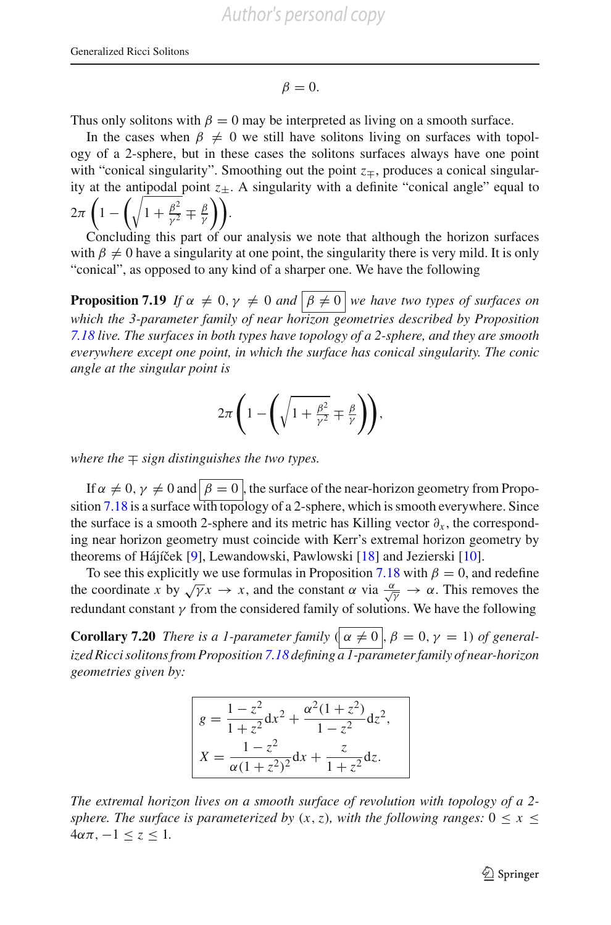$$
\beta = 0.
$$

Thus only solitons with  $\beta = 0$  may be interpreted as living on a smooth surface.

In the cases when  $\beta \neq 0$  we still have solitons living on surfaces with topology of a 2-sphere, but in these cases the solitons surfaces always have one point with "conical singularity". Smoothing out the point  $z<sub>±</sub>$ , produces a conical singularity at the antipodal point  $z_{\pm}$ . A singularity with a definite "conical angle" equal to  $2\pi\left(1-\left(\sqrt{1+\frac{\beta^2}{\gamma^2}}\mp\frac{\beta}{\gamma}\right)\right).$ 

Concluding this part of our analysis we note that although the horizon surfaces with  $\beta \neq 0$  have a singularity at one point, the singularity there is very mild. It is only "conical", as opposed to any kind of a sharper one. We have the following

**Proposition 7.19** *If*  $\alpha \neq 0, \gamma \neq 0$  *and*  $\boxed{\beta \neq 0}$  *we have two types of surfaces on which the 3-parameter family of near horizon geometries described by Proposition [7.18](#page-51-0) live. The surfaces in both types have topology of a 2-sphere, and they are smooth everywhere except one point, in which the surface has conical singularity. The conic angle at the singular point is*

$$
2\pi \left(1 - \left(\sqrt{1 + \frac{\beta^2}{\gamma^2}} \mp \frac{\beta}{\gamma}\right)\right),\,
$$

*where the* ∓ *sign distinguishes the two types.*

If  $\alpha \neq 0$ ,  $\gamma \neq 0$  and  $\sqrt{\beta} = 0$ , the surface of the near-horizon geometry from Propo-sition [7.18](#page-51-0) is a surface with topology of a 2-sphere, which is smooth everywhere. Since the surface is a smooth 2-sphere and its metric has Killing vector  $\partial_x$ , the corresponding near horizon geometry must coincide with Kerr's extremal horizon geometry by theorems of Hájíček [\[9](#page-67-16)], Lewandowski, Pawlowski [\[18\]](#page-67-17) and Jezierski [\[10](#page-67-7)].

To see this explicitly we use formulas in Proposition [7.18](#page-51-0) with  $\beta = 0$ , and redefine the coordinate *x* by  $\sqrt{\gamma}x \to x$ , and the constant  $\alpha$  via  $\frac{\alpha}{\sqrt{\gamma}} \to \alpha$ . This removes the redundant constant  $\gamma$  from the considered family of solutions. We have the following

**Corollary 7.20** *There is a 1-parameter family*  $(\alpha \neq 0, \beta = 0, \gamma = 1)$  *of generalized Ricci solitons from Proposition [7.18](#page-51-0) defining a 1-parameter family of near-horizon geometries given by:*

<span id="page-54-0"></span>
$$
g = \frac{1 - z^2}{1 + z^2} dx^2 + \frac{\alpha^2 (1 + z^2)}{1 - z^2} dz^2,
$$
  

$$
X = \frac{1 - z^2}{\alpha (1 + z^2)^2} dx + \frac{z}{1 + z^2} dz.
$$

*The extremal horizon lives on a smooth surface of revolution with topology of a 2 sphere. The surface is parameterized by*  $(x, z)$ *, with the following ranges:*  $0 \le x \le$  $4\alpha\pi$ ,  $-1 \leq z \leq 1$ .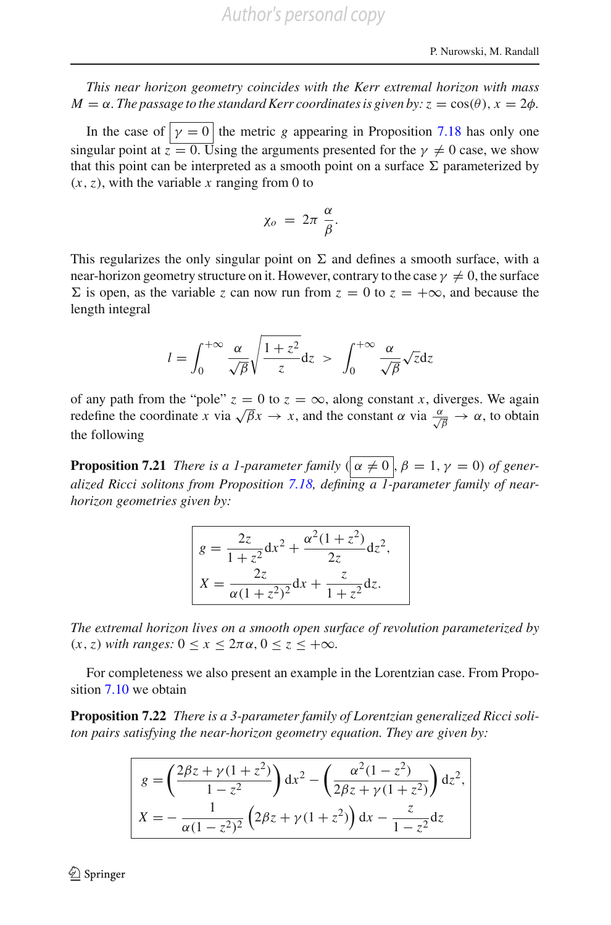*This near horizon geometry coincides with the Kerr extremal horizon with mass*  $M = \alpha$ . The passage to the standard Kerr coordinates is given by:  $z = cos(\theta)$ ,  $x = 2\phi$ .

In the case of  $y = 0$  the metric *g* appearing in Proposition [7.18](#page-51-0) has only one singular point at  $z = 0$ . Using the arguments presented for the  $\gamma \neq 0$  case, we show that this point can be interpreted as a smooth point on a surface  $\Sigma$  parameterized by  $(x, z)$ , with the variable *x* ranging from 0 to

$$
\chi_o = 2\pi \frac{\alpha}{\beta}.
$$

This regularizes the only singular point on  $\Sigma$  and defines a smooth surface, with a near-horizon geometry structure on it. However, contrary to the case  $\gamma \neq 0$ , the surface  $\sum$  is open, as the variable *z* can now run from  $z = 0$  to  $z = +\infty$ , and because the length integral

$$
l = \int_0^{+\infty} \frac{\alpha}{\sqrt{\beta}} \sqrt{\frac{1+z^2}{z}} dz > \int_0^{+\infty} \frac{\alpha}{\sqrt{\beta}} \sqrt{z} dz
$$

of any path from the "pole"  $z = 0$  to  $z = \infty$ , along constant *x*, diverges. We again or any pair from the pole  $z = 0$  to  $z = ∞$ , along constant *x*, diverges. We again redefine the coordinate *x* via  $\sqrt{\beta}x \to x$ , and the constant *α* via  $\frac{\alpha}{\sqrt{\beta}} \to \alpha$ , to obtain the following

**Proposition 7.21** *There is a 1-parameter family*  $(\alpha \neq 0, \beta = 1, \gamma = 0)$  *of generalized Ricci solitons from Proposition [7.18,](#page-51-0) defining a 1-parameter family of nearhorizon geometries given by:*

$$
g = \frac{2z}{1+z^2}dx^2 + \frac{\alpha^2(1+z^2)}{2z}dz^2,
$$
  

$$
X = \frac{2z}{\alpha(1+z^2)^2}dx + \frac{z}{1+z^2}dz.
$$

*The extremal horizon lives on a smooth open surface of revolution parameterized by*  $(x, z)$  *with ranges:*  $0 \le x \le 2\pi \alpha$ ,  $0 \le z \le +\infty$ *.* 

For completeness we also present an example in the Lorentzian case. From Proposition [7.10](#page-45-0) we obtain

**Proposition 7.22** *There is a 3-parameter family of Lorentzian generalized Ricci soliton pairs satisfying the near-horizon geometry equation. They are given by:*

$$
g = \left(\frac{2\beta z + \gamma(1+z^2)}{1-z^2}\right) dx^2 - \left(\frac{\alpha^2(1-z^2)}{2\beta z + \gamma(1+z^2)}\right) dz^2,
$$
  

$$
X = -\frac{1}{\alpha(1-z^2)^2} \left(2\beta z + \gamma(1+z^2)\right) dx - \frac{z}{1-z^2} dz
$$

 $\circled{2}$  Springer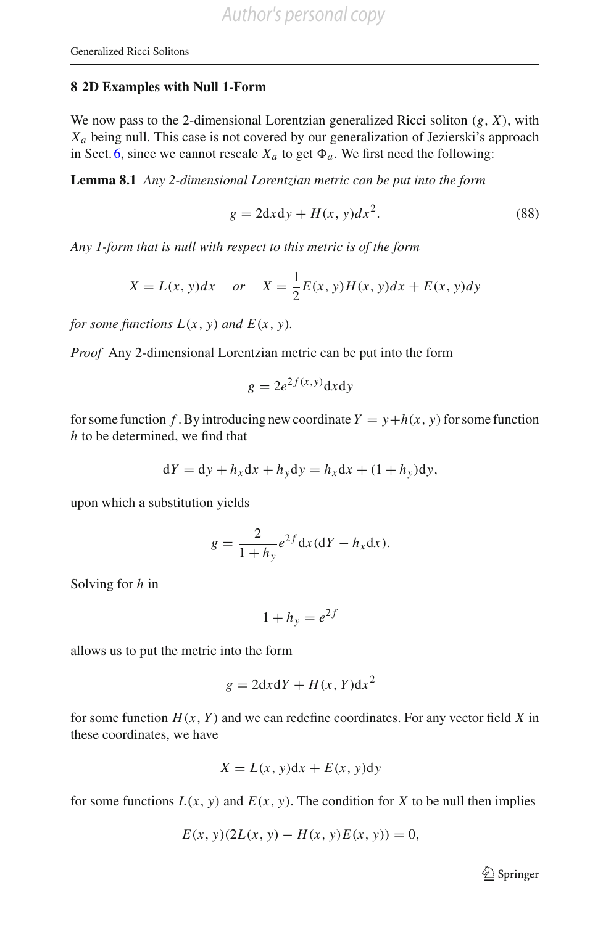#### <span id="page-56-0"></span>**8 2D Examples with Null 1-Form**

We now pass to the 2-dimensional Lorentzian generalized Ricci soliton (*g*, *X*), with *Xa* being null. This case is not covered by our generalization of Jezierski's approach in Sect. [6,](#page-32-0) since we cannot rescale  $X_a$  to get  $\Phi_a$ . We first need the following:

**Lemma 8.1** *Any 2-dimensional Lorentzian metric can be put into the form*

$$
g = 2dx dy + H(x, y)dx^2.
$$
 (88)

*Any 1-form that is null with respect to this metric is of the form*

<span id="page-56-1"></span>
$$
X = L(x, y)dx \quad or \quad X = \frac{1}{2}E(x, y)H(x, y)dx + E(x, y)dy
$$

*for some functions*  $L(x, y)$  *and*  $E(x, y)$ *.* 

*Proof* Any 2-dimensional Lorentzian metric can be put into the form

$$
g = 2e^{2f(x,y)}\mathrm{d}x\mathrm{d}y
$$

for some function *f*. By introducing new coordinate  $Y = y + h(x, y)$  for some function *h* to be determined, we find that

$$
dY = dy + h_x dx + h_y dy = h_x dx + (1 + h_y) dy,
$$

upon which a substitution yields

$$
g = \frac{2}{1 + h_y} e^{2f} dx (dY - h_x dx).
$$

Solving for *h* in

$$
1 + h_y = e^{2f}
$$

allows us to put the metric into the form

$$
g = 2dx dY + H(x, Y) dx^2
$$

for some function  $H(x, Y)$  and we can redefine coordinates. For any vector field X in these coordinates, we have

$$
X = L(x, y)dx + E(x, y)dy
$$

for some functions  $L(x, y)$  and  $E(x, y)$ . The condition for *X* to be null then implies

$$
E(x, y)(2L(x, y) - H(x, y)E(x, y)) = 0,
$$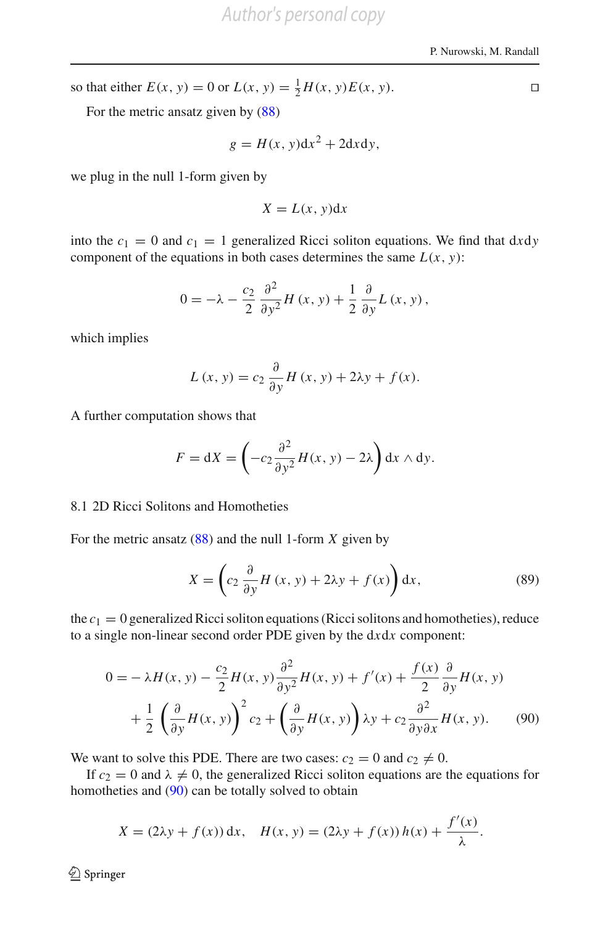so that either  $E(x, y) = 0$  or  $L(x, y) = \frac{1}{2}H(x, y)E(x, y)$ .

For the metric ansatz given by [\(88\)](#page-56-1)

$$
g = H(x, y)dx^2 + 2dxdy,
$$

we plug in the null 1-form given by

$$
X = L(x, y) \mathrm{d}x
$$

into the  $c_1 = 0$  and  $c_1 = 1$  generalized Ricci soliton equations. We find that dxdy component of the equations in both cases determines the same  $L(x, y)$ :

$$
0 = -\lambda - \frac{c_2}{2} \frac{\partial^2}{\partial y^2} H(x, y) + \frac{1}{2} \frac{\partial}{\partial y} L(x, y),
$$

which implies

$$
L(x, y) = c_2 \frac{\partial}{\partial y} H(x, y) + 2\lambda y + f(x).
$$

A further computation shows that

$$
F = dX = \left(-c_2 \frac{\partial^2}{\partial y^2} H(x, y) - 2\lambda\right) dx \wedge dy.
$$

#### 8.1 2D Ricci Solitons and Homotheties

For the metric ansatz [\(88\)](#page-56-1) and the null 1-form *X* given by

<span id="page-57-1"></span><span id="page-57-0"></span>
$$
X = \left(c_2 \frac{\partial}{\partial y} H(x, y) + 2\lambda y + f(x)\right) dx, \tag{89}
$$

the  $c_1 = 0$  generalized Ricci soliton equations (Ricci solitons and homotheties), reduce to a single non-linear second order PDE given by the d*x*d*x* component:

$$
0 = -\lambda H(x, y) - \frac{c_2}{2} H(x, y) \frac{\partial^2}{\partial y^2} H(x, y) + f'(x) + \frac{f(x)}{2} \frac{\partial}{\partial y} H(x, y)
$$

$$
+ \frac{1}{2} \left( \frac{\partial}{\partial y} H(x, y) \right)^2 c_2 + \left( \frac{\partial}{\partial y} H(x, y) \right) \lambda y + c_2 \frac{\partial^2}{\partial y \partial x} H(x, y). \tag{90}
$$

We want to solve this PDE. There are two cases:  $c_2 = 0$  and  $c_2 \neq 0$ .

If  $c_2 = 0$  and  $\lambda \neq 0$ , the generalized Ricci soliton equations are the equations for homotheties and [\(90\)](#page-57-0) can be totally solved to obtain

$$
X = (2\lambda y + f(x)) dx, \quad H(x, y) = (2\lambda y + f(x)) h(x) + \frac{f'(x)}{\lambda}.
$$

<sup>2</sup> Springer

 $\Box$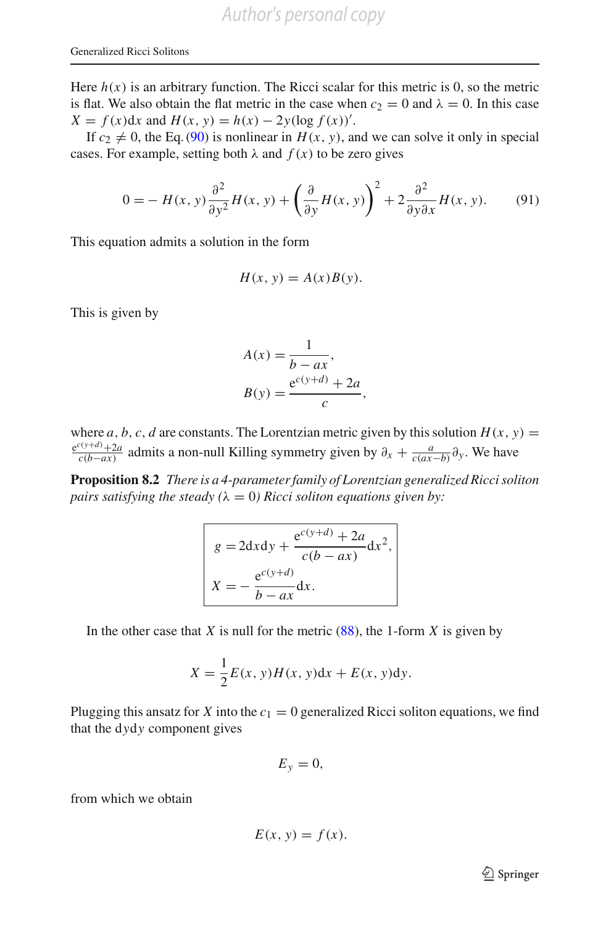Here  $h(x)$  is an arbitrary function. The Ricci scalar for this metric is 0, so the metric is flat. We also obtain the flat metric in the case when  $c_2 = 0$  and  $\lambda = 0$ . In this case  $X = f(x)dx$  and  $H(x, y) = h(x) - 2y(\log f(x))'.$ 

If  $c_2 \neq 0$ , the Eq. [\(90\)](#page-57-0) is nonlinear in  $H(x, y)$ , and we can solve it only in special cases. For example, setting both  $\lambda$  and  $f(x)$  to be zero gives

$$
0 = -H(x, y)\frac{\partial^2}{\partial y^2}H(x, y) + \left(\frac{\partial}{\partial y}H(x, y)\right)^2 + 2\frac{\partial^2}{\partial y\partial x}H(x, y).
$$
 (91)

This equation admits a solution in the form

$$
H(x, y) = A(x)B(y).
$$

This is given by

$$
A(x) = \frac{1}{b - ax},
$$
  
\n
$$
B(y) = \frac{e^{c(y+d)} + 2a}{c},
$$

where *a*, *b*, *c*, *d* are constants. The Lorentzian metric given by this solution  $H(x, y) =$  $\frac{e^{c(y+d)} + 2a}{c(b-a x)}$  admits a non-null Killing symmetry given by  $\partial_x + \frac{a}{c(a x - b)} \partial_y$ . We have

**Proposition 8.2** *There is a 4-parameter family of Lorentzian generalized Ricci soliton pairs satisfying the steady (* $\lambda = 0$ *) Ricci soliton equations given by:* 

$$
g = 2dx dy + \frac{e^{c(y+d)} + 2a}{c(b - ax)} dx2,
$$
  

$$
X = -\frac{e^{c(y+d)}}{b - ax} dx.
$$

In the other case that *X* is null for the metric  $(88)$ , the 1-form *X* is given by

$$
X = \frac{1}{2}E(x, y)H(x, y)dx + E(x, y)dy.
$$

Plugging this ansatz for *X* into the  $c_1 = 0$  generalized Ricci soliton equations, we find that the d*y*d*y* component gives

$$
E_y=0,
$$

from which we obtain

$$
E(x, y) = f(x).
$$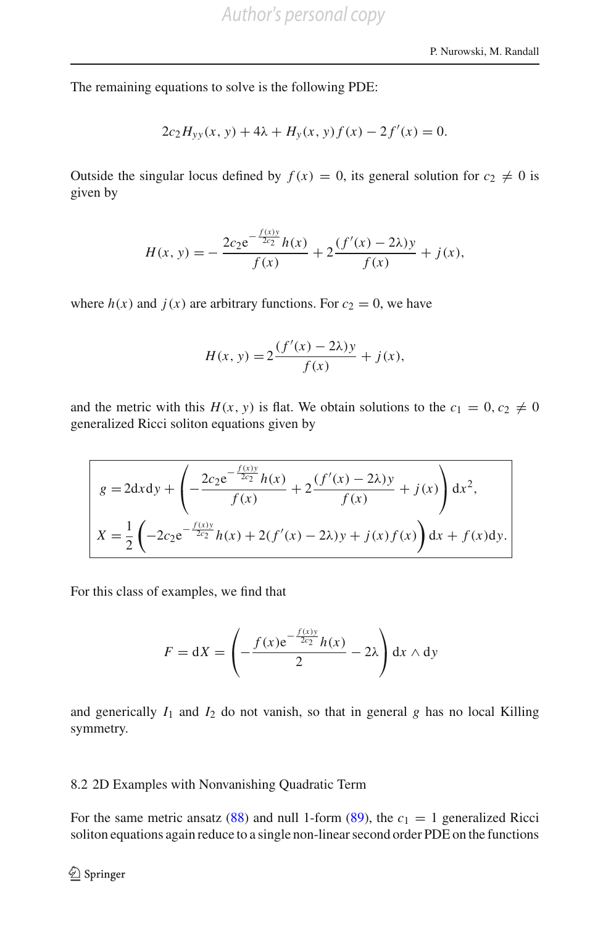The remaining equations to solve is the following PDE:

$$
2c_2H_{yy}(x, y) + 4\lambda + H_y(x, y)f(x) - 2f'(x) = 0.
$$

Outside the singular locus defined by  $f(x) = 0$ , its general solution for  $c_2 \neq 0$  is given by

$$
H(x, y) = -\frac{2c_2 e^{-\frac{f(x)y}{2c_2}} h(x)}{f(x)} + 2 \frac{(f'(x) - 2\lambda)y}{f(x)} + j(x),
$$

where  $h(x)$  and  $j(x)$  are arbitrary functions. For  $c_2 = 0$ , we have

$$
H(x, y) = 2\frac{(f'(x) - 2\lambda)y}{f(x)} + j(x),
$$

and the metric with this  $H(x, y)$  is flat. We obtain solutions to the  $c_1 = 0, c_2 \neq 0$ generalized Ricci soliton equations given by

$$
g = 2dx dy + \left( -\frac{2c_2 e^{-\frac{f(x)y}{2c_2}} h(x)}{f(x)} + 2 \frac{(f'(x) - 2\lambda)y}{f(x)} + j(x) \right) dx^2,
$$
  

$$
X = \frac{1}{2} \left( -2c_2 e^{-\frac{f(x)y}{2c_2}} h(x) + 2(f'(x) - 2\lambda)y + j(x)f(x) \right) dx + f(x)dy.
$$

For this class of examples, we find that

$$
F = dX = \left(-\frac{f(x)e^{-\frac{f(x)y}{2c_2}}h(x)}{2} - 2\lambda\right)dx \wedge dy
$$

and generically  $I_1$  and  $I_2$  do not vanish, so that in general  $g$  has no local Killing symmetry.

#### <span id="page-59-0"></span>8.2 2D Examples with Nonvanishing Quadratic Term

For the same metric ansatz [\(88\)](#page-56-1) and null 1-form [\(89\)](#page-57-1), the  $c_1 = 1$  generalized Ricci soliton equations again reduce to a single non-linear second order PDE on the functions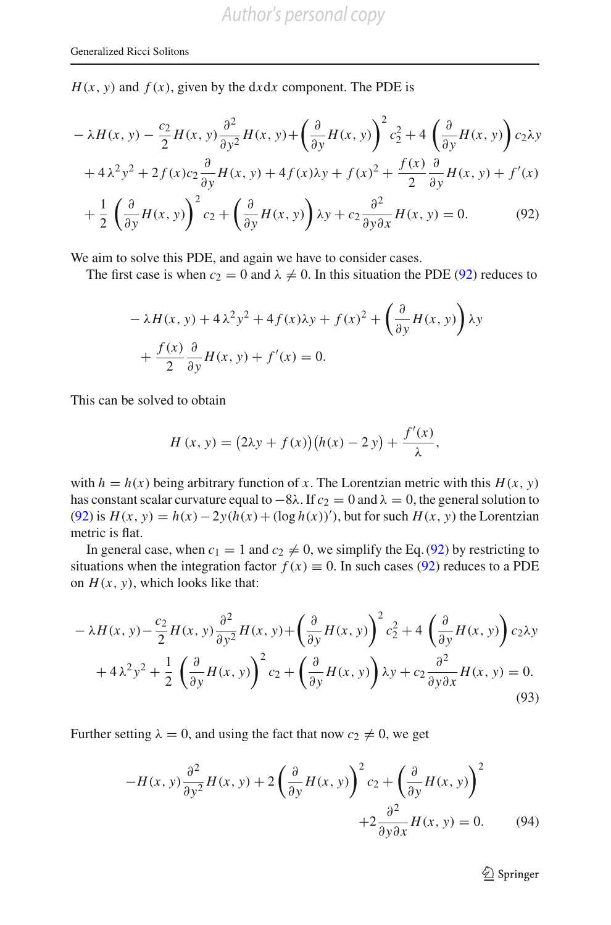$H(x, y)$  and  $f(x)$ , given by the d*x*d*x* component. The PDE is

$$
-\lambda H(x, y) - \frac{c_2}{2}H(x, y)\frac{\partial^2}{\partial y^2}H(x, y) + \left(\frac{\partial}{\partial y}H(x, y)\right)^2 c_2^2 + 4\left(\frac{\partial}{\partial y}H(x, y)\right)c_2\lambda y
$$

$$
+ 4\lambda^2 y^2 + 2f(x)c_2\frac{\partial}{\partial y}H(x, y) + 4f(x)\lambda y + f(x)^2 + \frac{f(x)}{2}\frac{\partial}{\partial y}H(x, y) + f'(x)
$$

$$
+\frac{1}{2}\left(\frac{\partial}{\partial y}H(x,y)\right)^2c_2+\left(\frac{\partial}{\partial y}H(x,y)\right)\lambda y+c_2\frac{\partial^2}{\partial y\partial x}H(x,y)=0.
$$
 (92)

We aim to solve this PDE, and again we have to consider cases.

The first case is when  $c_2 = 0$  and  $\lambda \neq 0$ . In this situation the PDE [\(92\)](#page-60-0) reduces to

<span id="page-60-0"></span>
$$
-\lambda H(x, y) + 4\lambda^2 y^2 + 4f(x)\lambda y + f(x)^2 + \left(\frac{\partial}{\partial y}H(x, y)\right)\lambda y + \frac{f(x)}{2}\frac{\partial}{\partial y}H(x, y) + f'(x) = 0.
$$

This can be solved to obtain

$$
H(x, y) = (2\lambda y + f(x))(h(x) - 2y) + \frac{f'(x)}{\lambda},
$$

with  $h = h(x)$  being arbitrary function of *x*. The Lorentzian metric with this  $H(x, y)$ has constant scalar curvature equal to  $-8\lambda$ . If  $c_2 = 0$  and  $\lambda = 0$ , the general solution to [\(92\)](#page-60-0) is  $H(x, y) = h(x) - 2y(h(x) + (\log h(x))')$ , but for such  $H(x, y)$  the Lorentzian metric is flat.

In general case, when  $c_1 = 1$  and  $c_2 \neq 0$ , we simplify the Eq. [\(92\)](#page-60-0) by restricting to situations when the integration factor  $f(x) \equiv 0$ . In such cases [\(92\)](#page-60-0) reduces to a PDE on  $H(x, y)$ , which looks like that:

$$
-\lambda H(x, y) - \frac{c_2}{2}H(x, y)\frac{\partial^2}{\partial y^2}H(x, y) + \left(\frac{\partial}{\partial y}H(x, y)\right)^2 c_2^2 + 4\left(\frac{\partial}{\partial y}H(x, y)\right)c_2\lambda y
$$

$$
+ 4\lambda^2 y^2 + \frac{1}{2}\left(\frac{\partial}{\partial y}H(x, y)\right)^2 c_2 + \left(\frac{\partial}{\partial y}H(x, y)\right)\lambda y + c_2\frac{\partial^2}{\partial y\partial x}H(x, y) = 0.
$$
(93)

Further setting  $\lambda = 0$ , and using the fact that now  $c_2 \neq 0$ , we get

$$
-H(x, y)\frac{\partial^2}{\partial y^2}H(x, y) + 2\left(\frac{\partial}{\partial y}H(x, y)\right)^2 c_2 + \left(\frac{\partial}{\partial y}H(x, y)\right)^2 + 2\frac{\partial^2}{\partial y \partial x}H(x, y) = 0.
$$
 (94)

<span id="page-60-1"></span><sup>2</sup> Springer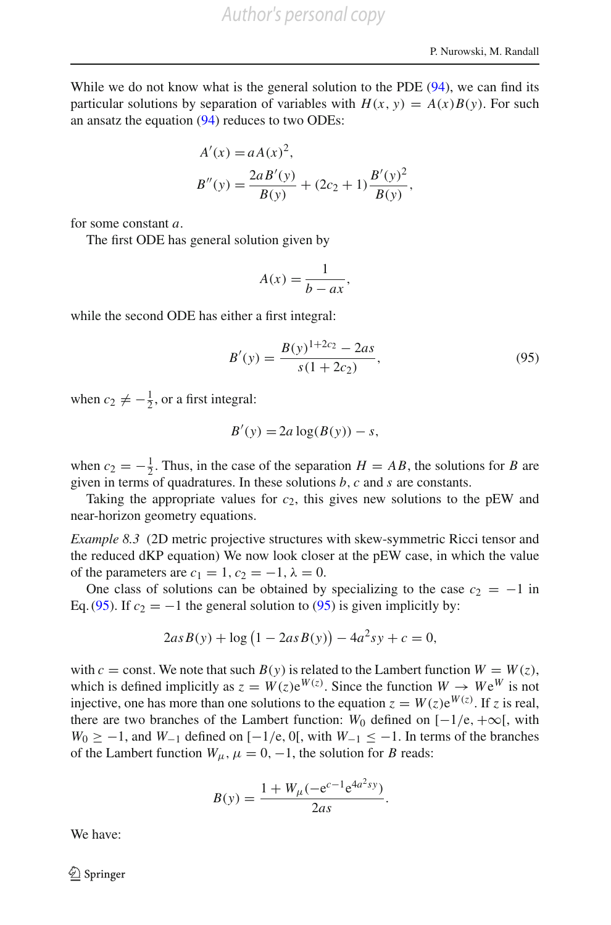While we do not know what is the general solution to the PDE [\(94\)](#page-60-1), we can find its particular solutions by separation of variables with  $H(x, y) = A(x)B(y)$ . For such an ansatz the equation [\(94\)](#page-60-1) reduces to two ODEs:

$$
A'(x) = aA(x)^{2},
$$
  
\n
$$
B''(y) = \frac{2aB'(y)}{B(y)} + (2c_{2} + 1)\frac{B'(y)^{2}}{B(y)},
$$

for some constant *a*.

The first ODE has general solution given by

$$
A(x) = \frac{1}{b - ax},
$$

<span id="page-61-0"></span>while the second ODE has either a first integral:

$$
B'(y) = \frac{B(y)^{1+2c_2} - 2as}{s(1+2c_2)},
$$
\n(95)

when  $c_2 \neq -\frac{1}{2}$ , or a first integral:

$$
B'(y) = 2a \log(B(y)) - s,
$$

when  $c_2 = -\frac{1}{2}$ . Thus, in the case of the separation  $H = AB$ , the solutions for *B* are given in terms of quadratures. In these solutions *b*, *c* and *s* are constants.

Taking the appropriate values for  $c_2$ , this gives new solutions to the pEW and near-horizon geometry equations.

*Example 8.3* (2D metric projective structures with skew-symmetric Ricci tensor and the reduced dKP equation) We now look closer at the pEW case, in which the value of the parameters are  $c_1 = 1$ ,  $c_2 = -1$ ,  $\lambda = 0$ .

One class of solutions can be obtained by specializing to the case  $c_2 = -1$  in Eq. [\(95\)](#page-61-0). If  $c_2 = -1$  the general solution to (95) is given implicitly by:

$$
2as B(y) + \log (1 - 2as B(y)) - 4a^2 sy + c = 0,
$$

with  $c =$  const. We note that such  $B(y)$  is related to the Lambert function  $W = W(z)$ , which is defined implicitly as  $z = W(z)e^{W(z)}$ . Since the function  $W \to We^W$  is not injective, one has more than one solutions to the equation  $z = W(z)e^{W(z)}$ . If *z* is real, there are two branches of the Lambert function: *W*<sub>0</sub> defined on  $[-1/e, +\infty]$ , with  $W_0 \geq -1$ , and  $W_{-1}$  defined on  $[-1/e, 0]$ , with  $W_{-1} \leq -1$ . In terms of the branches of the Lambert function  $W_{\mu}$ ,  $\mu = 0, -1$ , the solution for *B* reads:

$$
B(y) = \frac{1 + W_{\mu}(-e^{c-1}e^{4a^2sy})}{2as}.
$$

<span id="page-61-1"></span>We have:

 $\circled{2}$  Springer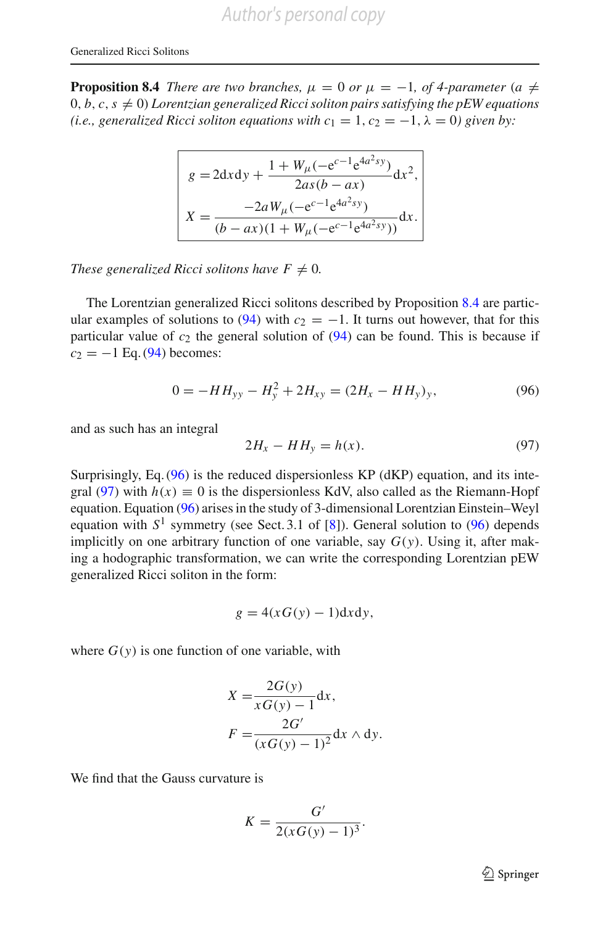**Proposition 8.4** *There are two branches,*  $\mu = 0$  *or*  $\mu = -1$ *, of 4-parameter* (*a*  $\neq$  $(0, b, c, s \neq 0)$  *Lorentzian generalized Ricci soliton pairs satisfying the pEW equations (i.e., generalized Ricci soliton equations with*  $c_1 = 1$ *,*  $c_2 = -1$ *,*  $\lambda = 0$ *) given by:* 

$$
g = 2dxdy + \frac{1 + W_{\mu}(-e^{c-1}e^{4a^2sy})}{2as(b - ax)}dx^2,
$$
  

$$
X = \frac{-2aW_{\mu}(-e^{c-1}e^{4a^2sy})}{(b - ax)(1 + W_{\mu}(-e^{c-1}e^{4a^2sy}))}dx.
$$

*These generalized Ricci solitons have*  $F \neq 0$ *.* 

The Lorentzian generalized Ricci solitons described by Proposition [8.4](#page-61-1) are partic-ular examples of solutions to [\(94\)](#page-60-1) with  $c_2 = -1$ . It turns out however, that for this particular value of  $c_2$  the general solution of  $(94)$  can be found. This is because if  $c_2 = -1$  Eq. [\(94\)](#page-60-1) becomes:

<span id="page-62-1"></span>
$$
0 = -HH_{yy} - H_y^2 + 2H_{xy} = (2H_x - HH_y)_y, \tag{96}
$$

<span id="page-62-0"></span>and as such has an integral

$$
2H_x - HH_y = h(x). \tag{97}
$$

Surprisingly, Eq. [\(96\)](#page-62-0) is the reduced dispersionless KP (dKP) equation, and its inte-gral [\(97\)](#page-62-1) with  $h(x) \equiv 0$  is the dispersionless KdV, also called as the Riemann-Hopf equation. Equation [\(96\)](#page-62-0) arises in the study of 3-dimensional Lorentzian Einstein–Weyl equation with  $S^1$  symmetry (see Sect. 3.1 of [\[8\]](#page-67-18)). General solution to [\(96\)](#page-62-0) depends implicitly on one arbitrary function of one variable, say  $G(y)$ . Using it, after making a hodographic transformation, we can write the corresponding Lorentzian pEW generalized Ricci soliton in the form:

$$
g = 4(xG(y) - 1)dxdy,
$$

where  $G(y)$  is one function of one variable, with

$$
X = \frac{2G(y)}{xG(y) - 1} dx,
$$
  
\n
$$
F = \frac{2G'}{(xG(y) - 1)^2} dx \wedge dy.
$$

We find that the Gauss curvature is

$$
K = \frac{G'}{2(xG(y) - 1)^3}.
$$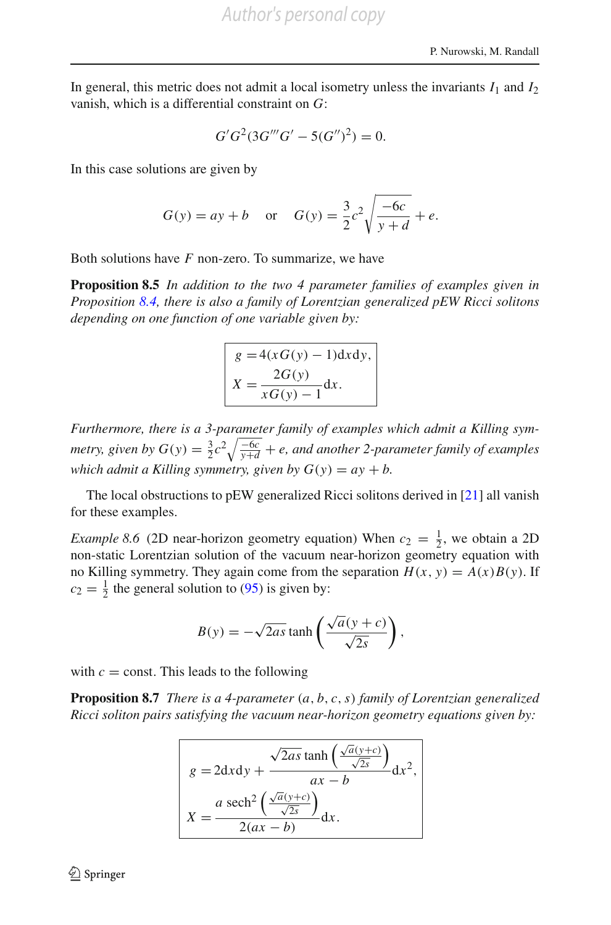In general, this metric does not admit a local isometry unless the invariants  $I_1$  and  $I_2$ vanish, which is a differential constraint on *G*:

$$
G'G^2(3G'''G'-5(G'')^2)=0.
$$

In this case solutions are given by

$$
G(y) = ay + b
$$
 or  $G(y) = \frac{3}{2}c^2 \sqrt{\frac{-6c}{y+d}} + e$ .

<span id="page-63-0"></span>Both solutions have *F* non-zero. To summarize, we have

**Proposition 8.5** *In addition to the two 4 parameter families of examples given in Proposition [8.4,](#page-61-1) there is also a family of Lorentzian generalized pEW Ricci solitons depending on one function of one variable given by:*

$$
g = 4(xG(y) - 1)dxdy,
$$
  

$$
X = \frac{2G(y)}{xG(y) - 1}dx.
$$

*Furthermore, there is a 3-parameter family of examples which admit a Killing symmetry, given by*  $G(y) = \frac{3}{2}c^2 \sqrt{\frac{-6c}{y+d}} + e$ , and another 2-parameter family of examples *which admit a Killing symmetry, given by*  $G(y) = ay + b$ .

The local obstructions to pEW generalized Ricci solitons derived in [\[21\]](#page-67-5) all vanish for these examples.

*Example 8.6* (2D near-horizon geometry equation) When  $c_2 = \frac{1}{2}$ , we obtain a 2D non-static Lorentzian solution of the vacuum near-horizon geometry equation with no Killing symmetry. They again come from the separation  $H(x, y) = A(x)B(y)$ . If  $c_2 = \frac{1}{2}$  the general solution to [\(95\)](#page-61-0) is given by:

$$
B(y) = -\sqrt{2as} \tanh\left(\frac{\sqrt{a}(y+c)}{\sqrt{2s}}\right),
$$

with  $c =$  const. This leads to the following

**Proposition 8.7** *There is a 4-parameter* (*a*, *b*, *c*,*s*) *family of Lorentzian generalized Ricci soliton pairs satisfying the vacuum near-horizon geometry equations given by:*

$$
g = 2dx dy + \frac{\sqrt{2as} \tanh\left(\frac{\sqrt{a}(y+c)}{\sqrt{2s}}\right)}{ax - b} dx^{2},
$$

$$
X = \frac{a \operatorname{sech}^{2}\left(\frac{\sqrt{a}(y+c)}{\sqrt{2s}}\right)}{2(ax - b)} dx.
$$

 $\circled{2}$  Springer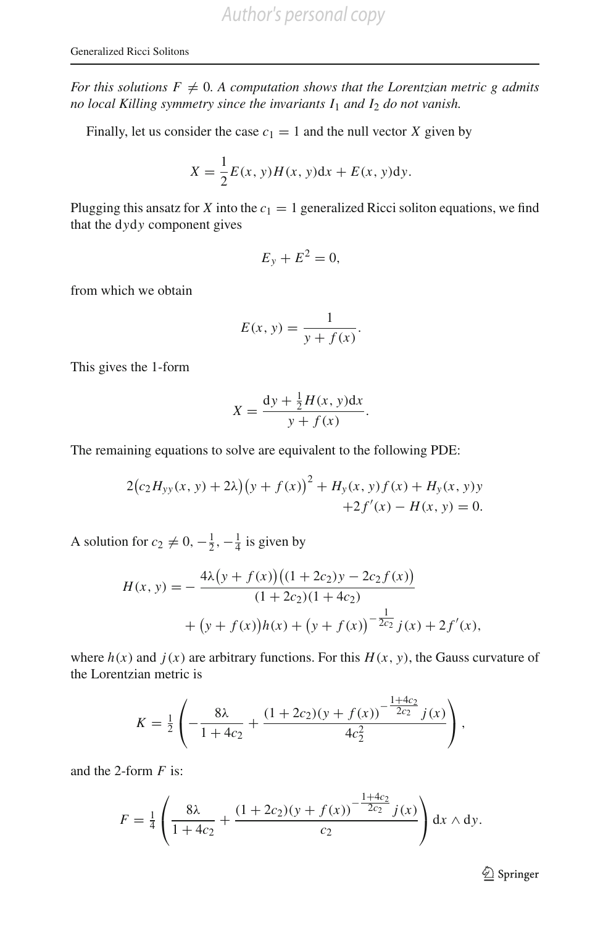*For this solutions F*  $\neq$  *0. A computation shows that the Lorentzian metric g admits no local Killing symmetry since the invariants I*<sup>1</sup> *and I*<sup>2</sup> *do not vanish.*

Finally, let us consider the case  $c_1 = 1$  and the null vector *X* given by

$$
X = \frac{1}{2}E(x, y)H(x, y)dx + E(x, y)dy.
$$

Plugging this ansatz for *X* into the  $c_1 = 1$  generalized Ricci soliton equations, we find that the d*y*d*y* component gives

$$
E_y + E^2 = 0,
$$

from which we obtain

$$
E(x, y) = \frac{1}{y + f(x)}.
$$

This gives the 1-form

$$
X = \frac{\mathrm{d}y + \frac{1}{2}H(x, y)\mathrm{d}x}{y + f(x)}.
$$

The remaining equations to solve are equivalent to the following PDE:

$$
2(c_2H_{yy}(x, y) + 2\lambda)(y + f(x))^{2} + H_{y}(x, y)f(x) + H_{y}(x, y)y + 2f'(x) - H(x, y) = 0.
$$

A solution for  $c_2 \neq 0, -\frac{1}{2}, -\frac{1}{4}$  is given by

$$
H(x, y) = -\frac{4\lambda (y + f(x))((1 + 2c_2)y - 2c_2 f(x))}{(1 + 2c_2)(1 + 4c_2)} + (y + f(x))h(x) + (y + f(x))^{-\frac{1}{2c_2}}j(x) + 2f'(x),
$$

where  $h(x)$  and  $j(x)$  are arbitrary functions. For this  $H(x, y)$ , the Gauss curvature of the Lorentzian metric is

$$
K = \frac{1}{2} \left( -\frac{8\lambda}{1+4c_2} + \frac{(1+2c_2)(y+f(x))^{-\frac{1+4c_2}{2c_2}}j(x)}{4c_2^2} \right),
$$

and the 2-form *F* is:

$$
F = \frac{1}{4} \left( \frac{8\lambda}{1 + 4c_2} + \frac{(1 + 2c_2)(y + f(x))^{-\frac{1 + 4c_2}{2c_2}} j(x)}{c_2} \right) dx \wedge dy.
$$

<sup>2</sup> Springer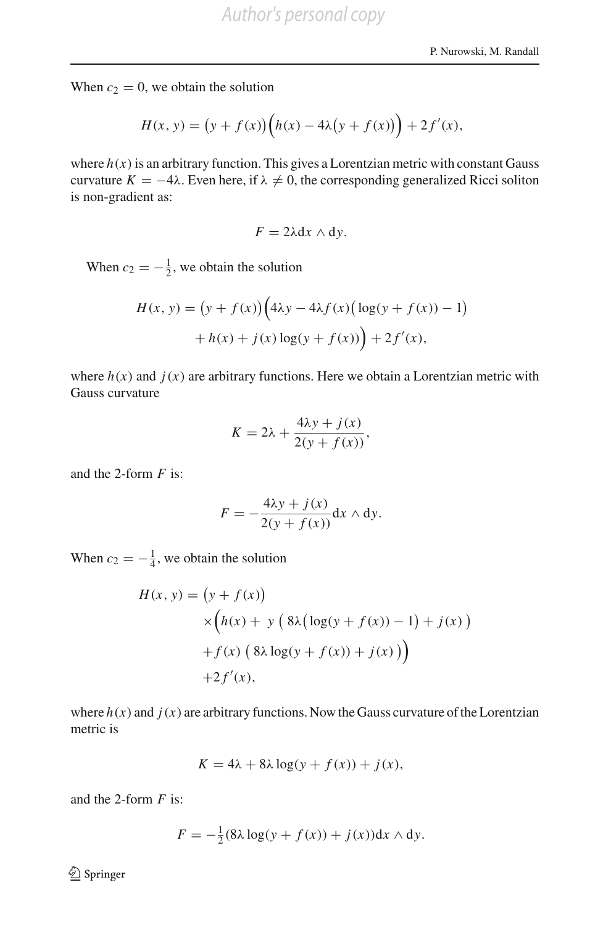When  $c_2 = 0$ , we obtain the solution

$$
H(x, y) = (y + f(x)) (h(x) - 4\lambda (y + f(x))) + 2f'(x),
$$

where  $h(x)$  is an arbitrary function. This gives a Lorentzian metric with constant Gauss curvature  $K = -4\lambda$ . Even here, if  $\lambda \neq 0$ , the corresponding generalized Ricci soliton is non-gradient as:

$$
F=2\lambda\mathrm{d}x\wedge\mathrm{d}y.
$$

When  $c_2 = -\frac{1}{2}$ , we obtain the solution

$$
H(x, y) = (y + f(x)) (4\lambda y - 4\lambda f(x) (\log(y + f(x))) - 1)
$$
  
+ h(x) + j(x) \log(y + f(x)) + 2f'(x),

where  $h(x)$  and  $j(x)$  are arbitrary functions. Here we obtain a Lorentzian metric with Gauss curvature

$$
K = 2\lambda + \frac{4\lambda y + j(x)}{2(y + f(x))},
$$

and the 2-form *F* is:

$$
F = -\frac{4\lambda y + j(x)}{2(y + f(x))} dx \wedge dy.
$$

When  $c_2 = -\frac{1}{4}$ , we obtain the solution

$$
H(x, y) = (y + f(x))
$$
  
\n
$$
\times (h(x) + y (8\lambda(\log(y + f(x)) - 1) + j(x))
$$
  
\n
$$
+ f(x) (8\lambda \log(y + f(x)) + j(x))
$$
  
\n
$$
+ 2f'(x),
$$

where  $h(x)$  and  $j(x)$  are arbitrary functions. Now the Gauss curvature of the Lorentzian metric is

$$
K = 4\lambda + 8\lambda \log(y + f(x)) + j(x),
$$

and the 2-form *F* is:

$$
F = -\frac{1}{2}(8\lambda \log(y + f(x)) + j(x))dx \wedge dy.
$$

<sup>2</sup> Springer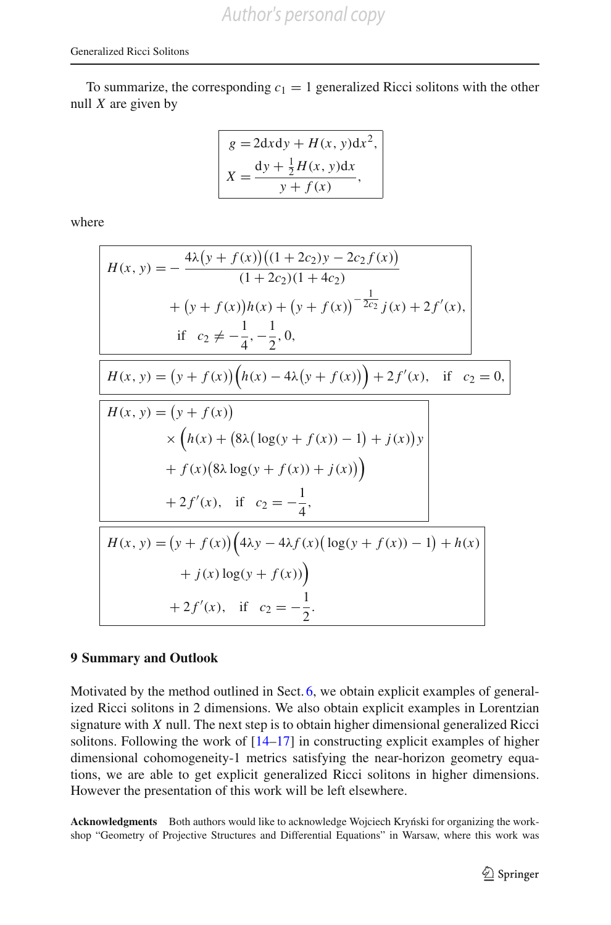To summarize, the corresponding  $c_1 = 1$  generalized Ricci solitons with the other null *X* are given by

$$
g = 2dx dy + H(x, y)dx2,
$$
  

$$
X = \frac{dy + \frac{1}{2}H(x, y)dx}{y + f(x)},
$$

where

$$
H(x, y) = -\frac{4\lambda (y + f(x))((1 + 2c_2)y - 2c_2 f(x))}{(1 + 2c_2)(1 + 4c_2)}
$$
  
+  $(y + f(x))h(x) + (y + f(x))^{-\frac{1}{2c_2}}j(x) + 2f'(x),$   
if  $c_2 \neq -\frac{1}{4}, -\frac{1}{2}, 0,$   

$$
H(x, y) = (y + f(x)) (h(x) - 4\lambda (y + f(x))) + 2f'(x), \text{ if } c_2 = 0,
$$

$$
H(x, y) = (y + f(x))
$$

$$
\times (h(x) + (8\lambda (\log(y + f(x)) - 1) + j(x))y + f(x)(8\lambda \log(y + f(x)) + j(x))
$$

$$
+ 2f'(x), \text{ if } c_2 = -\frac{1}{4},
$$

$$
H(x, y) = (y + f(x)) (4\lambda y - 4\lambda f(x) (\log(y + f(x)) - 1) + h(x) + j(x) \log(y + f(x))
$$

$$
+ 2f'(x), \text{ if } c_2 = -\frac{1}{2}.
$$

#### **9 Summary and Outlook**

Motivated by the method outlined in Sect. [6,](#page-32-0) we obtain explicit examples of generalized Ricci solitons in 2 dimensions. We also obtain explicit examples in Lorentzian signature with *X* null. The next step is to obtain higher dimensional generalized Ricci solitons. Following the work of [\[14](#page-67-15)[–17\]](#page-67-8) in constructing explicit examples of higher dimensional cohomogeneity-1 metrics satisfying the near-horizon geometry equations, we are able to get explicit generalized Ricci solitons in higher dimensions. However the presentation of this work will be left elsewhere.

**Acknowledgments** Both authors would like to acknowledge Wojciech Kryniski for organizing the workshop "Geometry of Projective Structures and Differential Equations" in Warsaw, where this work was